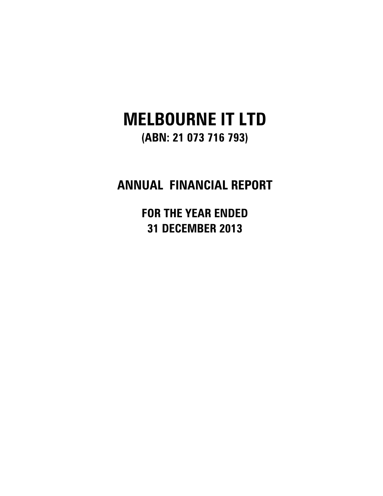**(ABN: 21 073 716 793)**

**ANNUAL FINANCIAL REPORT**

**FOR THE YEAR ENDED 31 DECEMBER 2013**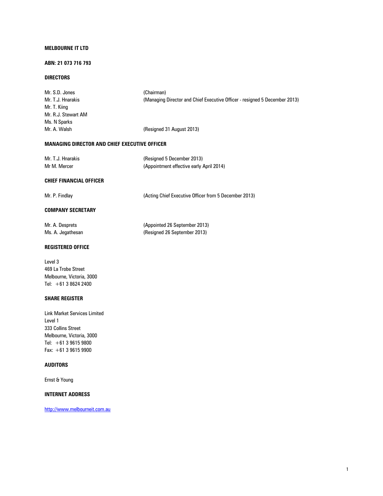# **ABN: 21 073 716 793**

# **DIRECTORS**

| Mr. S.D. Jones<br>Mr. T.J. Hnarakis<br>Mr. T. Kiing  | (Chairman)<br>(Managing Director and Chief Executive Officer - resigned 5 December 2013) |
|------------------------------------------------------|------------------------------------------------------------------------------------------|
| Mr. R.J. Stewart AM                                  |                                                                                          |
| Ms. N Sparks                                         |                                                                                          |
| Mr. A. Walsh                                         | (Resigned 31 August 2013)                                                                |
| <b>MANAGING DIRECTOR AND CHIEF EXECUTIVE OFFICER</b> |                                                                                          |
| Mr. T.J. Hnarakis                                    | (Resigned 5 December 2013)                                                               |
| Mr M. Mercer                                         | (Appointment effective early April 2014)                                                 |
| <b>CHIEF FINANCIAL OFFICER</b>                       |                                                                                          |
| Mr. P. Findlay                                       | (Acting Chief Executive Officer from 5 December 2013)                                    |
| <b>COMPANY SECRETARY</b>                             |                                                                                          |
| Mr. A. Desprets                                      | (Appointed 26 September 2013)                                                            |
| Ms. A. Jegathesan                                    | (Resigned 26 September 2013)                                                             |
| <b>REGISTERED OFFICE</b>                             |                                                                                          |

Level 3 469 La Trobe Street Melbourne, Victoria, 3000 Tel: +61 3 8624 2400

# **SHARE REGISTER**

Link Market Services Limited Level 1 333 Collins Street Melbourne, Victoria, 3000 Tel: +61 3 9615 9800 Fax: +61 3 9615 9900

# **AUDITORS**

Ernst & Young

# **INTERNET ADDRESS**

http://www.melbourneit.com.au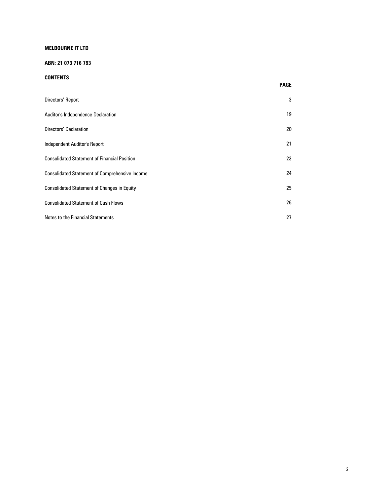# **ABN: 21 073 716 793**

# **CONTENTS**

|                                                       | <b>PAGE</b> |
|-------------------------------------------------------|-------------|
| Directors' Report                                     | 3           |
| Auditor's Independence Declaration                    | 19          |
| <b>Directors' Declaration</b>                         | 20          |
| <b>Independent Auditor's Report</b>                   | 21          |
| <b>Consolidated Statement of Financial Position</b>   | 23          |
| <b>Consolidated Statement of Comprehensive Income</b> | 24          |
| <b>Consolidated Statement of Changes in Equity</b>    | 25          |
| <b>Consolidated Statement of Cash Flows</b>           | 26          |
| <b>Notes to the Financial Statements</b>              | 27          |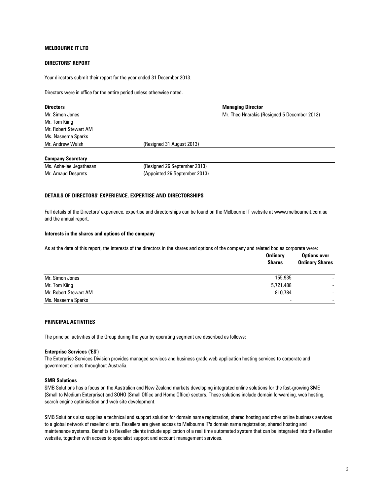# **DIRECTORS' REPORT**

Your directors submit their report for the year ended 31 December 2013.

Directors were in office for the entire period unless otherwise noted.

| <b>Directors</b>         |                           | <b>Managing Director</b>                     |
|--------------------------|---------------------------|----------------------------------------------|
| Mr. Simon Jones          |                           | Mr. Theo Hnarakis (Resigned 5 December 2013) |
| Mr. Tom Kiing            |                           |                                              |
| Mr. Robert Stewart AM    |                           |                                              |
| Ms. Naseema Sparks       |                           |                                              |
| Mr. Andrew Walsh         | (Resigned 31 August 2013) |                                              |
|                          |                           |                                              |
| <b>Company Secretary</b> |                           |                                              |

| Ms. Ashe-lee Jegathesan | (Resigned 26 September 2013)  |
|-------------------------|-------------------------------|
| Mr. Arnaud Desprets     | (Appointed 26 September 2013) |

# **DETAILS OF DIRECTORS' EXPERIENCE, EXPERTISE AND DIRECTORSHIPS**

Full details of the Directors' experience, expertise and directorships can be found on the Melbourne IT website at www.melbourneit.com.au and the annual report.

# **Interests in the shares and options of the company**

As at the date of this report, the interests of the directors in the shares and options of the company and related bodies corporate were:

|                       | <b>Ordinary</b><br><b>Shares</b> | <b>Options over</b><br><b>Ordinary Shares</b> |  |
|-----------------------|----------------------------------|-----------------------------------------------|--|
| Mr. Simon Jones       | 155,935                          |                                               |  |
| Mr. Tom Kiing         | 5,721,488                        |                                               |  |
| Mr. Robert Stewart AM | 810,784                          | ۰.                                            |  |
| Ms. Naseema Sparks    | $\overline{\phantom{0}}$         |                                               |  |

#### **PRINCIPAL ACTIVITIES**

The principal activities of the Group during the year by operating segment are described as follows:

#### **Enterprise Services ('ES')**

The Enterprise Services Division provides managed services and business grade web application hosting services to corporate and government clients throughout Australia.

## **SMB Solutions**

SMB Solutions has a focus on the Australian and New Zealand markets developing integrated online solutions for the fast-growing SME (Small to Medium Enterprise) and SOHO (Small Office and Home Office) sectors. These solutions include domain forwarding, web hosting, search engine optimisation and web site development.

SMB Solutions also supplies a technical and support solution for domain name registration, shared hosting and other online business services to a global network of reseller clients. Resellers are given access to Melbourne IT's domain name registration, shared hosting and maintenance systems. Benefits to Reseller clients include application of a real time automated system that can be integrated into the Reseller website, together with access to specialist support and account management services.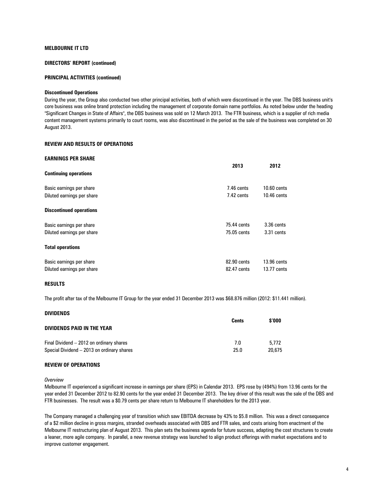# **DIRECTORS' REPORT (continued)**

## **PRINCIPAL ACTIVITIES (continued)**

# **Discontinued Operations**

During the year, the Group also conducted two other principal activities, both of which were discontinued in the year. The DBS business unit's core business was online brand protection including the management of corporate domain name portfolios. As noted below under the heading "Significant Changes in State of Affairs", the DBS business was sold on 12 March 2013. The FTR business, which is a supplier of rich media content management systems primarily to court rooms, was also discontinued in the period as the sale of the business was completed on 30 August 2013.

## **REVIEW AND RESULTS OF OPERATIONS**

| <b>EARNINGS PER SHARE</b>      |              |              |
|--------------------------------|--------------|--------------|
|                                | 2013         | 2012         |
| <b>Continuing operations</b>   |              |              |
| Basic earnings per share       | $7.46$ cents | 10.60 cents  |
| Diluted earnings per share     | 7.42 cents   | 10.46 cents  |
| <b>Discontinued operations</b> |              |              |
| Basic earnings per share       | 75.44 cents  | 3.36 cents   |
| Diluted earnings per share     | 75.05 cents  | $3.31$ cents |
| <b>Total operations</b>        |              |              |
| Basic earnings per share       | 82,90 cents  | 13.96 cents  |
| Diluted earnings per share     | 82.47 cents  | 13.77 cents  |

# **RESULTS**

The profit after tax of the Melbourne IT Group for the year ended 31 December 2013 was \$68.876 million (2012: \$11.441 million).

| <b>DIVIDENDS</b>                           | <b>Cents</b> | \$'000 |
|--------------------------------------------|--------------|--------|
| DIVIDENDS PAID IN THE YEAR                 |              |        |
| Final Dividend - 2012 on ordinary shares   | 7.0          | 5.772  |
| Special Dividend - 2013 on ordinary shares | 25.0         | 20,675 |

# **REVIEW OF OPERATIONS**

*Overview*

Melbourne IT experienced a significant increase in earnings per share (EPS) in Calendar 2013. EPS rose by (494%) from 13.96 cents for the year ended 31 December 2012 to 82.90 cents for the year ended 31 December 2013. The key driver of this result was the sale of the DBS and FTR businesses. The result was a \$0.79 cents per share return to Melbourne IT shareholders for the 2013 year.

The Company managed a challenging year of transition which saw EBITDA decrease by 43% to \$5.8 million. This was a direct consequence of a \$2 million decline in gross margins, stranded overheads associated with DBS and FTR sales, and costs arising from enactment of the Melbourne IT restructuring plan of August 2013. This plan sets the business agenda for future success, adapting the cost structures to create a leaner, more agile company. In parallel, a new revenue strategy was launched to align product offerings with market expectations and to improve customer engagement.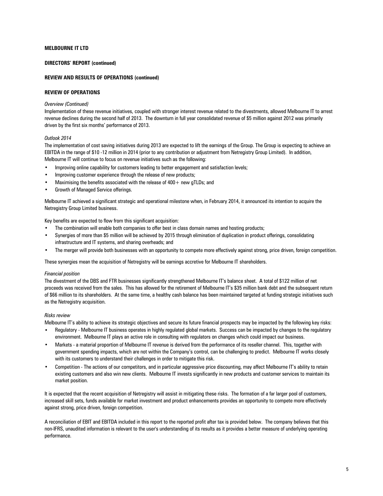# **DIRECTORS' REPORT (continued)**

# **REVIEW AND RESULTS OF OPERATIONS (continued)**

# **REVIEW OF OPERATIONS**

## *Overview (Continued)*

Implementation of these revenue initiatives, coupled with stronger interest revenue related to the divestments, allowed Melbourne IT to arrest revenue declines during the second half of 2013. The downturn in full year consolidated revenue of \$5 million against 2012 was primarily driven by the first six months' performance of 2013.

# *Outlook 2014*

The implementation of cost saving initiatives during 2013 are expected to lift the earnings of the Group. The Group is expecting to achieve an EBITDA in the range of \$10 -12 million in 2014 (prior to any contribution or adjustment from Netregistry Group Limited). In addition, Melbourne IT will continue to focus on revenue initiatives such as the following:

- Improving online capability for customers leading to better engagement and satisfaction levels;
- Improving customer experience through the release of new products;
- Maximising the benefits associated with the release of  $400+$  new gTLDs; and
- Growth of Managed Service offerings.

Melbourne IT achieved a significant strategic and operational milestone when, in February 2014, it announced its intention to acquire the Netregistry Group Limited business.

Key benefits are expected to flow from this significant acquisition:

- The combination will enable both companies to offer best in class domain names and hosting products;
- Synergies of more than \$5 million will be achieved by 2015 through elimination of duplication in product offerings, consolidating infrastructure and IT systems, and sharing overheads; and
- The merger will provide both businesses with an opportunity to compete more effectively against strong, price driven, foreign competition.

These synergies mean the acquisition of Netregistry will be earnings accretive for Melbourne IT shareholders.

#### *Financial position*

The divestment of the DBS and FTR businesses significantly strengthened Melbourne IT's balance sheet. A total of \$122 million of net proceeds was received from the sales. This has allowed for the retirement of Melbourne IT's \$35 million bank debt and the subsequent return of \$66 million to its shareholders. At the same time, a healthy cash balance has been maintained targeted at funding strategic initiatives such as the Netregistry acquisition.

# *Risks review*

Melbourne IT's ability to achieve its strategic objectives and secure its future financial prospects may be impacted by the following key risks:

- Regulatory - Melbourne IT business operates in highly regulated global markets. Success can be impacted by changes to the regulatory environment. Melbourne IT plays an active role in consulting with regulators on changes which could impact our business.
- Markets - a material proportion of Melbourne IT revenue is derived from the performance of its reseller channel. This, together with government spending impacts, which are not within the Company's control, can be challenging to predict. Melbourne IT works closely with its customers to understand their challenges in order to mitigate this risk.
- Competition - The actions of our competitors, and in particular aggressive price discounting, may affect Melbourne IT's ability to retain existing customers and also win new clients. Melbourne IT invests significantly in new products and customer services to maintain its market position.

It is expected that the recent acquisition of Netregistry will assist in mitigating these risks. The formation of a far larger pool of customers, increased skill sets, funds available for market investment and product enhancements provides an opportunity to compete more effectively against strong, price driven, foreign competition.

A reconciliation of EBIT and EBITDA included in this report to the reported profit after tax is provided below. The company believes that this non-IFRS, unaudited information is relevant to the user's understanding of its results as it provides a better measure of underlying operating performance.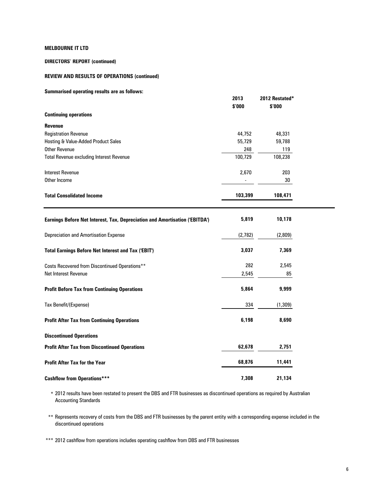**DIRECTORS' REPORT (continued)**

# **REVIEW AND RESULTS OF OPERATIONS (continued)**

| <b>Summarised operating results are as follows:</b>                         |         |                |
|-----------------------------------------------------------------------------|---------|----------------|
|                                                                             | 2013    | 2012 Restated* |
|                                                                             | \$'000  | \$'000         |
| <b>Continuing operations</b>                                                |         |                |
| <b>Revenue</b>                                                              |         |                |
| <b>Registration Revenue</b>                                                 | 44,752  | 48,331         |
| Hosting & Value-Added Product Sales                                         | 55,729  | 59,788         |
| <b>Other Revenue</b>                                                        | 248     | 119            |
| <b>Total Revenue excluding Interest Revenue</b>                             | 100,729 | 108,238        |
|                                                                             |         |                |
| <b>Interest Revenue</b>                                                     | 2,670   | 203            |
| Other Income                                                                |         | 30             |
| <b>Total Consolidated Income</b>                                            | 103,399 | 108,471        |
| Earnings Before Net Interest, Tax, Depreciation and Amortisation ('EBITDA') | 5,819   | 10,178         |
| <b>Depreciation and Amortisation Expense</b>                                | (2,782) | (2,809)        |

| <b>Total Earnings Before Net Interest and Tax ('EBIT')</b> | 3,037  | 7,369    |  |
|------------------------------------------------------------|--------|----------|--|
| Costs Recovered from Discontinued Operations**             | 282    | 2,545    |  |
| <b>Net Interest Revenue</b>                                | 2,545  | 85       |  |
| <b>Profit Before Tax from Continuing Operations</b>        | 5,864  | 9,999    |  |
| Tax Benefit/(Expense)                                      | 334    | (1, 309) |  |
| <b>Profit After Tax from Continuing Operations</b>         | 6,198  | 8,690    |  |
| <b>Discontinued Operations</b>                             |        |          |  |
| <b>Profit After Tax from Discontinued Operations</b>       | 62,678 | 2,751    |  |
| <b>Profit After Tax for the Year</b>                       | 68,876 | 11,441   |  |
| <b>Cashflow from Operations***</b>                         | 7,308  | 21,134   |  |

\* 2012 results have been restated to present the DBS and FTR businesses as discontinued operations as required by Australian Accounting Standards

\*\* Represents recovery of costs from the DBS and FTR businesses by the parent entity with a corresponding expense included in the discontinued operations

\*\*\* 2012 cashflow from operations includes operating cashflow from DBS and FTR businesses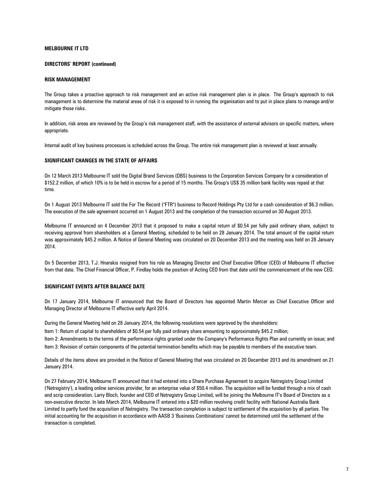# **DIRECTORS' REPORT (continued)**

# **RISK MANAGEMENT**

The Group takes a proactive approach to risk management and an active risk management plan is in place. The Group's approach to risk management is to determine the material areas of risk it is exposed to in running the organisation and to put in place plans to manage and/or mitigate those risks.

In addition, risk areas are reviewed by the Group's risk management staff, with the assistance of external advisors on specific matters, where appropriate.

Internal audit of key business processes is scheduled across the Group. The entire risk management plan is reviewed at least annually.

## **SIGNIFICANT CHANGES IN THE STATE OF AFFAIRS**

On 12 March 2013 Melbourne IT sold the Digital Brand Services (DBS) business to the Corporation Services Company for a consideration of \$152.2 million, of which 10% is to be held in escrow for a period of 15 months. The Group's US\$ 35 million bank facility was repaid at that time.

On 1 August 2013 Melbourne IT sold the For The Record ("FTR") business to Record Holdings Pty Ltd for a cash consideration of \$6.3 million. The execution of the sale agreement occurred on 1 August 2013 and the completion of the transaction occurred on 30 August 2013.

Melbourne IT announced on 4 December 2013 that it proposed to make a capital return of \$0.54 per fully paid ordinary share, subject to receiving approval from shareholders at a General Meeting, scheduled to be held on 28 January 2014. The total amount of the capital return was approximately \$45.2 million. A Notice of General Meeting was circulated on 20 December 2013 and the meeting was held on 28 January 2014.

On 5 December 2013, T.J. Hnarakis resigned from his role as Managing Director and Chief Executive Officer (CEO) of Melbourne IT effective from that date. The Chief Financial Officer, P. Findlay holds the position of Acting CEO from that date until the commencement of the new CEO.

#### **SIGNIFICANT EVENTS AFTER BALANCE DATE**

On 17 January 2014, Melbourne IT announced that the Board of Directors has appointed Martin Mercer as Chief Executive Officer and Managing Director of Melbourne IT effective early April 2014.

During the General Meeting held on 28 January 2014, the following resolutions were approved by the shareholders:

Item 1: Return of capital to shareholders of \$0.54 per fully paid ordinary share amounting to approximately \$45.2 million;

Item 2: Amendments to the terms of the performance rights granted under the Company's Performance Rights Plan and currently on issue; and Item 3: Revision of certain components of the potential termination benefits which may be payable to members of the executive team.

Details of the items above are provided in the Notice of General Meeting that was circulated on 20 December 2013 and its amendment on 21 January 2014.

On 27 February 2014, Melbourne IT announced that it had entered into a Share Purchase Agreement to acquire Netregistry Group Limited ('Netregistry'), a leading online services provider, for an enterprise value of \$50.4 million. The acquisition will be funded through a mix of cash and scrip consideration. Larry Bloch, founder and CEO of Netregistry Group Limited, will be joining the Melbourne IT's Board of Directors as a non-executive director. In late March 2014, Melbourne IT entered into a \$20 million revolving credit facility with National Australia Bank Limited to partly fund the acquisition of Netregistry. The transaction completion is subject to settlement of the acquisition by all parties. The initial accounting for the acquisition in accordance with AASB 3 'Business Combinations' cannot be determined until the settlement of the transaction is completed.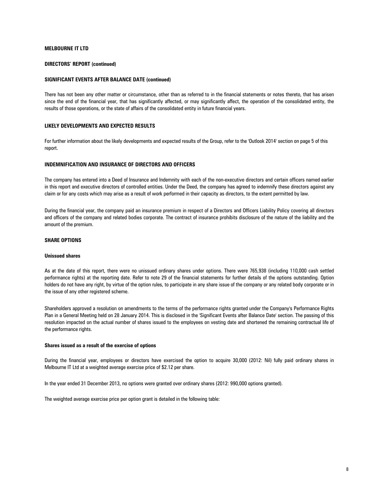# **DIRECTORS' REPORT (continued)**

## **SIGNIFICANT EVENTS AFTER BALANCE DATE (continued)**

There has not been any other matter or circumstance, other than as referred to in the financial statements or notes thereto, that has arisen since the end of the financial year, that has significantly affected, or may significantly affect, the operation of the consolidated entity, the results of those operations, or the state of affairs of the consolidated entity in future financial years.

# **LIKELY DEVELOPMENTS AND EXPECTED RESULTS**

For further information about the likely developments and expected results of the Group, refer to the 'Outlook 2014' section on page 5 of this report.

# **INDEMNIFICATION AND INSURANCE OF DIRECTORS AND OFFICERS**

The company has entered into a Deed of Insurance and Indemnity with each of the non-executive directors and certain officers named earlier in this report and executive directors of controlled entities. Under the Deed, the company has agreed to indemnify these directors against any claim or for any costs which may arise as a result of work performed in their capacity as directors, to the extent permitted by law.

During the financial year, the company paid an insurance premium in respect of a Directors and Officers Liability Policy covering all directors and officers of the company and related bodies corporate. The contract of insurance prohibits disclosure of the nature of the liability and the amount of the premium.

# **SHARE OPTIONS**

#### **Unissued shares**

As at the date of this report, there were no unissued ordinary shares under options. There were 765,938 (including 110,000 cash settled performance rights) at the reporting date. Refer to note 29 of the financial statements for further details of the options outstanding. Option holders do not have any right, by virtue of the option rules, to participate in any share issue of the company or any related body corporate or in the issue of any other registered scheme.

Shareholders approved a resolution on amendments to the terms of the performance rights granted under the Company's Performance Rights Plan in a General Meeting held on 28 January 2014. This is disclosed in the 'Significant Events after Balance Date' section. The passing of this resolution impacted on the actual number of shares issued to the employees on vesting date and shortened the remaining contractual life of the performance rights.

#### **Shares issued as a result of the exercise of options**

During the financial year, employees or directors have exercised the option to acquire 30,000 (2012: Nil) fully paid ordinary shares in Melbourne IT Ltd at a weighted average exercise price of \$2.12 per share.

In the year ended 31 December 2013, no options were granted over ordinary shares (2012: 990,000 options granted).

The weighted average exercise price per option grant is detailed in the following table: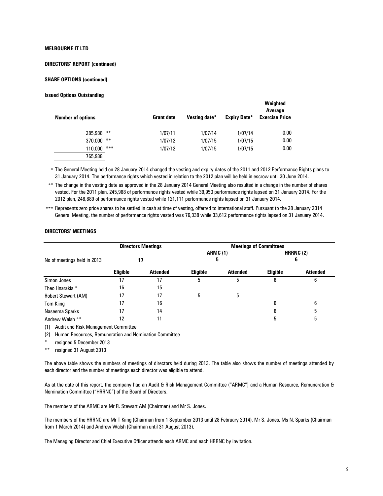## **DIRECTORS' REPORT (continued)**

# **SHARE OPTIONS (continued)**

### **Issued Options Outstanding**

| <b>Number of options</b> |       | <b>Grant date</b> | Vesting date* | <b>Expiry Date*</b> | Weighted<br><b>Average</b><br><b>Exercise Price</b> |
|--------------------------|-------|-------------------|---------------|---------------------|-----------------------------------------------------|
| 285,938                  | $***$ | 1/07/11           | 1/07/14       | 1/07/14             | 0.00                                                |
| 370,000                  | $***$ | 1/07/12           | 1/07/15       | 1/07/15             | 0.00                                                |
| 110,000                  | $***$ | 1/07/12           | 1/07/15       | 1/07/15             | 0.00                                                |
| 765,938                  |       |                   |               |                     |                                                     |

\* The General Meeting held on 28 January 2014 changed the vesting and expiry dates of the 2011 and 2012 Performance Rights plans to 31 January 2014. The performance rights which vested in relation to the 2012 plan will be held in escrow until 30 June 2014.

\*\* The change in the vesting date as approved in the 28 January 2014 General Meeting also resulted in a change in the number of shares vested. For the 2011 plan, 245,988 of performance rights vested while 39,950 performance rights lapsed on 31 January 2014. For the 2012 plan, 248,889 of performance rights vested while 121,111 performance rights lapsed on 31 January 2014.

\*\*\* Represents zero price shares to be settled in cash at time of vesting, offerred to international staff. Pursuant to the 28 January 2014 General Meeting, the number of performance rights vested was 76,338 while 33,612 performance rights lapsed on 31 January 2014.

| DIRECTORS MEETINGS          |                 |                           |                 |                 |                               |                 |
|-----------------------------|-----------------|---------------------------|-----------------|-----------------|-------------------------------|-----------------|
|                             |                 | <b>Directors Meetings</b> |                 |                 | <b>Meetings of Committees</b> |                 |
|                             |                 |                           |                 | <b>ARMC (1)</b> |                               | HRRNC (2)       |
| No of meetings held in 2013 | 17              |                           | 5               |                 |                               |                 |
|                             | <b>Eligible</b> | <b>Attended</b>           | <b>Eligible</b> | <b>Attended</b> | <b>Eligible</b>               | <b>Attended</b> |
| Simon Jones                 | 17              | 17                        | 5               | 5               | 6                             | 6               |
| Theo Hnarakis *             | 16              | 15                        |                 |                 |                               |                 |
| <b>Robert Stewart (AM)</b>  | 17              | 17                        | 5               | 5               |                               |                 |
| <b>Tom Kiing</b>            | 17              | 16                        |                 |                 | 6                             | 6               |
| Naseema Sparks              | 17              | 14                        |                 |                 | 6                             | 5               |

Andrew Walsh \*\* 12 11 5 5

# **DIRECTORS' MEETINGS**

(1) Audit and Risk Management Committee

(2) Human Resources, Remuneration and Nomination Committee

resigned 5 December 2013

\*\* resigned 31 August 2013

The above table shows the numbers of meetings of directors held during 2013. The table also shows the number of meetings attended by each director and the number of meetings each director was eligible to attend.

As at the date of this report, the company had an Audit & Risk Management Committee ("ARMC") and a Human Resource, Remuneration & Nomination Committee ("HRRNC") of the Board of Directors.

The members of the ARMC are Mr R. Stewart AM (Chairman) and Mr S. Jones.

The members of the HRRNC are Mr T Kiing (Chairman from 1 September 2013 until 28 February 2014), Mr S. Jones, Ms N. Sparks (Chairman from 1 March 2014) and Andrew Walsh (Chairman until 31 August 2013).

The Managing Director and Chief Executive Officer attends each ARMC and each HRRNC by invitation.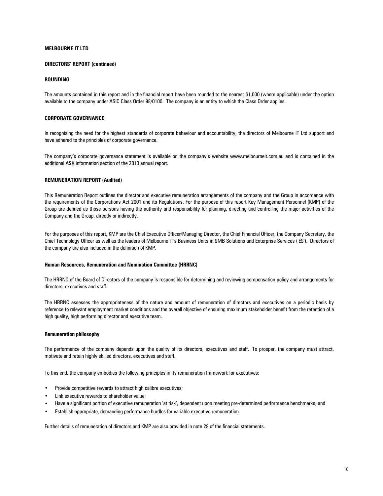## **DIRECTORS' REPORT (continued)**

## **ROUNDING**

The amounts contained in this report and in the financial report have been rounded to the nearest \$1,000 (where applicable) under the option available to the company under ASIC Class Order 98/0100. The company is an entity to which the Class Order applies.

# **CORPORATE GOVERNANCE**

In recognising the need for the highest standards of corporate behaviour and accountability, the directors of Melbourne IT Ltd support and have adhered to the principles of corporate governance.

The company's corporate governance statement is available on the company's website www.melbourneit.com.au and is contained in the additional ASX information section of the 2013 annual report.

## **REMUNERATION REPORT (Audited)**

This Remuneration Report outlines the director and executive remuneration arrangements of the company and the Group in accordance with the requirements of the Corporations Act 2001 and its Regulations. For the purpose of this report Key Management Personnel (KMP) of the Group are defined as those persons having the authority and responsibility for planning, directing and controlling the major activities of the Company and the Group, directly or indirectly.

For the purposes of this report, KMP are the Chief Executive Officer/Managing Director, the Chief Financial Officer, the Company Secretary, the Chief Technology Officer as well as the leaders of Melbourne IT's Business Units in SMB Solutions and Enterprise Services ('ES'). Directors of the company are also included in the definition of KMP.

## **Human Resources, Remuneration and Nomination Committee (HRRNC)**

The HRRNC of the Board of Directors of the company is responsible for determining and reviewing compensation policy and arrangements for directors, executives and staff.

The HRRNC assesses the appropriateness of the nature and amount of remuneration of directors and executives on a periodic basis by reference to relevant employment market conditions and the overall objective of ensuring maximum stakeholder benefit from the retention of a high quality, high performing director and executive team.

## **Remuneration philosophy**

The performance of the company depends upon the quality of its directors, executives and staff. To prosper, the company must attract, motivate and retain highly skilled directors, executives and staff.

To this end, the company embodies the following principles in its remuneration framework for executives:

- Provide competitive rewards to attract high calibre executives;
- Link executive rewards to shareholder value;
- Have a significant portion of executive remuneration 'at risk', dependent upon meeting pre-determined performance benchmarks; and
- Establish appropriate, demanding performance hurdles for variable executive remuneration.

Further details of remuneration of directors and KMP are also provided in note 28 of the financial statements.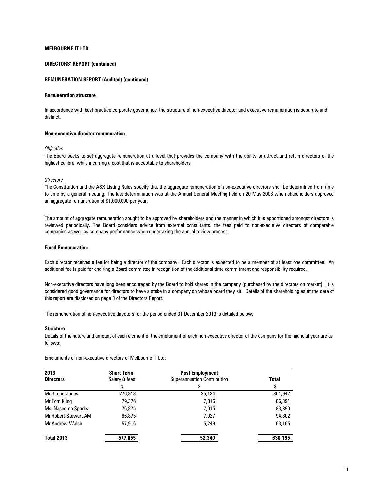## **DIRECTORS' REPORT (continued)**

## **REMUNERATION REPORT (Audited) (continued)**

### **Remuneration structure**

In accordance with best practice corporate governance, the structure of non-executive director and executive remuneration is separate and distinct.

#### **Non-executive director remuneration**

#### *Objective*

The Board seeks to set aggregate remuneration at a level that provides the company with the ability to attract and retain directors of the highest calibre, while incurring a cost that is acceptable to shareholders.

#### *Structure*

The Constitution and the ASX Listing Rules specify that the aggregate remuneration of non-executive directors shall be determined from time to time by a general meeting. The last determination was at the Annual General Meeting held on 20 May 2008 when shareholders approved an aggregate remuneration of \$1,000,000 per year.

The amount of aggregate remuneration sought to be approved by shareholders and the manner in which it is apportioned amongst directors is reviewed periodically. The Board considers advice from external consultants, the fees paid to non-executive directors of comparable companies as well as company performance when undertaking the annual review process.

#### **Fixed Remuneration**

Each director receives a fee for being a director of the company. Each director is expected to be a member of at least one committee. An additional fee is paid for chairing a Board committee in recognition of the additional time commitment and responsibility required.

Non-executive directors have long been encouraged by the Board to hold shares in the company (purchased by the directors on market). It is considered good governance for directors to have a stake in a company on whose board they sit. Details of the shareholding as at the date of this report are disclosed on page 3 of the Directors Report.

The remuneration of non-executive directors for the period ended 31 December 2013 is detailed below.

#### **Structure**

Details of the nature and amount of each element of the emolument of each non executive director of the company for the financial year are as follows:

Emoluments of non-executive directors of Melbourne IT Ltd:

| 2013                 | <b>Short Term</b> | <b>Post Employment</b>             |              |
|----------------------|-------------------|------------------------------------|--------------|
| <b>Directors</b>     | Salary & fees     | <b>Superannuation Contribution</b> | <b>Total</b> |
|                      |                   | \$                                 | S            |
| Mr Simon Jones       | 276,813           | 25,134                             | 301,947      |
| Mr Tom Kiing         | 79,376            | 7,015                              | 86,391       |
| Ms. Naseema Sparks   | 76,875            | 7,015                              | 83,890       |
| Mr Robert Stewart AM | 86,875            | 7,927                              | 94,802       |
| Mr Andrew Walsh      | 57,916            | 5,249                              | 63,165       |
| <b>Total 2013</b>    | 577,855           | 52,340                             | 630,195      |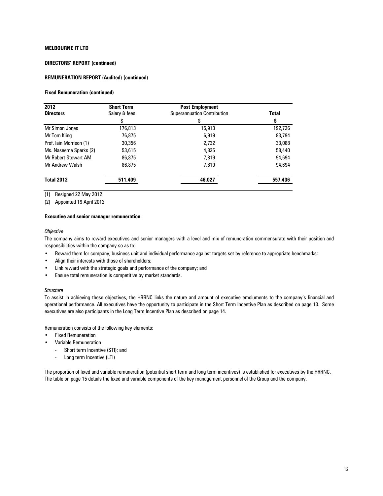# **DIRECTORS' REPORT (continued)**

# **REMUNERATION REPORT (Audited) (continued)**

## **Fixed Remuneration (continued)**

| 2012                    | <b>Short Term</b> | <b>Post Employment</b>             |              |
|-------------------------|-------------------|------------------------------------|--------------|
| <b>Directors</b>        | Salary & fees     | <b>Superannuation Contribution</b> | <b>Total</b> |
|                         | S                 | S                                  |              |
| Mr Simon Jones          | 176,813           | 15,913                             | 192,726      |
| Mr Tom Kiing            | 76,875            | 6,919                              | 83,794       |
| Prof. Iain Morrison (1) | 30,356            | 2,732                              | 33,088       |
| Ms. Naseema Sparks (2)  | 53,615            | 4,825                              | 58,440       |
| Mr Robert Stewart AM    | 86,875            | 7,819                              | 94,694       |
| Mr Andrew Walsh         | 86,875            | 7,819                              | 94,694       |
| <b>Total 2012</b>       | 511,409           | 46,027                             | 557,436      |

(1) Resigned 22 May 2012

(2) Appointed 19 April 2012

#### **Executive and senior manager remuneration**

#### *Objective*

The company aims to reward executives and senior managers with a level and mix of remuneration commensurate with their position and responsibilities within the company so as to:

- Reward them for company, business unit and individual performance against targets set by reference to appropriate benchmarks;
- Align their interests with those of shareholders;
- Link reward with the strategic goals and performance of the company; and
- Ensure total remuneration is competitive by market standards.

#### *Structure*

To assist in achieving these objectives, the HRRNC links the nature and amount of executive emoluments to the company's financial and operational performance. All executives have the opportunity to participate in the Short Term Incentive Plan as described on page 13. Some executives are also participants in the Long Term Incentive Plan as described on page 14.

Remuneration consists of the following key elements:

- Fixed Remuneration
- Variable Remuneration
	- Short term Incentive (STI); and
	- Long term Incentive (LTI)

The proportion of fixed and variable remuneration (potential short term and long term incentives) is established for executives by the HRRNC. The table on page 15 details the fixed and variable components of the key management personnel of the Group and the company.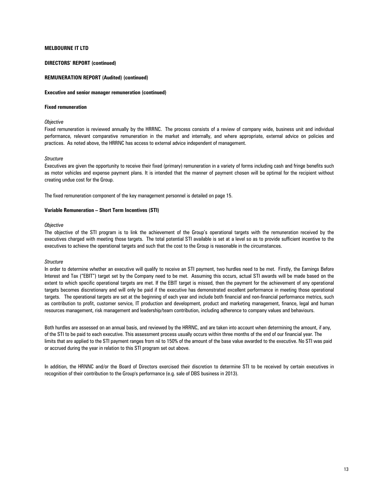# **DIRECTORS' REPORT (continued)**

# **REMUNERATION REPORT (Audited) (continued)**

# **Executive and senior manager remuneration (continued)**

# **Fixed remuneration**

# *Objective*

Fixed remuneration is reviewed annually by the HRRNC. The process consists of a review of company wide, business unit and individual performance, relevant comparative remuneration in the market and internally, and where appropriate, external advice on policies and practices. As noted above, the HRRNC has access to external advice independent of management.

## *Structure*

Executives are given the opportunity to receive their fixed (primary) remuneration in a variety of forms including cash and fringe benefits such as motor vehicles and expense payment plans. It is intended that the manner of payment chosen will be optimal for the recipient without creating undue cost for the Group.

The fixed remuneration component of the key management personnel is detailed on page 15.

## **Variable Remuneration – Short Term Incentives (STI)**

## *Objective*

The objective of the STI program is to link the achievement of the Group's operational targets with the remuneration received by the executives charged with meeting those targets. The total potential STI available is set at a level so as to provide sufficient incentive to the executives to achieve the operational targets and such that the cost to the Group is reasonable in the circumstances.

#### *Structure*

In order to determine whether an executive will qualify to receive an STI payment, two hurdles need to be met. Firstly, the Earnings Before Interest and Tax ("EBIT") target set by the Company need to be met. Assuming this occurs, actual STI awards will be made based on the extent to which specific operational targets are met. If the EBIT target is missed, then the payment for the achievement of any operational targets becomes discretionary and will only be paid if the executive has demonstrated excellent performance in meeting those operational targets. The operational targets are set at the beginning of each year and include both financial and non-financial performance metrics, such as contribution to profit, customer service, IT production and development, product and marketing management, finance, legal and human resources management, risk management and leadership/team contribution, including adherence to company values and behaviours.

Both hurdles are assessed on an annual basis, and reviewed by the HRRNC, and are taken into account when determining the amount, if any, of the STI to be paid to each executive. This assessment process usually occurs within three months of the end of our financial year. The limits that are applied to the STI payment ranges from nil to 150% of the amount of the base value awarded to the executive. No STI was paid or accrued during the year in relation to this STI program set out above.

In addition, the HRNNC and/or the Board of Directors exercised their discretion to determine STI to be received by certain executives in recognition of their contribution to the Group's performance (e.g. sale of DBS business in 2013).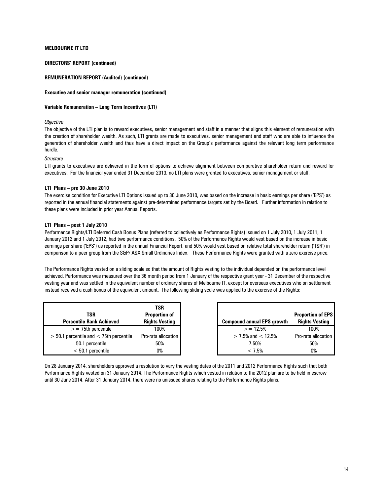# **DIRECTORS' REPORT (continued)**

# **REMUNERATION REPORT (Audited) (continued)**

# **Executive and senior manager remuneration (continued)**

# **Variable Remuneration – Long Term Incentives (LTI)**

# *Objective*

The objective of the LTI plan is to reward executives, senior management and staff in a manner that aligns this element of remuneration with the creation of shareholder wealth. As such, LTI grants are made to executives, senior management and staff who are able to influence the generation of shareholder wealth and thus have a direct impact on the Group's performance against the relevant long term performance hurdle.

# *Structure*

LTI grants to executives are delivered in the form of options to achieve alignment between comparative shareholder return and reward for executives. For the financial year ended 31 December 2013, no LTI plans were granted to executives, senior management or staff.

# **LTI Plans – pre 30 June 2010**

The exercise condition for Executive LTI Options issued up to 30 June 2010, was based on the increase in basic earnings per share ('EPS') as reported in the annual financial statements against pre-determined performance targets set by the Board. Further information in relation to these plans were included in prior year Annual Reports.

# **LTI Plans – post 1 July 2010**

Performance Rights/LTI Deferred Cash Bonus Plans (referred to collectively as Performance Rights) issued on 1 July 2010, 1 July 2011, 1 January 2012 and 1 July 2012, had two performance conditions. 50% of the Performance Rights would vest based on the increase in basic earnings per share ('EPS') as reported in the annual Financial Report, and 50% would vest based on relative total shareholder return ('TSR') in comparison to a peer group from the S&P/ ASX Small Ordinaries Index. These Performance Rights were granted with a zero exercise price.

The Performance Rights vested on a sliding scale so that the amount of Rights vesting to the individual depended on the performance level achieved. Performance was measured over the 36 month period from 1 January of the respective grant year - 31 December of the respective vesting year and was settled in the equivalent number of ordinary shares of Melbourne IT, except for overseas executives who on settlement instead received a cash bonus of the equivalent amount. The following sliding scale was applied to the exercise of the Rights:

| TSR<br><b>Percentile Rank Achieved</b>      | <b>TSR</b><br><b>Proportion of</b><br><b>Rights Vesting</b> | <b>Compound annual EPS growth</b> | <b>Proportion of EPS</b><br><b>Rights Vesting</b> |
|---------------------------------------------|-------------------------------------------------------------|-----------------------------------|---------------------------------------------------|
| $\mathcal{E} = 75$ th percentile            | 100%                                                        | $>$ = 12.5%                       | 100%                                              |
| $>$ 50.1 percentile and $<$ 75th percentile | Pro-rata allocation                                         | $>$ 7.5% and $<$ 12.5%            | Pro-rata allocation                               |
| 50.1 percentile                             | 50%                                                         | 7.50%                             | 50%                                               |
| $< 50.1$ percentile                         | $0\%$                                                       | $< 7.5\%$                         | 0%                                                |

On 28 January 2014, shareholders approved a resolution to vary the vesting dates of the 2011 and 2012 Performance Rights such that both Performance Rights vested on 31 January 2014. The Performance Rights which vested in relation to the 2012 plan are to be held in escrow until 30 June 2014. After 31 January 2014, there were no unissued shares relating to the Performance Rights plans.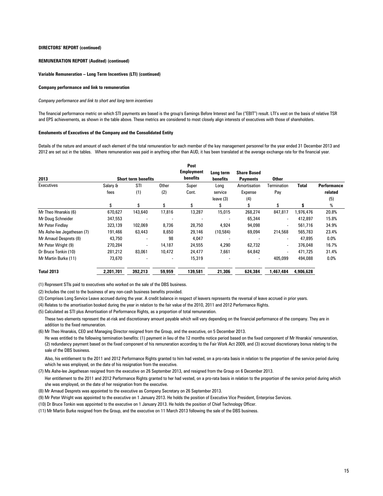#### **DIRECTORS' REPORT (continued)**

#### **REMUNERATION REPORT (Audited) (continued)**

#### **Variable Remuneration – Long Term Incentives (LTI) (continued)**

#### **Company performance and link to remuneration**

#### *Company performance and link to short and long term incentives*

#### **Emoluments of Executives of the Company and the Consolidated Entity**

(1) Represent STIs paid to executives who worked on the sale of the DBS business.

(2) Includes the cost to the business of any non-cash business benefits provided.

(3) Comprises Long Service Leave accrued during the year. A credit balance in respect of leavers represents the reversal of leave accrued in prior years.

(4) Relates to the amortisation booked during the year in relation to the fair value of the 2010, 2011 and 2012 Performance Rights.

(5) Calculated as STI plus Amortisation of Performance Rights, as a proportion of total remuneration.

(6) Mr Theo Hnarakis, CEO and Managing Director resigned from the Group, and the executive, on 5 December 2013.

(7) Ms Ashe-lee Jegathesan resigned from the executive on 26 September 2013, and resigned from the Group on 6 December 2013.

|                            |           |                            |              | <b>Post</b>                          |                       |                                       |              |              |                    |
|----------------------------|-----------|----------------------------|--------------|--------------------------------------|-----------------------|---------------------------------------|--------------|--------------|--------------------|
| 2013                       |           | <b>Short term benefits</b> |              | <b>Employment</b><br><b>benefits</b> | Long term<br>benefits | <b>Share Based</b><br><b>Payments</b> | <b>Other</b> |              |                    |
| <b>Executives</b>          | Salary &  | <b>STI</b>                 | <b>Other</b> | Super                                | Long                  | Amortisation                          | Termination  | <b>Total</b> | <b>Performance</b> |
|                            | fees      | (1)                        | (2)          | Cont.                                | service               | Expense                               | Pay          |              | related            |
|                            |           |                            |              |                                      | leave $(3)$           | (4)                                   |              |              | (5)                |
|                            | \$        | \$                         | \$           | \$                                   | \$                    | \$                                    | \$           | \$           | %                  |
| Mr Theo Hnarakis (6)       | 670,627   | 143,640                    | 17,816       | 13,287                               | 15,015                | 268,274                               | 847,817      | 1,976,476    | 20.8%              |
| Mr Doug Schneider          | 347,553   |                            |              |                                      |                       | 65,344                                |              | 412,897      | 15.8%              |
| Mr Peter Findlay           | 323,139   | 102,069                    | 8,736        | 28,750                               | 4,924                 | 94,098                                |              | 561,716      | 34.9%              |
| Ms Ashe-lee Jegathesan (7) | 191,466   | 63,443                     | 8,650        | 29,146                               | (10, 584)             | 69,094                                | 214,568      | 565,783      | 23.4%              |
| Mr Arnaud Desprets (8)     | 43,750    | $\overline{\phantom{a}}$   | 98           | 4,047                                |                       |                                       |              | 47,895       | 0.0%               |
| Mr Peter Wright (9)        | 270,284   | $\overline{\phantom{a}}$   | 14,187       | 24,555                               | 4,290                 | 62,732                                | $\sim$       | 376,048      | 16.7%              |
| Dr Bruce Tonkin (10)       | 281,212   | 83,061                     | 10,472       | 24,477                               | 7,661                 | 64,842                                | ۰.           | 471,725      | 31.4%              |
| Mr Martin Burke (11)       | 73,670    |                            |              | 15,319                               |                       |                                       | 405,099      | 494,088      | 0.0%               |
| <b>Total 2013</b>          | 2,201,701 | 392,213                    | 59,959       | 139,581                              | 21,306                | 624,384                               | 1,467,484    | 4,906,628    |                    |

(8) Mr Arnaud Desprets was appointed to the executive as Company Secretary on 26 September 2013. (9) Mr Peter Wright was appointed to the executive on 1 January 2013. He holds the position of Executive Vice President, Enterprise Services. (10) Dr Bruce Tonkin was appointed to the executive on 1 January 2013. He holds the position of Chief Technology Officer. (11) Mr Martin Burke resigned from the Group, and the executive on 11 March 2013 following the sale of the DBS business.

The financial performance metric on which STI payments are based is the group's Earnings Before Interest and Tax ("EBIT") result. LTI's vest on the basis of relative TSR and EPS achievements, as shown in the table above. These metrics are considered to most closely align interests of executives with those of shareholders.

Details of the nature and amount of each element of the total remuneration for each member of the key management personnel for the year ended 31 December 2013 and 2012 are set out in the tables. Where remuneration was paid in anything other than AUD, it has been translated at the average exchange rate for the financial year.

Her entitlement to the 2011 and 2012 Performance Rights granted to her had vested, on a pro-rata basis in relation to the proportion of the service period during which she was employed, on the date of her resignation from the executive.

Also, his entitlement to the 2011 and 2012 Performance Rights granted to him had vested, on a pro-rata basis in relation to the proportion of the service period during which he was employed, on the date of his resignation from the executive.

These two elements represent the at-risk and discretionary amount payable which will vary depending on the financial performance of the company. They are in addition to the fixed remuneration.

He was entitled to the following termination benefits: (1) payment in lieu of the 12 months notice period based on the fixed component of Mr Hnarakis' remuneration, (2) redundancy payment based on the fixed component of his remuneration according to the Fair Work Act 2009, and (3) accrued discretionary bonus relating to the sale of the DBS business.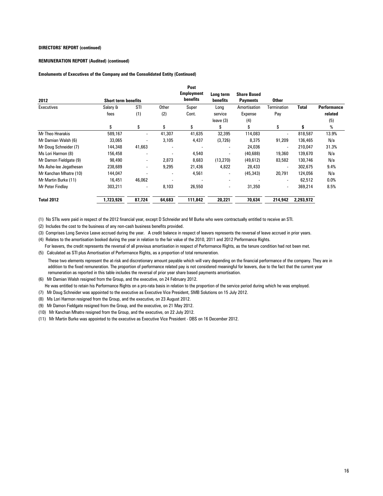#### **DIRECTORS' REPORT (continued)**

#### **REMUNERATION REPORT (Audited) (continued)**

## **Emoluments of Executives of the Company and the Consolidated Entity (Continued)**

(1)No STIs were paid in respect of the 2012 financial year, except D Schneider and M Burke who were contractually entitled to receive an STI.

(2) Includes the cost to the business of any non-cash business benefits provided.

(3) Comprises Long Service Leave accrued during the year. A credit balance in respect of leavers represents the reversal of leave accrued in prior years.

(4) Relates to the amortisation booked during the year in relation to the fair value of the 2010, 2011 and 2012 Performance Rights.

|                        |                            |                          |              | <b>Post</b><br><b>Employment</b> | Long term | <b>Share Based</b> |              |              |                    |
|------------------------|----------------------------|--------------------------|--------------|----------------------------------|-----------|--------------------|--------------|--------------|--------------------|
| 2012                   | <b>Short term benefits</b> |                          |              | benefits                         | benefits  | <b>Payments</b>    | <b>Other</b> |              |                    |
| <b>Executives</b>      | Salary &                   | <b>STI</b>               | <b>Other</b> | Super                            | Long      | Amortisation       | Termination  | <b>Total</b> | <b>Performance</b> |
|                        | fees                       | (1)                      | (2)          | Cont.                            | service   | Expense            | Pay          |              | related            |
|                        |                            |                          |              |                                  | leave (3) | (4)                |              |              | (5)                |
|                        | \$                         | \$                       | \$           | \$                               | \$        | \$                 | \$           | S            | %                  |
| Mr Theo Hnarakis       | 589,167                    | $\blacksquare$           | 41,307       | 41,635                           | 32,395    | 114,083            | $\sim$       | 818,587      | 13.9%              |
| Mr Damian Walsh (6)    | 33,065                     |                          | 3,105        | 4,437                            | (3, 726)  | 8,375              | 91,209       | 136,465      | N/a                |
| Mr Doug Schneider (7)  | 144,348                    | 41,663                   |              |                                  |           | 24,036             |              | 210,047      | 31.3%              |
| Ms Lori Harmon (8)     | 156,458                    |                          |              | 4,540                            |           | (40, 688)          | 19,360       | 139,670      | N/a                |
| Mr Damon Fieldgate (9) | 98,490                     | $\sim$                   | 2,873        | 8,683                            | (13, 270) | (49, 612)          | 83,582       | 130,746      | N/a                |
| Ms Ashe-lee Jegathesan | 238,689                    | $\blacksquare$           | 9,295        | 21,436                           | 4,822     | 28,433             |              | 302,675      | 9.4%               |
| Mr Kanchan Mhatre (10) | 144,047                    |                          |              | 4,561                            |           | (45, 343)          | 20,791       | 124,056      | N/a                |
| Mr Martin Burke (11)   | 16,451                     | 46,062                   |              |                                  |           |                    |              | 62,512       | 0.0%               |
| Mr Peter Findlay       | 303,211                    | $\overline{\phantom{a}}$ | 8,103        | 26,550                           |           | 31,350             | $\sim$       | 369,214      | 8.5%               |
| <b>Total 2012</b>      | 1,723,926                  | 87,724                   | 64,683       | 111,842                          | 20,221    | 70,634             | 214,942      | 2,293,972    |                    |

For leavers, the credit represents the reversal of all previous amortisation in respect of Performance Rights, as the tenure condition had not been met.

(5) Calculated as STI plus Amortisation of Performance Rights, as a proportion of total remuneration.

(6) Mr Damian Walsh resigned from the Group, and the executive, on 24 February 2012.

He was entitled to retain his Performance Rights on a pro-rata basis in relation to the proportion of the service period during which he was employed.

- (7) Mr Doug Schneider was appointed to the executive as Executive Vice President, SMB Solutions on 15 July 2012.
- (8) Ms Lori Harmon resigned from the Group, and the executive, on 23 August 2012.
- (9) Mr Damon Fieldgate resigned from the Group, and the executive, on 21 May 2012.
- (10) Mr Kanchan Mhatre resigned from the Group, and the executive, on 22 July 2012.
- (11) Mr Martin Burke was appointed to the executive as Executive Vice President DBS on 16 December 2012.

These two elements represent the at-risk and discretionary amount payable which will vary depending on the financial performance of the company. They are in addition to the fixed remuneration. The proportion of performance related pay is not considered meaningful for leavers, due to the fact that the current year remuneration as reported in this table includes the reversal of prior year share based payments amortisation.

16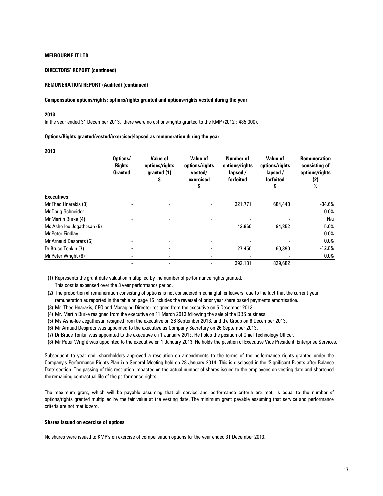# **DIRECTORS' REPORT (continued)**

# **REMUNERATION REPORT (Audited) (continued)**

# **Compensation options/rights: options/rights granted and options/rights vested during the year**

# **2013**

In the year ended 31 December 2013, there were no options/rights granted to the KMP (2012 : 485,000).

#### **Options/Rights granted/vested/exercised/lapsed as remuneration during the year**

**2013**

|                            | Options/<br><b>Rights</b><br><b>Granted</b> | <b>Value of</b><br>options/rights<br>granted (1)<br>S | <b>Value of</b><br>options/rights<br>vested/<br>exercised | <b>Number of</b><br>options/rights<br>lapsed/<br>forfeited | <b>Value of</b><br>options/rights<br>lapsed /<br>forfeited | <b>Remuneration</b><br>consisting of<br>options/rights<br>(2)<br>$\%$ |
|----------------------------|---------------------------------------------|-------------------------------------------------------|-----------------------------------------------------------|------------------------------------------------------------|------------------------------------------------------------|-----------------------------------------------------------------------|
| <b>Executives</b>          |                                             |                                                       |                                                           |                                                            |                                                            |                                                                       |
| Mr Theo Hnarakis (3)       |                                             |                                                       |                                                           | 321,771                                                    | 684,440                                                    | $-34.6%$                                                              |
| Mr Doug Schneider          |                                             |                                                       |                                                           |                                                            |                                                            | $0.0\%$                                                               |
| Mr Martin Burke (4)        |                                             | $\overline{\phantom{0}}$                              |                                                           |                                                            |                                                            | N/a                                                                   |
| Ms Ashe-lee Jegathesan (5) |                                             |                                                       |                                                           | 42,960                                                     | 84,852                                                     | $-15.0%$                                                              |
| Mr Peter Findlay           |                                             |                                                       |                                                           |                                                            |                                                            | $0.0\%$                                                               |
| Mr Arnaud Desprets (6)     |                                             |                                                       |                                                           |                                                            |                                                            | 0.0%                                                                  |
| Dr Bruce Tonkin (7)        |                                             |                                                       |                                                           | 27,450                                                     | 60,390                                                     | $-12.8%$                                                              |
| Mr Peter Wright (8)        |                                             |                                                       |                                                           |                                                            |                                                            | $0.0\%$                                                               |
|                            |                                             |                                                       |                                                           | 392,181                                                    | 829,682                                                    |                                                                       |

(1) Represents the grant date valuation multiplied by the number of performance rights granted.

This cost is expensed over the 3 year performance period.

(2) The proportion of remuneration consisting of options is not considered meaningful for leavers, due to the fact that the current year remuneration as reported in the table on page 15 includes the reversal of prior year share based payments amortisation.

- (3) Mr. Theo Hnarakis, CEO and Managing Director resigned from the executive on 5 December 2013.
- (4) Mr. Martin Burke resigned from the executive on 11 March 2013 following the sale of the DBS business.
- (5) Ms Ashe-lee Jegathesan resigned from the executive on 26 September 2013, and the Group on 6 December 2013.
- (6) Mr Arnaud Desprets was appointed to the executive as Company Secretary on 26 September 2013.
- (7) Dr Bruce Tonkin was appointed to the executive on 1 January 2013. He holds the position of Chief Technology Officer.

(8) Mr Peter Wright was appointed to the executive on 1 January 2013. He holds the position of Executive Vice President, Enterprise Services.

Subsequent to year end, shareholders approved a resolution on amendments to the terms of the performance rights granted under the Company's Performance Rights Plan in a General Meeting held on 28 January 2014. This is disclosed in the 'Significant Events after Balance Date' section. The passing of this resolution impacted on the actual number of shares issued to the employees on vesting date and shortened the remaining contractual life of the performance rights.

The maximum grant, which will be payable assuming that all service and performance criteria are met, is equal to the number of options/rights granted multiplied by the fair value at the vesting date. The minimum grant payable assuming that service and performance criteria are not met is zero.

## **Shares issued on exercise of options**

No shares were issued to KMP's on exercise of compensation options for the year ended 31 December 2013.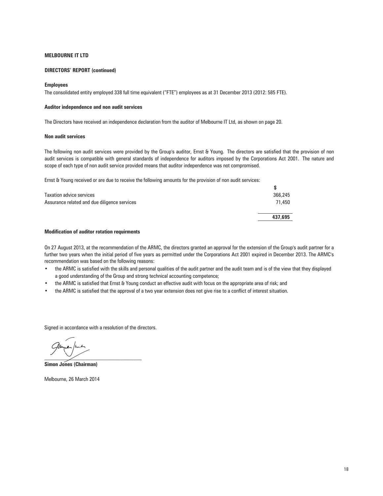# **DIRECTORS' REPORT (continued)**

#### **Employees**

The consolidated entity employed 338 full time equivalent ("FTE") employees as at 31 December 2013 (2012: 585 FTE).

#### **Auditor independence and non audit services**

The Directors have received an independence declaration from the auditor of Melbourne IT Ltd, as shown on page 20.

# **Non audit services**

The following non audit services were provided by the Group's auditor, Ernst & Young. The directors are satisfied that the provision of non audit services is compatible with general standards of independence for auditors imposed by the Corporations Act 2001. The nature and scope of each type of non audit service provided means that auditor independence was not compromised.

Ernst & Young received or are due to receive the following amounts for the provision of non audit services:

| <b>Taxation advice services</b>              | 366,245 |
|----------------------------------------------|---------|
| Assurance related and due diligence services | 71,450  |
|                                              | 437,695 |

#### **Modification of auditor rotation requirments**

On 27 August 2013, at the recommendation of the ARMC, the directors granted an approval for the extension of the Group's audit partner for a further two years when the initial period of five years as permitted under the Corporations Act 2001 expired in December 2013. The ARMC's recommendation was based on the following reasons:

- the ARMC is satisfied with the skills and personal qualities of the audit partner and the audit team and is of the view that they displayed a good understanding of the Group and strong technical accounting competence;
- the ARMC is satisfied that Ernst & Young conduct an effective audit with focus on the appropriate area of risk; and
- the ARMC is satisfied that the approval of a two year extension does not give rise to a conflict of interest situation.

Signed in accordance with a resolution of the directors.

 $\overline{\phantom{a}}$ 

**Simon Jones (Chairman)**

Melbourne, 26 March 2014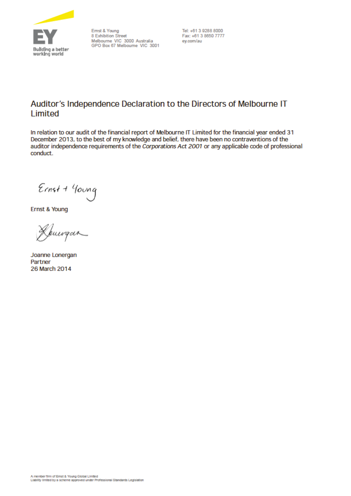

Emst & Young 8 Exhibition Street Melbourne VIC 3000 Australia<br>GPO Box 67 Melbourne VIC 3001

Tel: +61 3 9288 8000 Fax: +61 3 8650 7777 ey.com/au

# Auditor's Independence Declaration to the Directors of Melbourne IT Limited

In relation to our audit of the financial report of Melbourne IT Limited for the financial year ended 31 December 2013, to the best of my knowledge and belief, there have been no contraventions of the auditor independence requirements of the Corporations Act 2001 or any applicable code of professional conduct.

 $Ernst + Young$ 

Ernst & Young

Konwaan

Joanne Lonergan Partner 26 March 2014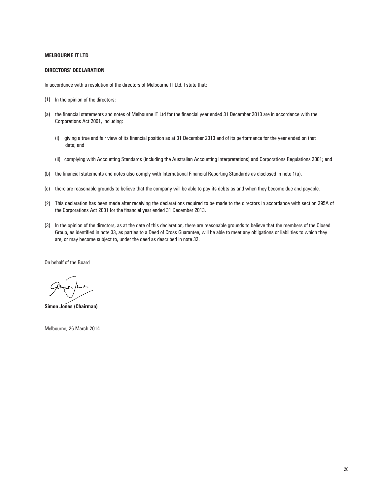# **DIRECTORS' DECLARATION**

In accordance with a resolution of the directors of Melbourne IT Ltd, I state that:

- (1) In the opinion of the directors:
- (a) the financial statements and notes of Melbourne IT Ltd for the financial year ended 31 December 2013 are in accordance with the Corporations Act 2001, including:
	- (i) giving a true and fair view of its financial position as at 31 December 2013 and of its performance for the year ended on that date; and
	- (ii) complying with Accounting Standards (including the Australian Accounting Interpretations) and Corporations Regulations 2001; and
- (b) the financial statements and notes also comply with International Financial Reporting Standards as disclosed in note 1(a).
- (c) there are reasonable grounds to believe that the company will be able to pay its debts as and when they become due and payable.
- (2) This declaration has been made after receiving the declarations required to be made to the directors in accordance with section 295A of the Corporations Act 2001 for the financial year ended 31 December 2013.
- (3) In the opinion of the directors, as at the date of this declaration, there are reasonable grounds to believe that the members of the Closed Group, as identified in note 33, as parties to a Deed of Cross Guarantee, will be able to meet any obligations or liabilities to which they are, or may become subject to, under the deed as described in note 32.

On behalf of the Board

 $\overline{\phantom{a}}$ 

**Simon Jones (Chairman)**

Melbourne, 26 March 2014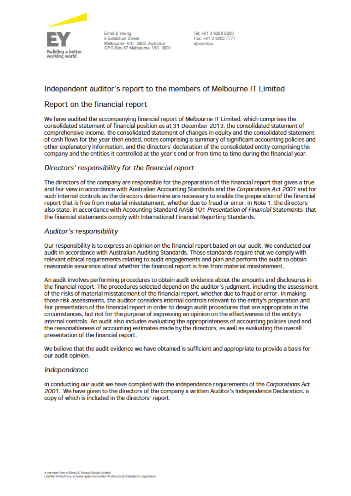

Ernst & Young 8 Exhibition Street Melbourne VIC 3000 Australia GPO Box 67 Melbourne VIC 3001

Tel: +61.3 9288 8000 Fax: +61 3 8650 7777 ev.com/au

# Independent auditor's report to the members of Melbourne IT Limited

# Report on the financial report

We have audited the accompanying financial report of Melbourne IT Limited, which comprises the consolidated statement of financial position as at 31 December 2013, the consolidated statement of comprehensive income, the consolidated statement of changes in equity and the consolidated statement of cash flows for the year then ended, notes comprising a summary of significant accounting policies and other explanatory information, and the directors' declaration of the consolidated entity comprising the company and the entities it controlled at the year's end or from time to time during the financial year.

# Directors' responsibility for the financial report

The directors of the company are responsible for the preparation of the financial report that gives a true and fair view in accordance with Australian Accounting Standards and the Corporations Act 2001 and for such internal controls as the directors determine are necessary to enable the preparation of the financial report that is free from material misstatement, whether due to fraud or error. In Note 1, the directors also state, in accordance with Accounting Standard AASB 101 Presentation of Financial Statements, that the financial statements comply with International Financial Reporting Standards.

# **Auditor's responsibility**

Our responsibility is to express an opinion on the financial report based on our audit. We conducted our audit in accordance with Australian Auditing Standards. Those standards require that we comply with relevant ethical requirements relating to audit engagements and plan and perform the audit to obtain reasonable assurance about whether the financial report is free from material misstatement.

An audit involves performing procedures to obtain audit evidence about the amounts and disclosures in the financial report. The procedures selected depend on the auditor's judgment, including the assessment of the risks of material misstatement of the financial report, whether due to fraud or error. In making those risk assessments, the auditor considers internal controls relevant to the entity's preparation and fair presentation of the financial report in order to design audit procedures that are appropriate in the circumstances, but not for the purpose of expressing an opinion on the effectiveness of the entity's internal controls. An audit also includes evaluating the appropriateness of accounting policies used and the reasonableness of accounting estimates made by the directors, as well as evaluating the overall presentation of the financial report.

We believe that the audit evidence we have obtained is sufficient and appropriate to provide a basis for our audit opinion.

### Independence

In conducting our audit we have complied with the independence requirements of the Corporations Act 2001. We have given to the directors of the company a written Auditor's Independence Declaration, a copy of which is included in the directors' report.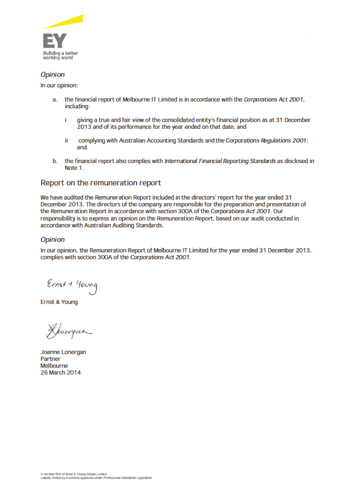

# **Opinion**

In our opinion:

- the financial report of Melbourne IT Limited is in accordance with the Corporations Act 2001, a. including:
	- j giving a true and fair view of the consolidated entity's financial position as at 31 December 2013 and of its performance for the year ended on that date; and
	- Ϊi complying with Australian Accounting Standards and the Corporations Regulations 2001; and
- b. the financial report also complies with International Financial Reporting Standards as disclosed in Note 1.

# Report on the remuneration report

We have audited the Remuneration Report included in the directors' report for the year ended 31 December 2013. The directors of the company are responsible for the preparation and presentation of the Remuneration Report in accordance with section 300A of the Corporations Act 2001. Our responsibility is to express an opinion on the Remuneration Report, based on our audit conducted in accordance with Australian Auditing Standards.

# **Opinion**

In our opinion, the Remuneration Report of Melbourne IT Limited for the year ended 31 December 2013, complies with section 300A of the Corporations Act 2001.

 $Ernst + Young$ 

Ernst & Young

Houwgan

Joanne Lonergan Partner Melbourne 26 March 2014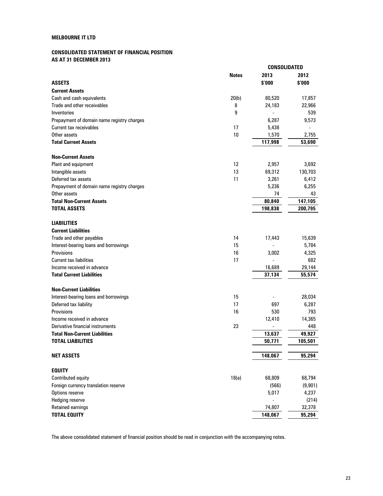# **CONSOLIDATED STATEMENT OF FINANCIAL POSITION AS AT 31 DECEMBER 2013**

|                                            |              | <b>CONSOLIDATED</b> |         |
|--------------------------------------------|--------------|---------------------|---------|
|                                            | <b>Notes</b> | 2013                | 2012    |
| <b>ASSETS</b>                              |              | \$'000              | \$'000  |
| <b>Current Assets</b>                      |              |                     |         |
| Cash and cash equivalents                  | 20(b)        | 80,520              | 17,857  |
| Trade and other receivables                | 8            | 24,183              | 22,966  |
| Inventories                                | 9            |                     | 539     |
| Prepayment of domain name registry charges |              | 6,287               | 9,573   |
| <b>Current tax receivables</b>             | 17           | 5,438               |         |
| Other assets                               | 10           | 1,570               | 2,755   |
| <b>Total Current Assets</b>                |              | 117,998             | 53,690  |
| <b>Non-Current Assets</b>                  |              |                     |         |
| Plant and equipment                        | 12           | 2,957               | 3,692   |
| Intangible assets                          | 13           | 69,312              | 130,703 |
| Deferred tax assets                        | 11           | 3,261               | 6,412   |
| Prepayment of domain name registry charges |              | 5,236               | 6,255   |
| Other assets                               |              | 74                  | 43      |
| <b>Total Non-Current Assets</b>            |              | 80,840              | 147,105 |
| <b>TOTAL ASSETS</b>                        |              | 198,838             | 200,795 |
| <b>LIABILITIES</b>                         |              |                     |         |
| <b>Current Liabilities</b>                 |              |                     |         |
| Trade and other payables                   | 14           | 17,443              | 15,639  |
| Interest-bearing loans and borrowings      | 15           |                     | 5,784   |
| Provisions                                 | 16           | 3,002               | 4,325   |
| <b>Current tax liabilities</b>             | 17           |                     | 682     |
| Income received in advance                 |              | 16,689              | 29,144  |
| <b>Total Current Liabilities</b>           |              | 37,134              | 55,574  |
| <b>Non-Current Liabilities</b>             |              |                     |         |
| Interest-bearing loans and borrowings      | 15           |                     | 28,034  |
| Deferred tax liability                     | 17           | 697                 | 6,287   |
| Provisions                                 | 16           | 530                 | 793     |
| Income received in advance                 |              | 12,410              | 14,365  |
| Derivative financial instruments           | 23           |                     | 448     |
| <b>Total Non-Current Liabilities</b>       |              | 13,637              | 49,927  |
| <b>TOTAL LIABILITIES</b>                   |              | 50,771              | 105,501 |
| <b>NET ASSETS</b>                          |              | 148,067             | 95,294  |
| <b>EQUITY</b>                              |              |                     |         |
| Contributed equity                         | 18(a)        | 68,809              | 68,794  |
| Foreign currency translation reserve       |              | (566)               | (9,901) |
| Options reserve                            |              | 5,017               | 4,237   |
| Hedging reserve                            |              |                     | (214)   |
| <b>Retained earnings</b>                   |              | 74,807              | 32,378  |
| <b>TOTAL EQUITY</b>                        |              | 148,067             | 95,294  |

The above consolidated statement of financial position should be read in conjunction with the accompanying notes.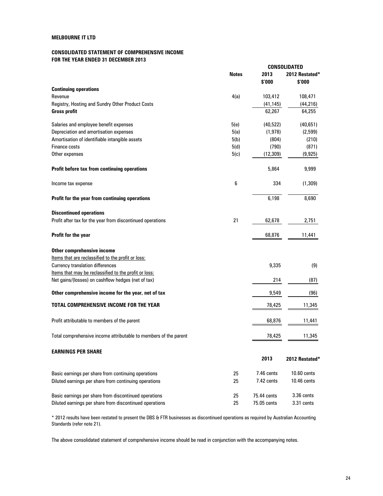# **CONSOLIDATED STATEMENT OF COMPREHENSIVE INCOME FOR THE YEAR ENDED 31 DECEMBER 2013**

|                                                                  |              |                | <b>CONSOLIDATED</b>      |
|------------------------------------------------------------------|--------------|----------------|--------------------------|
|                                                                  | <b>Notes</b> | 2013<br>\$'000 | 2012 Restated*<br>\$'000 |
| <b>Continuing operations</b>                                     |              |                |                          |
| Revenue                                                          | 4(a)         | 103,412        | 108,471                  |
| Registry, Hosting and Sundry Other Product Costs                 |              | (41, 145)      | (44, 216)                |
| <b>Gross profit</b>                                              |              | 62,267         | 64,255                   |
| Salaries and employee benefit expenses                           | 5(e)         | (40, 522)      | (40, 651)                |
| Depreciation and amortisation expenses                           | 5(a)         | (1, 978)       | (2,599)                  |
| Amortisation of identifiable intangible assets                   | 5(b)         | (804)          | (210)                    |
| <b>Finance costs</b>                                             | 5(d)         | (790)          | (871)                    |
| Other expenses                                                   | 5(c)         | (12, 309)      | (9, 925)                 |
| <b>Profit before tax from continuing operations</b>              |              | 5,864          | 9,999                    |
| Income tax expense                                               | 6            | 334            | (1, 309)                 |
| Profit for the year from continuing operations                   |              | 6,198          | 8,690                    |
| <b>Discontinued operations</b>                                   |              |                |                          |
| Profit after tax for the year from discontinued operations       | 21           | 62,678         | 2,751                    |
| Profit for the year                                              |              | 68,876         | 11,441                   |
| Other comprehensive income                                       |              |                |                          |
| Items that are reclassified to the profit or loss:               |              |                |                          |
| <b>Currency translation differences</b>                          |              | 9,335          | (9)                      |
| Items that may be reclassified to the profit or loss:            |              |                |                          |
| Net gains/(losses) on cashflow hedges (net of tax)               |              | 214            | (87)                     |
| Other comprehensive income for the year, net of tax              |              | 9,549          | (96)                     |
| <b>TOTAL COMPREHENSIVE INCOME FOR THE YEAR</b>                   |              | 78,425         | 11,345                   |
| Profit attributable to members of the parent                     |              | 68,876         | 11,441                   |
| Total comprehensive income attributable to members of the parent |              | 78,425         | 11,345                   |
| <b>EARNINGS PER SHARE</b>                                        |              |                |                          |
|                                                                  |              | 2013           | 2012 Restated*           |
| Basic earnings per share from continuing operations              | 25           | 7.46 cents     | 10.60 cents              |
| Diluted earnings per share from continuing operations            | 25           | 7.42 cents     | 10.46 cents              |
| Basic earnings per share from discontinued operations            | 25           | 75.44 cents    | 3.36 cents               |
| Diluted earnings per share from discontinued operations          | 25           | 75.05 cents    | 3.31 cents               |

\* 2012 results have been restated to present the DBS & FTR businesses as discontinued operations as required by Australian Accounting Standards (refer note 21).

The above consolidated statement of comprehensive income should be read in conjunction with the accompanying notes.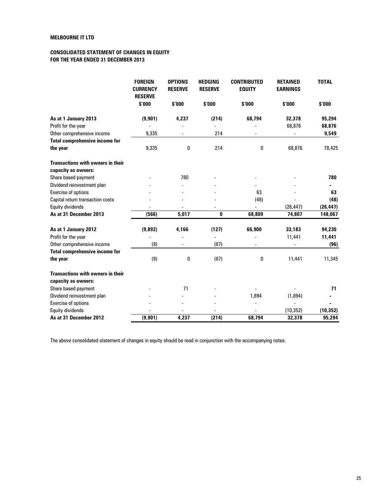# **CONSOLIDATED STATEMENT OF CHANGES IN EQUITY FOR THE YEAR ENDED 31 DECEMBER 2013**

|                                          | <b>FOREIGN</b><br><b>CURRENCY</b><br><b>RESERVE</b> | <b>OPTIONS</b><br><b>RESERVE</b> | <b>HEDGING</b><br><b>RESERVE</b> | <b>CONTRIBUTED</b><br><b>EQUITY</b> | <b>RETAINED</b><br><b>EARNINGS</b> | <b>TOTAL</b> |
|------------------------------------------|-----------------------------------------------------|----------------------------------|----------------------------------|-------------------------------------|------------------------------------|--------------|
|                                          | \$'000                                              | \$'000                           | \$'000                           | \$'000                              | \$'000                             | \$'000       |
| As at 1 January 2013                     | (9, 901)                                            | 4,237                            | (214)                            | 68,794                              | 32,378                             | 95,294       |
| Profit for the year                      |                                                     |                                  |                                  |                                     | 68,876                             | 68,876       |
| Other comprehensive income               | 9,335                                               | $\blacksquare$                   | 214                              |                                     |                                    | 9,549        |
| <b>Total comprehensive income for</b>    |                                                     |                                  |                                  |                                     |                                    |              |
| the year                                 | 9,335                                               | 0                                | 214                              | 0                                   | 68,876                             | 78,425       |
| <b>Transactions with owners in their</b> |                                                     |                                  |                                  |                                     |                                    |              |
| capacity as owners:                      |                                                     |                                  |                                  |                                     |                                    |              |
| Share based payment                      |                                                     | 780                              |                                  |                                     |                                    | 780          |
| Dividend reinvestment plan               |                                                     |                                  |                                  |                                     |                                    |              |
| Exercise of options                      |                                                     |                                  |                                  | 63                                  |                                    | 63           |
| Capital return transaction costs         |                                                     |                                  |                                  | (48)                                |                                    | (48)         |
| <b>Equity dividends</b>                  |                                                     |                                  |                                  |                                     | (26, 447)                          | (26, 447)    |
| As at 31 December 2013                   | (566)                                               | 5,017                            | $\pmb{0}$                        | 68,809                              | 74,807                             | 148,067      |
| As at 1 January 2012                     | (9, 892)                                            | 4,166                            | (127)                            | 66,900                              | 33,183                             | 94,230       |
| Profit for the year                      |                                                     |                                  |                                  |                                     | 11,441                             | 11,441       |
| Other comprehensive income               | (9)                                                 |                                  | (87)                             |                                     |                                    | (96)         |
| <b>Total comprehensive income for</b>    |                                                     |                                  |                                  |                                     |                                    |              |
| the year                                 | (9)                                                 | 0                                | (87)                             | 0                                   | 11,441                             | 11,345       |
| <b>Transactions with owners in their</b> |                                                     |                                  |                                  |                                     |                                    |              |
| capacity as owners:                      |                                                     |                                  |                                  |                                     |                                    |              |
| Share based payment                      |                                                     | 71                               |                                  |                                     |                                    | 71           |
| Dividend reinvestment plan               |                                                     |                                  |                                  | 1,894                               | (1, 894)                           |              |
| <b>Exercise of options</b>               |                                                     |                                  |                                  |                                     |                                    |              |
| <b>Equity dividends</b>                  |                                                     |                                  |                                  |                                     | (10, 352)                          | (10, 352)    |
| As at 31 December 2012                   | (9, 901)                                            | 4,237                            | (214)                            | 68,794                              | 32,378                             | 95,294       |

The above consolidated statement of changes in equity should be read in conjunction with the accompanying notes.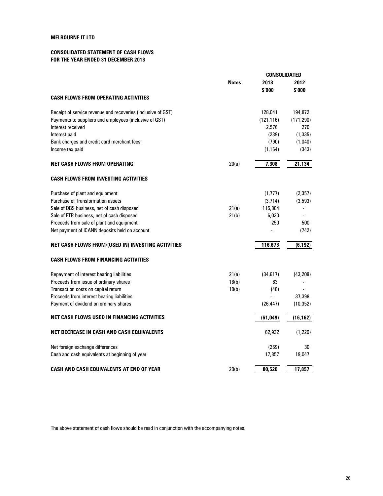# **CONSOLIDATED STATEMENT OF CASH FLOWS FOR THE YEAR ENDED 31 DECEMBER 2013**

|                                                              |              | <b>CONSOLIDATED</b> |            |
|--------------------------------------------------------------|--------------|---------------------|------------|
|                                                              | <b>Notes</b> | 2013                | 2012       |
| <b>CASH FLOWS FROM OPERATING ACTIVITIES</b>                  |              | \$'000              | \$'000     |
| Receipt of service revenue and recoveries (inclusive of GST) |              | 128,041             | 194,872    |
| Payments to suppliers and employees (inclusive of GST)       |              | (121, 116)          | (171, 290) |
| Interest received                                            |              | 2,576               | 270        |
| Interest paid                                                |              | (239)               | (1, 335)   |
| Bank charges and credit card merchant fees                   |              | (790)               | (1,040)    |
| Income tax paid                                              |              | (1, 164)            | (343)      |
| <b>NET CASH FLOWS FROM OPERATING</b>                         | 20(a)        | 7,308               | 21,134     |
| <b>CASH FLOWS FROM INVESTING ACTIVITIES</b>                  |              |                     |            |
| Purchase of plant and equipment                              |              | (1, 777)            | (2, 357)   |
| <b>Purchase of Transformation assets</b>                     |              | (3, 714)            | (3, 593)   |
| Sale of DBS business, net of cash disposed                   | 21(a)        | 115,884             |            |
| Sale of FTR business, net of cash disposed                   | 21(b)        | 6,030               |            |
| Proceeds from sale of plant and equipment                    |              | 250                 | 500        |
| Net payment of ICANN deposits held on account                |              |                     | (742)      |
| <b>NET CASH FLOWS FROM/(USED IN) INVESTING ACTIVITIES</b>    |              | 116,673             | (6, 192)   |
| <b>CASH FLOWS FROM FINANCING ACTIVITIES</b>                  |              |                     |            |
| Repayment of interest bearing liabilities                    | 21(a)        | (34, 617)           | (43, 208)  |
| Proceeds from issue of ordinary shares                       | 18(b)        | 63                  |            |
| Transaction costs on capital return                          | 18(b)        | (48)                |            |
| Proceeds from interest bearing liabilities                   |              |                     | 37,398     |
| Payment of dividend on ordinary shares                       |              | (26, 447)           | (10, 352)  |
| <b>NET CASH FLOWS USED IN FINANCING ACTIVITIES</b>           |              | (61, 049)           | (16, 162)  |
| <b>NET DECREASE IN CASH AND CASH EQUIVALENTS</b>             |              | 62,932              | (1, 220)   |
| Net foreign exchange differences                             |              | (269)               | 30         |
| Cash and cash equivalents at beginning of year               |              | 17,857              | 19,047     |
| CASH AND CASH EQUIVALENTS AT END OF YEAR                     | 20(b)        | 80,520              | 17,857     |

The above statement of cash flows should be read in conjunction with the accompanying notes.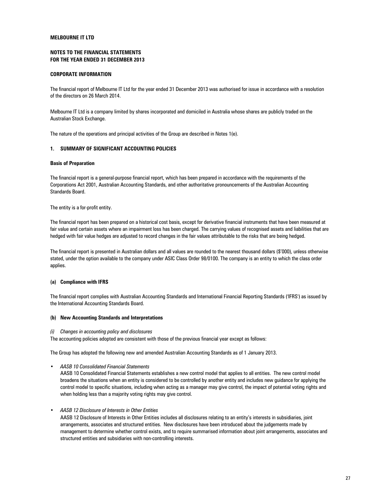# **NOTES TO THE FINANCIAL STATEMENTS FOR THE YEAR ENDED 31 DECEMBER 2013**

# **CORPORATE INFORMATION**

The financial report of Melbourne IT Ltd for the year ended 31 December 2013 was authorised for issue in accordance with a resolution of the directors on 26 March 2014.

Melbourne IT Ltd is a company limited by shares incorporated and domiciled in Australia whose shares are publicly traded on the Australian Stock Exchange.

The nature of the operations and principal activities of the Group are described in Notes 1(e).

# **1. SUMMARY OF SIGNIFICANT ACCOUNTING POLICIES**

## **Basis of Preparation**

The financial report is a general-purpose financial report, which has been prepared in accordance with the requirements of the Corporations Act 2001, Australian Accounting Standards, and other authoritative pronouncements of the Australian Accounting Standards Board.

The entity is a for-profit entity.

The financial report has been prepared on a historical cost basis, except for derivative financial instruments that have been measured at fair value and certain assets where an impairment loss has been charged. The carrying values of recognised assets and liabilities that are hedged with fair value hedges are adjusted to record changes in the fair values attributable to the risks that are being hedged.

The financial report is presented in Australian dollars and all values are rounded to the nearest thousand dollars (\$'000), unless otherwise stated, under the option available to the company under ASIC Class Order 98/0100. The company is an entity to which the class order applies.

# **(a) Compliance with IFRS**

The financial report complies with Australian Accounting Standards and International Financial Reporting Standards ('IFRS') as issued by the International Accounting Standards Board.

# **(b) New Accounting Standards and Interpretations**

# *(i) Changes in accounting policy and disclosures*

The accounting policies adopted are consistent with those of the previous financial year except as follows:

The Group has adopted the following new and amended Australian Accounting Standards as of 1 January 2013.

• *AASB 10 Consolidated Financial Statements*

AASB 10 Consolidated Financial Statements establishes a new control model that applies to all entities. The new control model broadens the situations when an entity is considered to be controlled by another entity and includes new guidance for applying the control model to specific situations, including when acting as a manager may give control, the impact of potential voting rights and when holding less than a majority voting rights may give control.

#### • *AASB 12 Disclosure of Interests in Other Entities*

AASB 12 Disclosure of Interests in Other Entities includes all disclosures relating to an entity's interests in subsidiaries, joint arrangements, associates and structured entities. New disclosures have been introduced about the judgements made by management to determine whether control exists, and to require summarised information about joint arrangements, associates and structured entities and subsidiaries with non-controlling interests.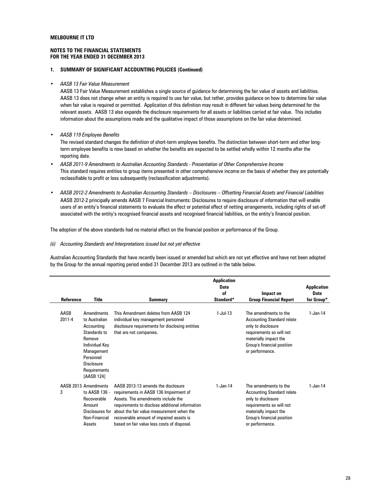# **NOTES TO THE FINANCIAL STATEMENTS FOR THE YEAR ENDED 31 DECEMBER 2013**

# **1. SUMMARY OF SIGNIFICANT ACCOUNTING POLICIES (Continued)**

#### • *AASB 13 Fair Value Measurement*

AASB 13 Fair Value Measurement establishes a single source of guidance for determining the fair value of assets and liabilities. AASB 13 does not change when an entity is required to use fair value, but rather, provides guidance on how to determine fair value when fair value is required or permitted. Application of this definition may result in different fair values being determined for the relevant assets. AASB 13 also expands the disclosure requirements for all assets or liabilities carried at fair value. This includes information about the assumptions made and the qualitative impact of those assumptions on the fair value determined.

#### • *AASB 119 Employee Benefits*

The revised standard changes the definition of short-term employee benefits. The distinction between short-term and other longterm employee benefits is now based on whether the benefits are expected to be settled wholly within 12 months after the reporting date.

- This standard requires entities to group items presented in other comprehensive income on the basis of whether they are potentially reclassifiable to profit or loss subsequently (reclassification adjustments). *AASB 2011-9 Amendments to Australian Accounting Standards - Presentation of Other Comprehensive Income*
- *AASB 2012-2 Amendments to Australian Accounting Standards – Disclosures – Offsetting Financial Assets and Financial Liabilities* AASB 2012-2 principally amends AASB 7 Financial Instruments: Disclosures to require disclosure of information that will enable users of an entity's financial statements to evaluate the effect or potential effect of netting arrangements, including rights of set-off associated with the entity's recognised financial assets and recognised financial liabilities, on the entity's financial position.

The adoption of the above standards had no material effect on the financial position or performance of the Group.

# *(ii) Accounting Standards and Interpretations issued but not yet effective*

Australian Accounting Standards that have recently been issued or amended but which are not yet effective and have not been adopted by the Group for the annual reporting period ended 31 December 2013 are outlined in the table below.

| <b>Reference</b> | Title                                                                                                                                                        | <b>Summary</b>                                                                                                                                                                                                                                                                                                | <b>Application</b><br><b>Date</b><br>of<br>Standard* | Impact on<br><b>Group Financial Report</b>                                                                                                                                             | <b>Application</b><br><b>Date</b><br>for Group* |
|------------------|--------------------------------------------------------------------------------------------------------------------------------------------------------------|---------------------------------------------------------------------------------------------------------------------------------------------------------------------------------------------------------------------------------------------------------------------------------------------------------------|------------------------------------------------------|----------------------------------------------------------------------------------------------------------------------------------------------------------------------------------------|-------------------------------------------------|
| AASB<br>2011-4   | Amendments<br>to Australian<br>Accounting<br>Standards to<br>Remove<br>Individual Key<br>Management<br>Personnel<br>Disclosure<br>Requirements<br>[AASB 124] | This Amendment deletes from AASB 124<br>individual key management personnel<br>disclosure requirements for disclosing entities<br>that are not companies.                                                                                                                                                     | $1$ -Jul-13                                          | The amendments to the<br><b>Accounting Standard relate</b><br>only to disclosure<br>requirements so will not<br>materially impact the<br>Group's financial position<br>or performance. | 1-Jan-14                                        |
| 3                | AASB 2013-Amendments<br>to AASB 136 -<br>Recoverable<br>Amount<br>Disclosures for<br>Non-Financial<br>Assets                                                 | AASB 2013-13 amends the disclosure<br>requirements in AASB 136 Impairment of<br>Assets. The amendments include the<br>requirements to disclose additional information<br>about the fair value measurement when the<br>recoverable amount of impaired assets is<br>based on fair value less costs of disposal. | $1-Jan-14$                                           | The amendments to the<br><b>Accounting Standard relate</b><br>only to disclosure<br>requirements so will not<br>materially impact the<br>Group's financial position<br>or performance. | $1$ -Jan-14                                     |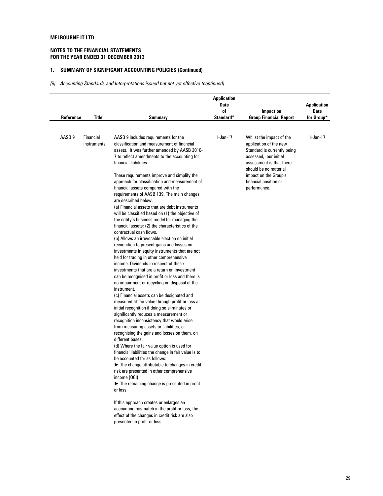# **NOTES TO THE FINANCIAL STATEMENTS FOR THE YEAR ENDED 31 DECEMBER 2013**

# **1. SUMMARY OF SIGNIFICANT ACCOUNTING POLICIES (Continued)**

*(ii) Accounting Standards and Interpretations issued but not yet effective (continued)*

|                         | <b>Summary</b>                                                                                                                                                                                                                                                                                                                                                                                                                                                                                                                                                                                                                                                                                                                                                                                                                                                                                                                                                                                                                                                                                                                                                                                                                                                                                                                                                                                                                                                                                                                                                                                                                                                                                                                                                                                | <b>Title</b>                            | Reference                |
|-------------------------|-----------------------------------------------------------------------------------------------------------------------------------------------------------------------------------------------------------------------------------------------------------------------------------------------------------------------------------------------------------------------------------------------------------------------------------------------------------------------------------------------------------------------------------------------------------------------------------------------------------------------------------------------------------------------------------------------------------------------------------------------------------------------------------------------------------------------------------------------------------------------------------------------------------------------------------------------------------------------------------------------------------------------------------------------------------------------------------------------------------------------------------------------------------------------------------------------------------------------------------------------------------------------------------------------------------------------------------------------------------------------------------------------------------------------------------------------------------------------------------------------------------------------------------------------------------------------------------------------------------------------------------------------------------------------------------------------------------------------------------------------------------------------------------------------|-----------------------------------------|--------------------------|
|                         |                                                                                                                                                                                                                                                                                                                                                                                                                                                                                                                                                                                                                                                                                                                                                                                                                                                                                                                                                                                                                                                                                                                                                                                                                                                                                                                                                                                                                                                                                                                                                                                                                                                                                                                                                                                               |                                         |                          |
| Standard*<br>$1-Jan-17$ | AASB 9 includes requirements for the<br>classification and measurement of financial<br>assets. It was further amended by AASB 2010-<br>7 to reflect amendments to the accounting for<br>financial liabilities.<br>These requirements improve and simplify the<br>approach for classification and measurement of<br>financial assets compared with the<br>requirements of AASB 139. The main changes<br>are described below.<br>(a) Financial assets that are debt instruments<br>will be classified based on (1) the objective of<br>the entity's business model for managing the<br>financial assets; (2) the characteristics of the<br>contractual cash flows.<br>(b) Allows an irrevocable election on initial<br>recognition to present gains and losses on<br>investments in equity instruments that are not<br>held for trading in other comprehensive<br>income. Dividends in respect of these<br>investments that are a return on investment<br>can be recognised in profit or loss and there is<br>no impairment or recycling on disposal of the<br>instrument.<br>(c) Financial assets can be designated and<br>measured at fair value through profit or loss at<br>initial recognition if doing so eliminates or<br>significantly reduces a measurement or<br>recognition inconsistency that would arise<br>from measuring assets or liabilities, or<br>recognising the gains and losses on them, on<br>different bases.<br>(d) Where the fair value option is used for<br>financial liabilities the change in fair value is to<br>be accounted for as follows:<br>$\blacktriangleright$ The change attributable to changes in credit<br>risk are presented in other comprehensive<br>income (OCI)<br>$\blacktriangleright$ The remaining change is presented in profit<br>or loss |                                         | AASB <sub>9</sub>        |
|                         |                                                                                                                                                                                                                                                                                                                                                                                                                                                                                                                                                                                                                                                                                                                                                                                                                                                                                                                                                                                                                                                                                                                                                                                                                                                                                                                                                                                                                                                                                                                                                                                                                                                                                                                                                                                               | If this approach creates or enlarges an | Financial<br>instruments |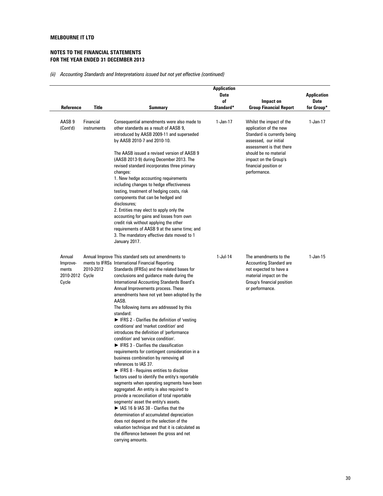# **NOTES TO THE FINANCIAL STATEMENTS FOR THE YEAR ENDED 31 DECEMBER 2013**

|  |  |  | (ii) Accounting Standards and Interpretations issued but not yet effective (continued) |  |  |  |
|--|--|--|----------------------------------------------------------------------------------------|--|--|--|
|--|--|--|----------------------------------------------------------------------------------------|--|--|--|

| Reference                                               | <b>Title</b>             | <b>Summary</b>                                                                                                                                                                                                                                                                                                                                                                                                                                                                                                                                                                                                                                                                                                                                                                                                                                                                                                                                                                                                                                                                                                                                                                                                                                                                                                                              | <b>Application</b><br><b>Date</b><br>of<br>Standard* | Impact on<br><b>Group Financial Report</b>                                                                                                                                                                                        | <b>Application</b><br><b>Date</b><br>for Group* |
|---------------------------------------------------------|--------------------------|---------------------------------------------------------------------------------------------------------------------------------------------------------------------------------------------------------------------------------------------------------------------------------------------------------------------------------------------------------------------------------------------------------------------------------------------------------------------------------------------------------------------------------------------------------------------------------------------------------------------------------------------------------------------------------------------------------------------------------------------------------------------------------------------------------------------------------------------------------------------------------------------------------------------------------------------------------------------------------------------------------------------------------------------------------------------------------------------------------------------------------------------------------------------------------------------------------------------------------------------------------------------------------------------------------------------------------------------|------------------------------------------------------|-----------------------------------------------------------------------------------------------------------------------------------------------------------------------------------------------------------------------------------|-------------------------------------------------|
| AASB <sub>9</sub><br>(Cont'd)                           | Financial<br>instruments | Consequential amendments were also made to<br>other standards as a result of AASB 9,<br>introduced by AASB 2009-11 and superseded<br>by AASB 2010-7 and 2010-10.<br>The AASB issued a revised version of AASB 9<br>(AASB 2013-9) during December 2013. The<br>revised standard incorporates three primary<br>changes:<br>1. New hedge accounting requirements<br>including changes to hedge effectiveness<br>testing, treatment of hedging costs, risk<br>components that can be hedged and<br>disclosures;<br>2. Entities may elect to apply only the<br>accounting for gains and losses from own<br>credit risk without applying the other<br>requirements of AASB 9 at the same time; and<br>3. The mandatory effective date moved to 1<br>January 2017.                                                                                                                                                                                                                                                                                                                                                                                                                                                                                                                                                                                 | $1-Jan-17$                                           | Whilst the impact of the<br>application of the new<br>Standard is currently being<br>assessed, our initial<br>assessment is that there<br>should be no material<br>impact on the Group's<br>financial position or<br>performance. | 1-Jan-17                                        |
| Annual<br>Improve-<br>ments<br>2010-2012 Cycle<br>Cycle | 2010-2012                | Annual Improve This standard sets out amendments to<br>ments to IFRSs International Financial Reporting<br>Standards (IFRSs) and the related bases for<br>conclusions and guidance made during the<br><b>International Accounting Standards Board's</b><br>Annual Improvements process. These<br>amendments have not yet been adopted by the<br>AASB.<br>The following items are addressed by this<br>standard:<br>FRS 2 - Clarifies the definition of 'vesting<br>conditions' and 'market condition' and<br>introduces the definition of 'performance<br>condition' and 'service condition'.<br>$\blacktriangleright$ IFRS 3 - Clarifies the classification<br>requirements for contingent consideration in a<br>business combination by removing all<br>references to IAS 37.<br>$\blacktriangleright$ IFRS 8 - Requires entities to disclose<br>factors used to identify the entity's reportable<br>segments when operating segments have been<br>aggregated. An entity is also required to<br>provide a reconciliation of total reportable<br>segments' asset the entity's assets.<br>IAS 16 & IAS 38 - Clarifies that the<br>determination of accumulated depreciation<br>does not depend on the selection of the<br>valuation technique and that it is calculated as<br>the difference between the gross and net<br>carrying amounts. | $1$ -Jul-14                                          | The amendments to the<br><b>Accounting Standard are</b><br>not expected to have a<br>material impact on the<br>Group's financial position<br>or performance.                                                                      | $1-Jan-15$                                      |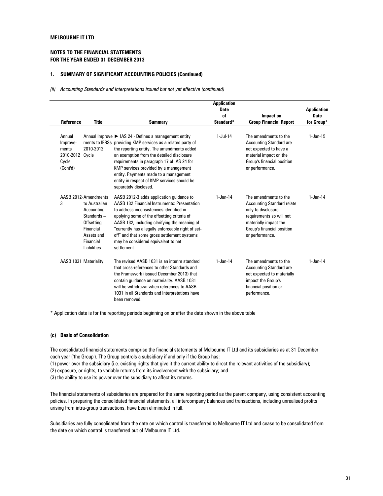# **NOTES TO THE FINANCIAL STATEMENTS FOR THE YEAR ENDED 31 DECEMBER 2013**

# **1. SUMMARY OF SIGNIFICANT ACCOUNTING POLICIES (Continued)**

## *(ii) Accounting Standards and Interpretations issued but not yet effective (continued)*

| Reference                                                           | <b>Title</b>                                                                                                                              | <b>Summary</b>                                                                                                                                                                                                                                                                                                                                                                                                          | <b>Application</b><br><b>Date</b><br>of<br>Standard* | Impact on<br><b>Group Financial Report</b>                                                                                                                                             | <b>Application</b><br><b>Date</b><br>for Group* |
|---------------------------------------------------------------------|-------------------------------------------------------------------------------------------------------------------------------------------|-------------------------------------------------------------------------------------------------------------------------------------------------------------------------------------------------------------------------------------------------------------------------------------------------------------------------------------------------------------------------------------------------------------------------|------------------------------------------------------|----------------------------------------------------------------------------------------------------------------------------------------------------------------------------------------|-------------------------------------------------|
| Annual<br>Improve-<br>ments<br>2010-2012 Cycle<br>Cycle<br>(Cont'd) | 2010-2012                                                                                                                                 | Annual Improve ▶ IAS 24 - Defines a management entity<br>ments to IFRSs providing KMP services as a related party of<br>the reporting entity. The amendments added<br>an exemption from the detailed disclosure<br>requirements in paragraph 17 of IAS 24 for<br>KMP services provided by a management<br>entity. Payments made to a management<br>entity in respect of KMP services should be<br>separately disclosed. | $1$ -Jul-14                                          | The amendments to the<br><b>Accounting Standard are</b><br>not expected to have a<br>material impact on the<br>Group's financial position<br>or performance.                           | $1-Jan-15$                                      |
| 3                                                                   | AASB 2012-Amendments<br>to Australian<br>Accounting<br>Standards $-$<br>Offsetting<br>Financial<br>Assets and<br>Financial<br>Liabilities | AASB 2012-3 adds application guidance to<br><b>AASB 132 Financial Instruments: Presentation</b><br>to address inconsistencies identified in<br>applying some of the offsetting criteria of<br>AASB 132, including clarifying the meaning of<br>"currently has a legally enforceable right of set-<br>off" and that some gross settlement systems<br>may be considered equivalent to net<br>settlement.                  | $1-Jan-14$                                           | The amendments to the<br><b>Accounting Standard relate</b><br>only to disclosure<br>requirements so will not<br>materially impact the<br>Group's financial position<br>or performance. | $1$ -Jan-14                                     |
| AASB 1031 Materiality                                               |                                                                                                                                           | The revised AASB 1031 is an interim standard<br>that cross-references to other Standards and<br>the Framework (issued December 2013) that<br>contain guidance on materiality. AASB 1031<br>will be withdrawn when references to AASB<br>1031 in all Standards and Interpretations have<br>been removed.                                                                                                                 | $1-Jan-14$                                           | The amendments to the<br><b>Accounting Standard are</b><br>not expected to materially<br>impact the Group's<br>financial position or<br>performance.                                   | $1-Jan-14$                                      |

\* Application date is for the reporting periods beginning on or after the date shown in the above table

#### **(c) Basis of Consolidation**

The consolidated financial statements comprise the financial statements of Melbourne IT Ltd and its subsidiaries as at 31 December each year ('the Group'). The Group controls a subsidiary if and only if the Group has:

(1) power over the subsidiary (i.e. existing rights that give it the current ability to direct the relevant activities of the subsidiary);

(2) exposure, or rights, to variable returns from its involvement with the subsidiary; and

(3) the ability to use its power over the subsidiary to affect its returns.

The financial statements of subsidiaries are prepared for the same reporting period as the parent company, using consistent accounting policies. In preparing the consolidated financial statements, all intercompany balances and transactions, including unrealised profits arising from intra-group transactions, have been eliminated in full.

Subsidiaries are fully consolidated from the date on which control is transferred to Melbourne IT Ltd and cease to be consolidated from the date on which control is transferred out of Melbourne IT Ltd.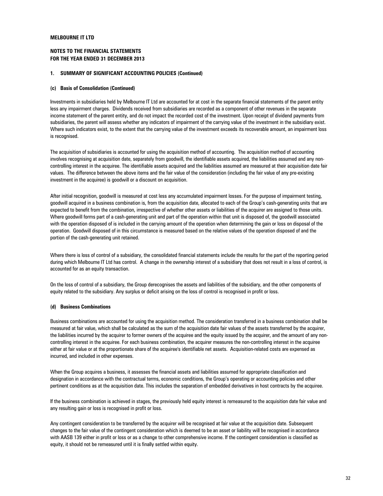# **NOTES TO THE FINANCIAL STATEMENTS FOR THE YEAR ENDED 31 DECEMBER 2013**

# **1. SUMMARY OF SIGNIFICANT ACCOUNTING POLICIES (Continued)**

#### **(c) Basis of Consolidation (Continued)**

Investments in subsidiaries held by Melbourne IT Ltd are accounted for at cost in the separate financial statements of the parent entity less any impairment charges. Dividends received from subsidiaries are recorded as a component of other revenues in the separate income statement of the parent entity, and do not impact the recorded cost of the investment. Upon receipt of dividend payments from subsidiaries, the parent will assess whether any indicators of impairment of the carrying value of the investment in the subsidiary exist. Where such indicators exist, to the extent that the carrying value of the investment exceeds its recoverable amount, an impairment loss is recognised.

The acquisition of subsidiaries is accounted for using the acquisition method of accounting. The acquisition method of accounting involves recognising at acquisition date, separately from goodwill, the identifiable assets acquired, the liabilities assumed and any noncontrolling interest in the acquiree. The identifiable assets acquired and the liabilities assumed are measured at their acquisition date fair values. The difference between the above items and the fair value of the consideration (including the fair value of any pre-existing investment in the acquiree) is goodwill or a discount on acquisition.

After initial recognition, goodwill is measured at cost less any accumulated impairment losses. For the purpose of impairment testing, goodwill acquired in a business combination is, from the acquisition date, allocated to each of the Group's cash-generating units that are expected to benefit from the combination, irrespective of whether other assets or liabilities of the acquirer are assigned to those units. Where goodwill forms part of a cash-generating unit and part of the operation within that unit is disposed of, the goodwill associated with the operation disposed of is included in the carrying amount of the operation when determining the gain or loss on disposal of the operation. Goodwill disposed of in this circumstance is measured based on the relative values of the operation disposed of and the portion of the cash-generating unit retained.

Where there is loss of control of a subsidiary, the consolidated financial statements include the results for the part of the reporting period during which Melbourne IT Ltd has control. A change in the ownership interest of a subsidiary that does not result in a loss of control, is accounted for as an equity transaction.

On the loss of control of a subsidiary, the Group derecognises the assets and liabilities of the subsidiary, and the other components of equity related to the subsidiary. Any surplus or deficit arising on the loss of control is recognised in profit or loss.

#### **(d) Business Combinations**

Business combinations are accounted for using the acquisition method. The consideration transferred in a business combination shall be measured at fair value, which shall be calculated as the sum of the acquisition date fair values of the assets transferred by the acquirer, the liabilities incurred by the acquirer to former owners of the acquiree and the equity issued by the acquirer, and the amount of any noncontrolling interest in the acquiree. For each business combination, the acquirer measures the non-controlling interest in the acquiree either at fair value or at the proportionate share of the acquiree's identifiable net assets. Acquisition-related costs are expensed as incurred, and included in other expenses.

When the Group acquires a business, it assesses the financial assets and liabilities assumed for appropriate classification and designation in accordance with the contractual terms, economic conditions, the Group's operating or accounting policies and other pertinent conditions as at the acquisition date. This includes the separation of embedded derivatives in host contracts by the acquiree.

If the business combination is achieved in stages, the previously held equity interest is remeasured to the acquisition date fair value and any resulting gain or loss is recognised in profit or loss.

Any contingent consideration to be transferred by the acquirer will be recognised at fair value at the acquisition date. Subsequent changes to the fair value of the contingent consideration which is deemed to be an asset or liability will be recognised in accordance with AASB 139 either in profit or loss or as a change to other comprehensive income. If the contingent consideration is classified as equity, it should not be remeasured until it is finally settled within equity.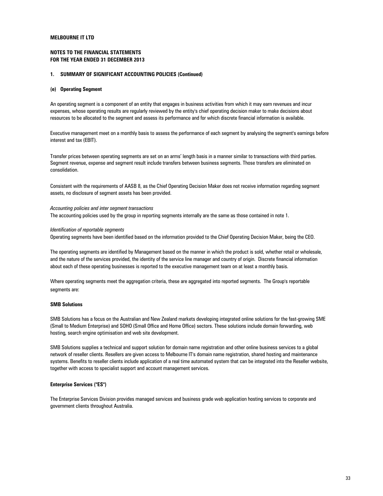# **NOTES TO THE FINANCIAL STATEMENTS FOR THE YEAR ENDED 31 DECEMBER 2013**

# **1. SUMMARY OF SIGNIFICANT ACCOUNTING POLICIES (Continued)**

# **(e) Operating Segment**

An operating segment is a component of an entity that engages in business activities from which it may earn revenues and incur expenses, whose operating results are regularly reviewed by the entity's chief operating decision maker to make decisions about resources to be allocated to the segment and assess its performance and for which discrete financial information is available.

Executive management meet on a monthly basis to assess the performance of each segment by analysing the segment's earnings before interest and tax (EBIT).

Transfer prices between operating segments are set on an arms' length basis in a manner similar to transactions with third parties. Segment revenue, expense and segment result include transfers between business segments. Those transfers are eliminated on consolidation.

Consistent with the requirements of AASB 8, as the Chief Operating Decision Maker does not receive information regarding segment assets, no disclosure of segment assets has been provided.

## *Accounting policies and inter segment transactions*

The accounting policies used by the group in reporting segments internally are the same as those contained in note 1.

## *Identification of reportable segments*

Operating segments have been identified based on the information provided to the Chief Operating Decision Maker, being the CEO.

The operating segments are identified by Management based on the manner in which the product is sold, whether retail or wholesale, and the nature of the services provided, the identity of the service line manager and country of origin. Discrete financial information about each of these operating businesses is reported to the executive management team on at least a monthly basis.

Where operating segments meet the aggregation criteria, these are aggregated into reported segments. The Group's reportable segments are:

#### **SMB Solutions**

SMB Solutions has a focus on the Australian and New Zealand markets developing integrated online solutions for the fast-growing SME (Small to Medium Enterprise) and SOHO (Small Office and Home Office) sectors. These solutions include domain forwarding, web hosting, search engine optimisation and web site development.

SMB Solutions supplies a technical and support solution for domain name registration and other online business services to a global network of reseller clients. Resellers are given access to Melbourne IT's domain name registration, shared hosting and maintenance systems. Benefits to reseller clients include application of a real time automated system that can be integrated into the Reseller website, together with access to specialist support and account management services.

# **Enterprise Services ("ES")**

The Enterprise Services Division provides managed services and business grade web application hosting services to corporate and government clients throughout Australia.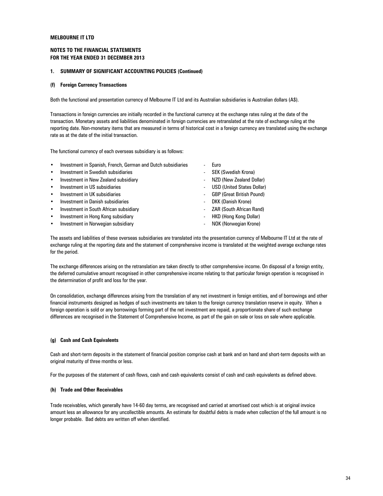# **NOTES TO THE FINANCIAL STATEMENTS FOR THE YEAR ENDED 31 DECEMBER 2013**

# **1. SUMMARY OF SIGNIFICANT ACCOUNTING POLICIES (Continued)**

# **(f) Foreign Currency Transactions**

Both the functional and presentation currency of Melbourne IT Ltd and its Australian subsidiaries is Australian dollars (A\$).

Transactions in foreign currencies are initially recorded in the functional currency at the exchange rates ruling at the date of the transaction. Monetary assets and liabilities denominated in foreign currencies are retranslated at the rate of exchange ruling at the reporting date. Non-monetary items that are measured in terms of historical cost in a foreign currency are translated using the exchange rate as at the date of the initial transaction.

The functional currency of each overseas subsidiary is as follows:

- Investment in Spanish, French, German and Dutch subsidiaries Euro
- Investment in Swedish subsidiaries **Accord 2018** The SEK (Swedish Krona)
- Investment in New Zealand subsidiary **Accord 2018** NZD (New Zealand Dollar)
- Investment in US subsidiaries Contract Contract Contract Contract Contract Contract Contract Contract Contract Contract Contract Contract Contract Contract Contract Contract Contract Contract Contract Contract Contract
- Investment in UK subsidiaries **Accord 2018** 10 and 2019 10 and 30 and 31 and 42 and 42 and 52 and 52 and 52 and 52 and 52 and 52 and 52 and 52 and 52 and 52 and 52 and 52 and 52 and 52 and 52 and 52 and 52 and 52 and 52 an
- Investment in Danish subsidiaries **Access 1986** DKK (Danish Krone)
- Investment in South African subsidiary **Fig. 2008** ZAR (South African Rand)
- Investment in Hong Kong subsidiary and the state of the HKD (Hong Kong Dollar)
- Investment in Norwegian subsidiary and the state of the NOK (Norwegian Krone)
- 
- 
- 
- 
- 
- 
- 
- 
- 

The assets and liabilities of these overseas subsidiaries are translated into the presentation currency of Melbourne IT Ltd at the rate of exchange ruling at the reporting date and the statement of comprehensive income is translated at the weighted average exchange rates for the period.

The exchange differences arising on the retranslation are taken directly to other comprehensive income. On disposal of a foreign entity, the deferred cumulative amount recognised in other comprehensive income relating to that particular foreign operation is recognised in the determination of profit and loss for the year.

On consolidation, exchange differences arising from the translation of any net investment in foreign entities, and of borrowings and other financial instruments designed as hedges of such investments are taken to the foreign currency translation reserve in equity. When a foreign operation is sold or any borrowings forming part of the net investment are repaid, a proportionate share of such exchange differences are recognised in the Statement of Comprehensive Income, as part of the gain on sale or loss on sale where applicable.

# **(g) Cash and Cash Equivalents**

Cash and short-term deposits in the statement of financial position comprise cash at bank and on hand and short-term deposits with an original maturity of three months or less.

For the purposes of the statement of cash flows, cash and cash equivalents consist of cash and cash equivalents as defined above.

# **(h) Trade and Other Receivables**

Trade receivables, which generally have 14-60 day terms, are recognised and carried at amortised cost which is at original invoice amount less an allowance for any uncollectible amounts. An estimate for doubtful debts is made when collection of the full amount is no longer probable. Bad debts are written off when identified.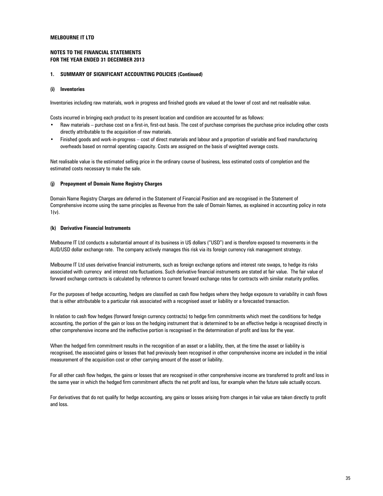# **NOTES TO THE FINANCIAL STATEMENTS FOR THE YEAR ENDED 31 DECEMBER 2013**

# **1. SUMMARY OF SIGNIFICANT ACCOUNTING POLICIES (Continued)**

# **(i) Inventories**

Inventories including raw materials, work in progress and finished goods are valued at the lower of cost and net realisable value.

Costs incurred in bringing each product to its present location and condition are accounted for as follows:

- Raw materials – purchase cost on a first-in, first-out basis. The cost of purchase comprises the purchase price including other costs directly attributable to the acquisition of raw materials.
- Finished goods and work-in-progress – cost of direct materials and labour and a proportion of variable and fixed manufacturing overheads based on normal operating capacity. Costs are assigned on the basis of weighted average costs.

Net realisable value is the estimated selling price in the ordinary course of business, less estimated costs of completion and the estimated costs necessary to make the sale.

# **(j) Prepayment of Domain Name Registry Charges**

Domain Name Registry Charges are deferred in the Statement of Financial Position and are recognised in the Statement of Comprehensive income using the same principles as Revenue from the sale of Domain Names, as explained in accounting policy in note  $1(v)$ .

# **(k) Derivative Financial Instruments**

Melbourne IT Ltd conducts a substantial amount of its business in US dollars ("USD") and is therefore exposed to movements in the AUD/USD dollar exchange rate. The company actively manages this risk via its foreign currency risk management strategy.

Melbourne IT Ltd uses derivative financial instruments, such as foreign exchange options and interest rate swaps, to hedge its risks associated with currency and interest rate fluctuations. Such derivative financial instruments are stated at fair value. The fair value of forward exchange contracts is calculated by reference to current forward exchange rates for contracts with similar maturity profiles.

For the purposes of hedge accounting, hedges are classified as cash flow hedges where they hedge exposure to variability in cash flows that is either attributable to a particular risk associated with a recognised asset or liability or a forecasted transaction.

In relation to cash flow hedges (forward foreign currency contracts) to hedge firm commitments which meet the conditions for hedge accounting, the portion of the gain or loss on the hedging instrument that is determined to be an effective hedge is recognised directly in other comprehensive income and the ineffective portion is recognised in the determination of profit and loss for the year.

When the hedged firm commitment results in the recognition of an asset or a liability, then, at the time the asset or liability is recognised, the associated gains or losses that had previously been recognised in other comprehensive income are included in the initial measurement of the acquisition cost or other carrying amount of the asset or liability.

For all other cash flow hedges, the gains or losses that are recognised in other comprehensive income are transferred to profit and loss in the same year in which the hedged firm commitment affects the net profit and loss, for example when the future sale actually occurs.

For derivatives that do not qualify for hedge accounting, any gains or losses arising from changes in fair value are taken directly to profit and loss.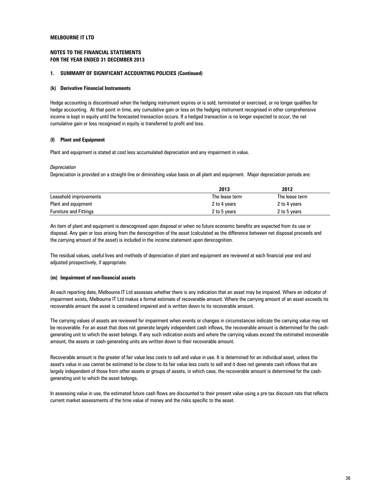# **NOTES TO THE FINANCIAL STATEMENTS FOR THE YEAR ENDED 31 DECEMBER 2013**

# **1. SUMMARY OF SIGNIFICANT ACCOUNTING POLICIES (Continued)**

## **(k) Derivative Financial Instruments**

Hedge accounting is discontinued when the hedging instrument expires or is sold, terminated or exercised, or no longer qualifies for hedge accounting. At that point in time, any cumulative gain or loss on the hedging instrument recognised in other comprehensive income is kept in equity until the forecasted transaction occurs. If a hedged transaction is no longer expected to occur, the net cumulative gain or loss recognised in equity is transferred to profit and loss.

# **(l) Plant and Equipment**

Plant and equipment is stated at cost less accumulated depreciation and any impairment in value.

## *Depreciation*

Depreciation is provided on a straight-line or diminishing value basis on all plant and equipment. Major depreciation periods are:

|                               | 2013           | 2012           |
|-------------------------------|----------------|----------------|
| Leasehold improvements        | The lease term | The lease term |
| Plant and equipment           | 2 to 4 years   | 2 to 4 years   |
| <b>Furniture and Fittings</b> | 2 to 5 years   | 2 to 5 years   |

An item of plant and equipment is derecognised upon disposal or when no future economic benefits are expected from its use or disposal. Any gain or loss arising from the derecognition of the asset (calculated as the difference between net disposal proceeds and the carrying amount of the asset) is included in the income statement upon derecognition.

The residual values, useful lives and methods of depreciation of plant and equipment are reviewed at each financial year end and adjusted prospectively, if appropriate.

## **(m) Impairment of non-financial assets**

At each reporting date, Melbourne IT Ltd assesses whether there is any indication that an asset may be impaired. Where an indicator of impairment exists, Melbourne IT Ltd makes a formal estimate of recoverable amount. Where the carrying amount of an asset exceeds its recoverable amount the asset is considered impaired and is written down to its recoverable amount.

The carrying values of assets are reviewed for impairment when events or changes in circumstances indicate the carrying value may not be recoverable. For an asset that does not generate largely independent cash inflows, the recoverable amount is determined for the cashgenerating unit to which the asset belongs. If any such indication exists and where the carrying values exceed the estimated recoverable amount, the assets or cash-generating units are written down to their recoverable amount.

Recoverable amount is the greater of fair value less costs to sell and value in use. It is determined for an individual asset, unless the asset's value in use cannot be estimated to be close to its fair value less costs to sell and it does not generate cash inflows that are largely independent of those from other assets or groups of assets, in which case, the recoverable amount is determined for the cashgenerating unit to which the asset belongs.

In assessing value in use, the estimated future cash flows are discounted to their present value using a pre tax discount rate that reflects current market assessments of the time value of money and the risks specific to the asset.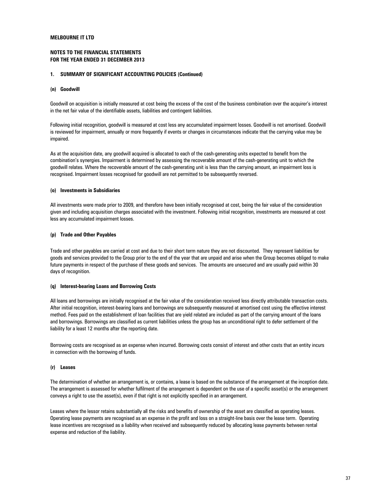# **NOTES TO THE FINANCIAL STATEMENTS FOR THE YEAR ENDED 31 DECEMBER 2013**

# **1. SUMMARY OF SIGNIFICANT ACCOUNTING POLICIES (Continued)**

## **(n) Goodwill**

Goodwill on acquisition is initially measured at cost being the excess of the cost of the business combination over the acquirer's interest in the net fair value of the identifiable assets, liabilities and contingent liabilities.

Following initial recognition, goodwill is measured at cost less any accumulated impairment losses. Goodwill is not amortised. Goodwill is reviewed for impairment, annually or more frequently if events or changes in circumstances indicate that the carrying value may be impaired.

As at the acquisition date, any goodwill acquired is allocated to each of the cash-generating units expected to benefit from the combination's synergies. Impairment is determined by assessing the recoverable amount of the cash-generating unit to which the goodwill relates. Where the recoverable amount of the cash-generating unit is less than the carrying amount, an impairment loss is recognised. Impairment losses recognised for goodwill are not permitted to be subsequently reversed.

## **(o) Investments in Subsidiaries**

All investments were made prior to 2009, and therefore have been initially recognised at cost, being the fair value of the consideration given and including acquisition charges associated with the investment. Following initial recognition, investments are measured at cost less any accumulated impairment losses.

## **(p) Trade and Other Payables**

Trade and other payables are carried at cost and due to their short term nature they are not discounted. They represent liabilities for goods and services provided to the Group prior to the end of the year that are unpaid and arise when the Group becomes obliged to make future payments in respect of the purchase of these goods and services. The amounts are unsecured and are usually paid within 30 days of recognition.

## **(q) Interest-bearing Loans and Borrowing Costs**

All loans and borrowings are initially recognised at the fair value of the consideration received less directly attributable transaction costs. After initial recognition, interest-bearing loans and borrowings are subsequently measured at amortised cost using the effective interest method. Fees paid on the establishment of loan facilities that are yield related are included as part of the carrying amount of the loans and borrowings. Borrowings are classified as current liabilities unless the group has an unconditional right to defer settlement of the liability for a least 12 months after the reporting date.

Borrowing costs are recognised as an expense when incurred. Borrowing costs consist of interest and other costs that an entity incurs in connection with the borrowing of funds.

## **(r) Leases**

The determination of whether an arrangement is, or contains, a lease is based on the substance of the arrangement at the inception date. The arrangement is assessed for whether fulfilment of the arrangement is dependent on the use of a specific asset(s) or the arrangement conveys a right to use the asset(s), even if that right is not explicitly specified in an arrangement.

Leases where the lessor retains substantially all the risks and benefits of ownership of the asset are classified as operating leases. Operating lease payments are recognised as an expense in the profit and loss on a straight-line basis over the lease term. Operating lease incentives are recognised as a liability when received and subsequently reduced by allocating lease payments between rental expense and reduction of the liability.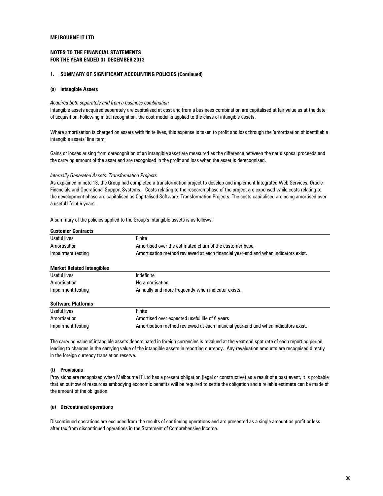# **NOTES TO THE FINANCIAL STATEMENTS FOR THE YEAR ENDED 31 DECEMBER 2013**

#### **1. SUMMARY OF SIGNIFICANT ACCOUNTING POLICIES (Continued)**

#### **(s) Intangible Assets**

*Acquired both separately and from a business combination*

Intangible assets acquired separately are capitalised at cost and from a business combination are capitalised at fair value as at the date of acquisition. Following initial recognition, the cost model is applied to the class of intangible assets.

Where amortisation is charged on assets with finite lives, this expense is taken to profit and loss through the 'amortisation of identifiable intangible assets' line item.

Gains or losses arising from derecognition of an intangible asset are measured as the difference between the net disposal proceeds and the carrying amount of the asset and are recognised in the profit and loss when the asset is derecognised.

#### *Internally Generated Assets: Transformation Projects*

As explained in note 13, the Group had completed a transformation project to develop and implement Integrated Web Services, Oracle Financials and Operational Support Systems. Costs relating to the research phase of the project are expensed while costs relating to the development phase are capitalised as Capitalised Software: Transformation Projects. The costs capitalised are being amortised over a useful life of 6 years.

A summary of the policies applied to the Group's intangible assets is as follows:

| <b>Customer Contracts</b>         |                                                                                    |
|-----------------------------------|------------------------------------------------------------------------------------|
| Useful lives                      | Finite                                                                             |
| Amortisation                      | Amortised over the estimated churn of the customer base.                           |
| Impairment testing                | Amortisation method reviewed at each financial year-end and when indicators exist. |
| <b>Market Related Intangibles</b> |                                                                                    |
| Useful lives                      | Indefinite                                                                         |
| Amortisation                      | No amortisation.                                                                   |
| Impairment testing                | Annually and more frequently when indicator exists.                                |
| <b>Software Platforms</b>         |                                                                                    |
| Useful lives                      | Finite                                                                             |
| Amortisation                      | Amortised over expected useful life of 6 years                                     |
| Impairment testing                | Amortisation method reviewed at each financial year-end and when indicators exist. |

The carrying value of intangible assets denominated in foreign currencies is revalued at the year end spot rate of each reporting period, leading to changes in the carrying value of the intangible assets in reporting currency. Any revaluation amounts are recognised directly in the foreign currency translation reserve.

## **(t) Provisions**

Provisions are recognised when Melbourne IT Ltd has a present obligation (legal or constructive) as a result of a past event, it is probable that an outflow of resources embodying economic benefits will be required to settle the obligation and a reliable estimate can be made of the amount of the obligation.

#### **(u) Discontinued operations**

Discontinued operations are excluded from the results of continuing operations and are presented as a single amount as profit or loss after tax from discontinued operations in the Statement of Comprehensive Income.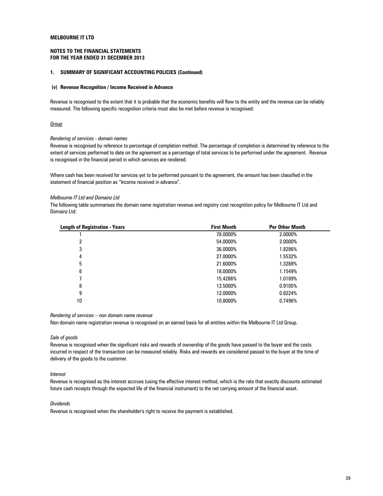#### **NOTES TO THE FINANCIAL STATEMENTS FOR THE YEAR ENDED 31 DECEMBER 2013**

#### **1. SUMMARY OF SIGNIFICANT ACCOUNTING POLICIES (Continued)**

#### **(v) Revenue Recognition / Income Received in Advance**

Revenue is recognised to the extent that it is probable that the economic benefits will flow to the entity and the revenue can be reliably measured. The following specific recognition criteria must also be met before revenue is recognised:

#### *Group*

#### *Rendering of services - domain names*

Revenue is recognised by reference to percentage of completion method. The percentage of completion is determined by reference to the extent of services performed to date on the agreement as a percentage of total services to be performed under the agreement. Revenue is recognised in the financial period in which services are rendered.

Where cash has been received for services yet to be performed pursuant to the agreement, the amount has been classified in the statement of financial position as "Income received in advance".

#### *Melbourne IT Ltd and Domainz Ltd*

The following table summarises the domain name registration revenue and registry cost recognition policy for Melbourne IT Ltd and Domainz Ltd:

| <b>First Month</b> | <b>Per Other Month</b> |  |
|--------------------|------------------------|--|
| 78.0000%           | 2.0000%                |  |
| 54.0000%           | 2.0000%                |  |
| 36.0000%           | 1.8286%                |  |
| 27.0000%           | 1.5532%                |  |
| 21.6000%           | 1.3288%                |  |
| 18.0000%           | 1.1549%                |  |
| 15.4286%           | 1.0189%                |  |
| 13.5000%           | 0.9105%                |  |
| 12.0000%           | 0.8224%                |  |
| 10.8000%           | 0.7496%                |  |
|                    |                        |  |

#### *Rendering of services – non domain name revenue*

Non domain name registration revenue is recognised on an earned basis for all entities within the Melbourne IT Ltd Group.

#### *Sale of goods*

Revenue is recognised when the significant risks and rewards of ownership of the goods have passed to the buyer and the costs incurred in respect of the transaction can be measured reliably. Risks and rewards are considered passed to the buyer at the time of delivery of the goods to the customer.

#### *Interest*

Revenue is recognised as the interest accrues (using the effective interest method, which is the rate that exactly discounts estimated future cash receipts through the expected life of the financial instrument) to the net carrying amount of the financial asset.

#### *Dividends*

Revenue is recognised when the shareholder's right to receive the payment is established.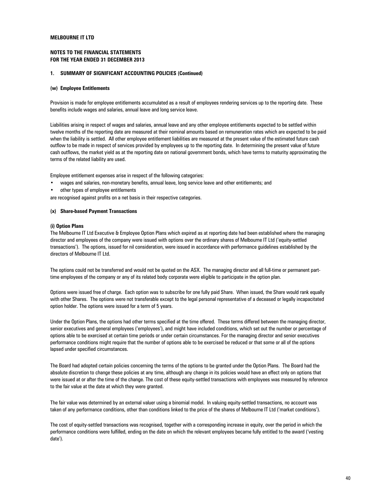# **NOTES TO THE FINANCIAL STATEMENTS FOR THE YEAR ENDED 31 DECEMBER 2013**

# **1. SUMMARY OF SIGNIFICANT ACCOUNTING POLICIES (Continued)**

## **(w) Employee Entitlements**

Provision is made for employee entitlements accumulated as a result of employees rendering services up to the reporting date. These benefits include wages and salaries, annual leave and long service leave.

Liabilities arising in respect of wages and salaries, annual leave and any other employee entitlements expected to be settled within twelve months of the reporting date are measured at their nominal amounts based on remuneration rates which are expected to be paid when the liability is settled. All other employee entitlement liabilities are measured at the present value of the estimated future cash outflow to be made in respect of services provided by employees up to the reporting date. In determining the present value of future cash outflows, the market yield as at the reporting date on national government bonds, which have terms to maturity approximating the terms of the related liability are used.

Employee entitlement expenses arise in respect of the following categories:

- wages and salaries, non-monetary benefits, annual leave, long service leave and other entitlements; and
- other types of employee entitlements

are recognised against profits on a net basis in their respective categories.

#### **(x) Share-based Payment Transactions**

#### **(i) Option Plans**

The Melbourne IT Ltd Executive & Employee Option Plans which expired as at reporting date had been established where the managing director and employees of the company were issued with options over the ordinary shares of Melbourne IT Ltd ('equity-settled transactions'). The options, issued for nil consideration, were issued in accordance with performance guidelines established by the directors of Melbourne IT Ltd.

The options could not be transferred and would not be quoted on the ASX. The managing director and all full-time or permanent parttime employees of the company or any of its related body corporate were eligible to participate in the option plan.

Options were issued free of charge. Each option was to subscribe for one fully paid Share. When issued, the Share would rank equally with other Shares. The options were not transferable except to the legal personal representative of a deceased or legally incapacitated option holder. The options were issued for a term of 5 years.

Under the Option Plans, the options had other terms specified at the time offered. These terms differed between the managing director, senior executives and general employees ('employees'), and might have included conditions, which set out the number or percentage of options able to be exercised at certain time periods or under certain circumstances. For the managing director and senior executives performance conditions might require that the number of options able to be exercised be reduced or that some or all of the options lapsed under specified circumstances.

The Board had adopted certain policies concerning the terms of the options to be granted under the Option Plans. The Board had the absolute discretion to change these policies at any time, although any change in its policies would have an effect only on options that were issued at or after the time of the change. The cost of these equity-settled transactions with employees was measured by reference to the fair value at the date at which they were granted.

The fair value was determined by an external valuer using a binomial model. In valuing equity-settled transactions, no account was taken of any performance conditions, other than conditions linked to the price of the shares of Melbourne IT Ltd ('market conditions').

The cost of equity-settled transactions was recognised, together with a corresponding increase in equity, over the period in which the performance conditions were fulfilled, ending on the date on which the relevant employees became fully entitled to the award ('vesting date').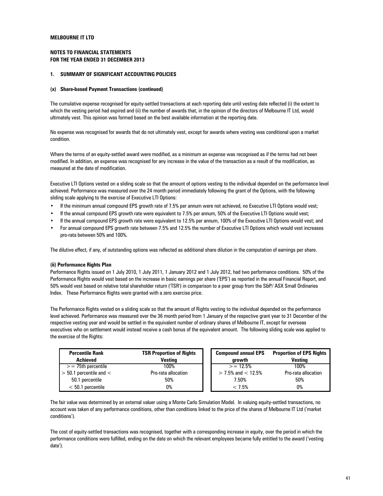# **NOTES TO FINANCIAL STATEMENTS FOR THE YEAR ENDED 31 DECEMBER 2013**

# **1. SUMMARY OF SIGNIFICANT ACCOUNTING POLICIES**

## **(x) Share-based Payment Transactions (continued)**

The cumulative expense recognised for equity-settled transactions at each reporting date until vesting date reflected (i) the extent to which the vesting period had expired and (ii) the number of awards that, in the opinion of the directors of Melbourne IT Ltd, would ultimately vest. This opinion was formed based on the best available information at the reporting date.

No expense was recognised for awards that do not ultimately vest, except for awards where vesting was conditional upon a market condition.

Where the terms of an equity-settled award were modified, as a minimum an expense was recognised as if the terms had not been modified. In addition, an expense was recognised for any increase in the value of the transaction as a result of the modification, as measured at the date of modification.

Executive LTI Options vested on a sliding scale so that the amount of options vesting to the individual depended on the performance level achieved. Performance was measured over the 24 month period immediately following the grant of the Options, with the following sliding scale applying to the exercise of Executive LTI Options:

- If the minimum annual compound EPS growth rate of 7.5% per annum were not achieved, no Executive LTI Options would vest;
- If the annual compound EPS growth rate were equivalent to 7.5% per annum, 50% of the Executive LTI Options would vest;
- If the annual compound EPS growth rate were equivalent to 12.5% per annum, 100% of the Executive LTI Options would vest; and
- For annual compound EPS growth rate between 7.5% and 12.5% the number of Executive LTI Options which would vest increases pro-rata between 50% and 100%.

The dilutive effect, if any, of outstanding options was reflected as additional share dilution in the computation of earnings per share.

## **(ii) Performance Rights Plan**

Performance Rights issued on 1 July 2010, 1 July 2011, 1 January 2012 and 1 July 2012, had two performance conditions. 50% of the Performance Rights would vest based on the increase in basic earnings per share ('EPS') as reported in the annual Financial Report, and 50% would vest based on relative total shareholder return ('TSR') in comparison to a peer group from the S&P/ ASX Small Ordinaries Index. These Performance Rights were granted with a zero exercise price.

The Performance Rights vested on a sliding scale so that the amount of Rights vesting to the individual depended on the performance level achieved. Performance was measured over the 36 month period from 1 January of the respective grant year to 31 December of the respective vesting year and would be settled in the equivalent number of ordinary shares of Melbourne IT, except for overseas executives who on settlement would instead receive a cash bonus of the equivalent amount. The following sliding scale was applied to the exercise of the Rights:

| <b>Percentile Rank</b>      | <b>TSR Proportion of Rights</b> | <b>Compound annual EPS</b> | <b>Proportion of EPS Rights</b> |
|-----------------------------|---------------------------------|----------------------------|---------------------------------|
| <b>Achieved</b>             | <b>Vesting</b>                  | growth                     | <b>Vesting</b>                  |
| $>= 75$ th percentile       | 100%                            | $>= 12.5%$                 | 100%                            |
| $>$ 50.1 percentile and $<$ | Pro-rata allocation             | $>$ 7.5% and $<$ 12.5%     | Pro-rata allocation             |
| 50.1 percentile             | 50%                             | 7.50%                      | 50%                             |
| $< 50.1$ percentile         | 0%                              | < 7.5%                     | 0%                              |

The fair value was determined by an external valuer using a Monte Carlo Simulation Model. In valuing equity-settled transactions, no account was taken of any performance conditions, other than conditions linked to the price of the shares of Melbourne IT Ltd ('market conditions').

The cost of equity-settled transactions was recognised, together with a corresponding increase in equity, over the period in which the performance conditions were fulfilled, ending on the date on which the relevant employees became fully entitled to the award ('vesting date').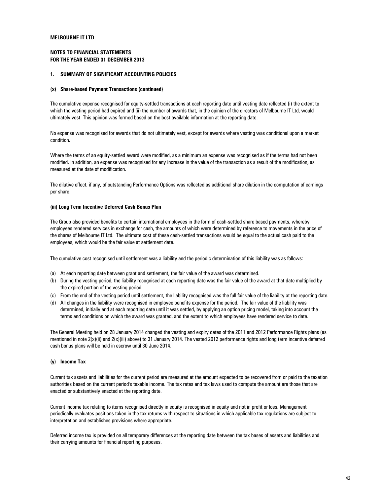# **NOTES TO FINANCIAL STATEMENTS FOR THE YEAR ENDED 31 DECEMBER 2013**

# **1. SUMMARY OF SIGNIFICANT ACCOUNTING POLICIES**

#### **(x) Share-based Payment Transactions (continued)**

The cumulative expense recognised for equity-settled transactions at each reporting date until vesting date reflected (i) the extent to which the vesting period had expired and (ii) the number of awards that, in the opinion of the directors of Melbourne IT Ltd, would ultimately vest. This opinion was formed based on the best available information at the reporting date.

No expense was recognised for awards that do not ultimately vest, except for awards where vesting was conditional upon a market condition.

Where the terms of an equity-settled award were modified, as a minimum an expense was recognised as if the terms had not been modified. In addition, an expense was recognised for any increase in the value of the transaction as a result of the modification, as measured at the date of modification.

The dilutive effect, if any, of outstanding Performance Options was reflected as additional share dilution in the computation of earnings per share.

## **(iii) Long Term Incentive Deferred Cash Bonus Plan**

The Group also provided benefits to certain international employees in the form of cash-settled share based payments, whereby employees rendered services in exchange for cash, the amounts of which were determined by reference to movements in the price of the shares of Melbourne IT Ltd. The ultimate cost of these cash-settled transactions would be equal to the actual cash paid to the employees, which would be the fair value at settlement date.

The cumulative cost recognised until settlement was a liability and the periodic determination of this liability was as follows:

- (a) At each reporting date between grant and settlement, the fair value of the award was determined.
- (b) During the vesting period, the liability recognised at each reporting date was the fair value of the award at that date multiplied by the expired portion of the vesting period.
- (c) From the end of the vesting period until settlement, the liability recognised was the full fair value of the liability at the reporting date.
- (d) All changes in the liability were recognised in employee benefits expense for the period. The fair value of the liability was determined, initially and at each reporting date until it was settled, by applying an option pricing model, taking into account the terms and conditions on which the award was granted, and the extent to which employees have rendered service to date.

The General Meeting held on 28 January 2014 changed the vesting and expiry dates of the 2011 and 2012 Performance Rights plans (as mentioned in note 2(x)(ii) and 2(x)(iii) above) to 31 January 2014. The vested 2012 performance rights and long term incentive deferred cash bonus plans will be held in escrow until 30 June 2014.

## **(y) Income Tax**

Current tax assets and liabilities for the current period are measured at the amount expected to be recovered from or paid to the taxation authorities based on the current period's taxable income. The tax rates and tax laws used to compute the amount are those that are enacted or substantively enacted at the reporting date.

Current income tax relating to items recognised directly in equity is recognised in equity and not in profit or loss. Management periodically evaluates positions taken in the tax returns with respect to situations in which applicable tax regulations are subject to interpretation and establishes provisions where appropriate.

Deferred income tax is provided on all temporary differences at the reporting date between the tax bases of assets and liabilities and their carrying amounts for financial reporting purposes.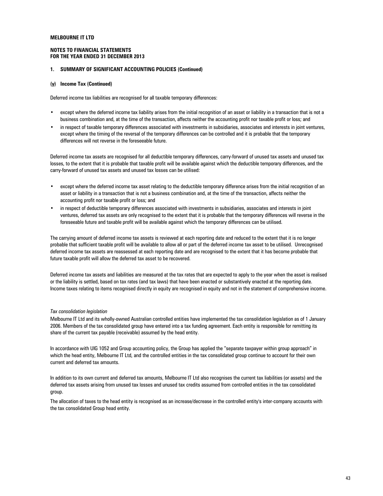# **NOTES TO FINANCIAL STATEMENTS FOR THE YEAR ENDED 31 DECEMBER 2013**

#### **1. SUMMARY OF SIGNIFICANT ACCOUNTING POLICIES (Continued)**

#### **(y) Income Tax (Continued)**

Deferred income tax liabilities are recognised for all taxable temporary differences:

- except where the deferred income tax liability arises from the initial recognition of an asset or liability in a transaction that is not a business combination and, at the time of the transaction, affects neither the accounting profit nor taxable profit or loss; and
- in respect of taxable temporary differences associated with investments in subsidiaries, associates and interests in joint ventures, except where the timing of the reversal of the temporary differences can be controlled and it is probable that the temporary differences will not reverse in the foreseeable future.

Deferred income tax assets are recognised for all deductible temporary differences, carry-forward of unused tax assets and unused tax losses, to the extent that it is probable that taxable profit will be available against which the deductible temporary differences, and the carry-forward of unused tax assets and unused tax losses can be utilised:

- except where the deferred income tax asset relating to the deductible temporary difference arises from the initial recognition of an asset or liability in a transaction that is not a business combination and, at the time of the transaction, affects neither the accounting profit nor taxable profit or loss; and
- in respect of deductible temporary differences associated with investments in subsidiaries, associates and interests in joint ventures, deferred tax assets are only recognised to the extent that it is probable that the temporary differences will reverse in the foreseeable future and taxable profit will be available against which the temporary differences can be utilised.

The carrying amount of deferred income tax assets is reviewed at each reporting date and reduced to the extent that it is no longer probable that sufficient taxable profit will be available to allow all or part of the deferred income tax asset to be utilised. Unrecognised deferred income tax assets are reassessed at each reporting date and are recognised to the extent that it has become probable that future taxable profit will allow the deferred tax asset to be recovered.

Deferred income tax assets and liabilities are measured at the tax rates that are expected to apply to the year when the asset is realised or the liability is settled, based on tax rates (and tax laws) that have been enacted or substantively enacted at the reporting date. Income taxes relating to items recognised directly in equity are recognised in equity and not in the statement of comprehensive income.

## *Tax consolidation legislation*

Melbourne IT Ltd and its wholly-owned Australian controlled entities have implemented the tax consolidation legislation as of 1 January 2006. Members of the tax consolidated group have entered into a tax funding agreement. Each entity is responsible for remitting its share of the current tax payable (receivable) assumed by the head entity.

In accordance with UIG 1052 and Group accounting policy, the Group has applied the "separate taxpayer within group approach" in which the head entity, Melbourne IT Ltd, and the controlled entities in the tax consolidated group continue to account for their own current and deferred tax amounts.

In addition to its own current and deferred tax amounts, Melbourne IT Ltd also recognises the current tax liabilities (or assets) and the deferred tax assets arising from unused tax losses and unused tax credits assumed from controlled entities in the tax consolidated group.

The allocation of taxes to the head entity is recognised as an increase/decrease in the controlled entity's inter-company accounts with the tax consolidated Group head entity.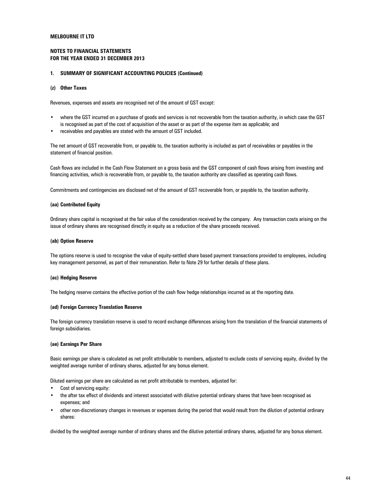# **NOTES TO FINANCIAL STATEMENTS FOR THE YEAR ENDED 31 DECEMBER 2013**

# **1. SUMMARY OF SIGNIFICANT ACCOUNTING POLICIES (Continued)**

## **(z) Other Taxes**

Revenues, expenses and assets are recognised net of the amount of GST except:

- where the GST incurred on a purchase of goods and services is not recoverable from the taxation authority, in which case the GST is recognised as part of the cost of acquisition of the asset or as part of the expense item as applicable; and
- receivables and payables are stated with the amount of GST included.

The net amount of GST recoverable from, or payable to, the taxation authority is included as part of receivables or payables in the statement of financial position.

Cash flows are included in the Cash Flow Statement on a gross basis and the GST component of cash flows arising from investing and financing activities, which is recoverable from, or payable to, the taxation authority are classified as operating cash flows.

Commitments and contingencies are disclosed net of the amount of GST recoverable from, or payable to, the taxation authority.

#### **(aa) Contributed Equity**

Ordinary share capital is recognised at the fair value of the consideration received by the company. Any transaction costs arising on the issue of ordinary shares are recognised directly in equity as a reduction of the share proceeds received.

#### **(ab) Option Reserve**

The options reserve is used to recognise the value of equity-settled share based payment transactions provided to employees, including key management personnel, as part of their remuneration. Refer to Note 29 for further details of these plans.

## **(ac) Hedging Reserve**

The hedging reserve contains the effective portion of the cash flow hedge relationships incurred as at the reporting date.

## **(ad) Foreign Currency Translation Reserve**

The foreign currency translation reserve is used to record exchange differences arising from the translation of the financial statements of foreign subsidiaries.

## **(ae) Earnings Per Share**

Basic earnings per share is calculated as net profit attributable to members, adjusted to exclude costs of servicing equity, divided by the weighted average number of ordinary shares, adjusted for any bonus element.

Diluted earnings per share are calculated as net profit attributable to members, adjusted for:

- Cost of servicing equity:
- the after tax effect of dividends and interest associated with dilutive potential ordinary shares that have been recognised as expenses; and
- other non-discretionary changes in revenues or expenses during the period that would result from the dilution of potential ordinary shares:

divided by the weighted average number of ordinary shares and the dilutive potential ordinary shares, adjusted for any bonus element.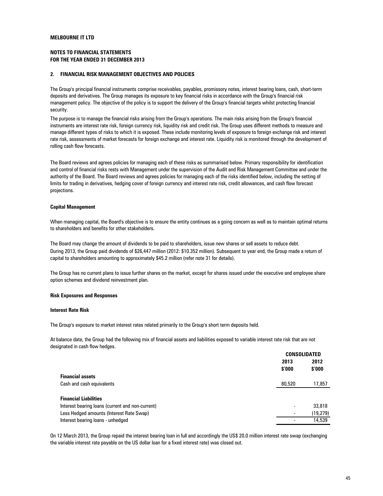# **NOTES TO FINANCIAL STATEMENTS FOR THE YEAR ENDED 31 DECEMBER 2013**

#### **2. FINANCIAL RISK MANAGEMENT OBJECTIVES AND POLICIES**

The Group's principal financial instruments comprise receivables, payables, promissory notes, interest bearing loans, cash, short-term deposits and derivatives. The Group manages its exposure to key financial risks in accordance with the Group's financial risk management policy. The objective of the policy is to support the delivery of the Group's financial targets whilst protecting financial security.

The purpose is to manage the financial risks arising from the Group's operations. The main risks arising from the Group's financial instruments are interest rate risk, foreign currency risk, liquidity risk and credit risk. The Group uses different methods to measure and manage different types of risks to which it is exposed. These include monitoring levels of exposure to foreign exchange risk and interest rate risk, assessments of market forecasts for foreign exchange and interest rate. Liquidity risk is monitored through the development of rolling cash flow forecasts.

The Board reviews and agrees policies for managing each of these risks as summarised below. Primary responsibility for identification and control of financial risks rests with Management under the supervision of the Audit and Risk Management Committee and under the authority of the Board. The Board reviews and agrees policies for managing each of the risks identified below, including the setting of limits for trading in derivatives, hedging cover of foreign currency and interest rate risk, credit allowances, and cash flow forecast projections.

#### **Capital Management**

When managing capital, the Board's objective is to ensure the entity continues as a going concern as well as to maintain optimal returns to shareholders and benefits for other stakeholders.

The Board may change the amount of dividends to be paid to shareholders, issue new shares or sell assets to reduce debt. During 2013, the Group paid dividends of \$26,447 million (2012: \$10.352 million). Subsequent to year end, the Group made a return of capital to shareholders amounting to approximately \$45.2 million (refer note 31 for details).

The Group has no current plans to issue further shares on the market, except for shares issued under the executive and employee share option schemes and dividend reinvestment plan.

## **Risk Exposures and Responses**

#### **Interest Rate Risk**

The Group's exposure to market interest rates related primarily to the Group's short term deposits held.

At balance date, the Group had the following mix of financial assets and liabilities exposed to variable interest rate risk that are not designated in cash flow hedges.

|                                                  | <b>CONSOLIDATED</b> |           |
|--------------------------------------------------|---------------------|-----------|
|                                                  | 2013                | 2012      |
|                                                  | \$'000              | \$'000    |
| <b>Financial assets</b>                          |                     |           |
| Cash and cash equivalents                        | 80,520              | 17,857    |
|                                                  |                     |           |
| <b>Financial Liabilities</b>                     |                     |           |
| Interest bearing loans (current and non-current) |                     | 33,818    |
| Less Hedged amounts (Interest Rate Swap)         |                     | (19, 279) |
| Interest bearing loans - unhedged                |                     | 14,539    |

On 12 March 2013, the Group repaid the interest bearing loan in full and accordingly the US\$ 20.0 million interest rate swap (exchanging the variable interest rate payable on the US dollar loan for a fixed interest rate) was closed out.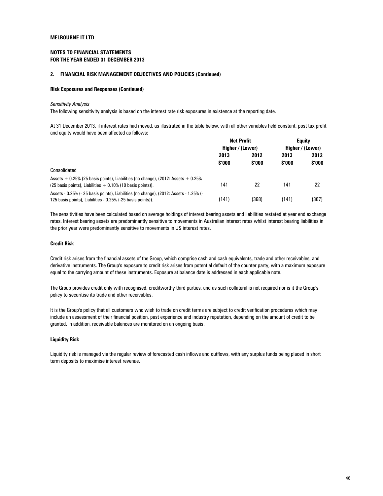# **NOTES TO FINANCIAL STATEMENTS FOR THE YEAR ENDED 31 DECEMBER 2013**

## **2. FINANCIAL RISK MANAGEMENT OBJECTIVES AND POLICIES (Continued)**

### **Risk Exposures and Responses (Continued)**

#### *Sensitivity Analysis*

The following sensitivity analysis is based on the interest rate risk exposures in existence at the reporting date.

At 31 December 2013, if interest rates had moved, as illustrated in the table below, with all other variables held constant, post tax profit and equity would have been affected as follows:

|                                                                                                                                                      | <b>Net Profit</b><br>Higher / (Lower) |        | <b>Equity</b><br>Higher / (Lower) |        |
|------------------------------------------------------------------------------------------------------------------------------------------------------|---------------------------------------|--------|-----------------------------------|--------|
|                                                                                                                                                      |                                       |        |                                   |        |
|                                                                                                                                                      | 2013                                  | 2012   | 2013                              | 2012   |
|                                                                                                                                                      | \$'000                                | \$'000 | \$'000                            | \$'000 |
| Consolidated                                                                                                                                         |                                       |        |                                   |        |
| Assets $+$ 0.25% (25 basis points), Liabilities (no change), (2012: Assets $+$ 0.25%<br>(25 basis points), Liabilities $+$ 0.10% (10 basis points)). | 141                                   | 22     | 141                               | 22     |
| Assets - 0.25% (- 25 basis points), Liabilities (no change), (2012: Assets - 1.25% (-<br>125 basis points), Liabilities - 0.25% (-25 basis points)). | (141)                                 | (368)  | (141)                             | (367)  |

The sensitivities have been calculated based on average holdings of interest bearing assets and liabilities restated at year end exchange rates. Interest bearing assets are predominantly sensitive to movements in Australian interest rates whilst interest bearing liabilities in the prior year were predominantly sensitive to movements in US interest rates.

# **Credit Risk**

Credit risk arises from the financial assets of the Group, which comprise cash and cash equivalents, trade and other receivables, and derivative instruments. The Group's exposure to credit risk arises from potential default of the counter party, with a maximum exposure equal to the carrying amount of these instruments. Exposure at balance date is addressed in each applicable note.

The Group provides credit only with recognised, creditworthy third parties, and as such collateral is not required nor is it the Group's policy to securitise its trade and other receivables.

It is the Group's policy that all customers who wish to trade on credit terms are subject to credit verification procedures which may include an assessment of their financial position, past experience and industry reputation, depending on the amount of credit to be granted. In addition, receivable balances are monitored on an ongoing basis.

## **Liquidity Risk**

Liquidity risk is managed via the regular review of forecasted cash inflows and outflows, with any surplus funds being placed in short term deposits to maximise interest revenue.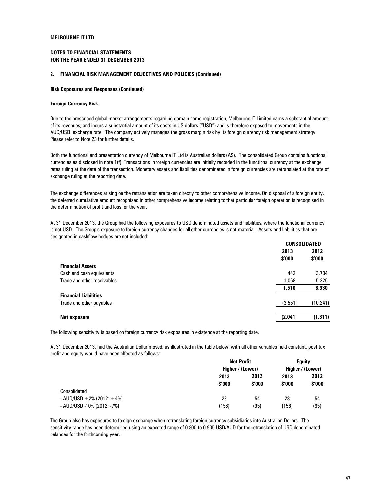# **NOTES TO FINANCIAL STATEMENTS FOR THE YEAR ENDED 31 DECEMBER 2013**

#### **2. FINANCIAL RISK MANAGEMENT OBJECTIVES AND POLICIES (Continued)**

## **Risk Exposures and Responses (Continued)**

#### **Foreign Currency Risk**

Due to the prescribed global market arrangements regarding domain name registration, Melbourne IT Limited earns a substantial amount of its revenues, and incurs a substantial amount of its costs in US dollars ("USD") and is therefore exposed to movements in the AUD/USD exchange rate. The company actively manages the gross margin risk by its foreign currency risk management strategy. Please refer to Note 23 for further details.

Both the functional and presentation currency of Melbourne IT Ltd is Australian dollars (A\$). The consolidated Group contains functional currencies as disclosed in note 1(f). Transactions in foreign currencies are initially recorded in the functional currency at the exchange rates ruling at the date of the transaction. Monetary assets and liabilities denominated in foreign currencies are retranslated at the rate of exchange ruling at the reporting date.

The exchange differences arising on the retranslation are taken directly to other comprehensive income. On disposal of a foreign entity, the deferred cumulative amount recognised in other comprehensive income relating to that particular foreign operation is recognised in the determination of profit and loss for the year.

At 31 December 2013, the Group had the following exposures to USD denominated assets and liabilities, where the functional currency is not USD. The Group's exposure to foreign currency changes for all other currencies is not material. Assets and liabilities that are designated in cashflow hedges are not included:

|                              | <b>CONSOLIDATED</b> |           |
|------------------------------|---------------------|-----------|
|                              | 2013                | 2012      |
|                              | \$'000              | \$'000    |
| <b>Financial Assets</b>      |                     |           |
| Cash and cash equivalents    | 442                 | 3,704     |
| Trade and other receivables  | 1,068               | 5,226     |
|                              | 1,510               | 8,930     |
| <b>Financial Liabilities</b> |                     |           |
| Trade and other payables     | (3, 551)            | (10, 241) |
|                              |                     |           |
| <b>Net exposure</b>          | (2,041)             | (1, 311)  |

The following sensitivity is based on foreign currency risk exposures in existence at the reporting date.

At 31 December 2013, had the Australian Dollar moved, as illustrated in the table below, with all other variables held constant, post tax profit and equity would have been affected as follows:

|                                  | <b>Net Profit</b> |                  | <b>Equity</b>  |                  |  |
|----------------------------------|-------------------|------------------|----------------|------------------|--|
|                                  |                   | Higher / (Lower) |                | Higher / (Lower) |  |
|                                  | 2013              | 2012<br>\$'000   | 2013<br>\$'000 | 2012             |  |
|                                  | \$'000            |                  |                | \$'000           |  |
| Consolidated                     |                   |                  |                |                  |  |
| - AUD/USD $+2\%$ (2012: $+4\%$ ) | 28                | 54               | 28             | 54               |  |
| - AUD/USD -10% (2012: -7%)       | (156)             | (95)             | (156)          | (95)             |  |

The Group also has exposures to foreign exchange when retranslating foreign currency subsidiaries into Australian Dollars. The sensitivity range has been determined using an expected range of 0.800 to 0.905 USD/AUD for the retranslation of USD denominated balances for the forthcoming year.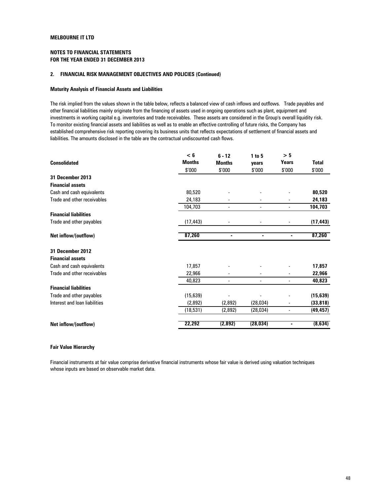# **NOTES TO FINANCIAL STATEMENTS FOR THE YEAR ENDED 31 DECEMBER 2013**

# **2. FINANCIAL RISK MANAGEMENT OBJECTIVES AND POLICIES (Continued)**

## **Maturity Analysis of Financial Assets and Liabilities**

The risk implied from the values shown in the table below, reflects a balanced view of cash inflows and outflows. Trade payables and other financial liabilities mainly originate from the financing of assets used in ongoing operations such as plant, equipment and investments in working capital e.g. inventories and trade receivables. These assets are considered in the Group's overall liquidity risk. To monitor existing financial assets and liabilities as well as to enable an effective controlling of future risks, the Company has established comprehensive risk reporting covering its business units that reflects expectations of settlement of financial assets and liabilities. The amounts disclosed in the table are the contractual undiscounted cash flows.

| < 6       | $6 - 12$                 | $1$ to $5$              | > 5                      | <b>Total</b>           |
|-----------|--------------------------|-------------------------|--------------------------|------------------------|
|           |                          |                         |                          | \$'000                 |
|           |                          |                         |                          |                        |
|           |                          |                         |                          |                        |
| 80,520    |                          |                         |                          | 80,520                 |
| 24,183    |                          |                         |                          | 24,183                 |
| 104,703   |                          | ÷,                      |                          | 104,703                |
|           |                          |                         |                          |                        |
| (17, 443) |                          |                         |                          | (17, 443)              |
| 87,260    | $\blacksquare$           | $\blacksquare$          | ٠                        | 87,260                 |
|           |                          |                         |                          |                        |
|           |                          |                         |                          |                        |
| 17,857    |                          |                         |                          | 17,857                 |
| 22,966    |                          |                         |                          | 22,966                 |
| 40,823    | $\overline{\phantom{a}}$ | $\frac{1}{2}$           | $\overline{\phantom{0}}$ | 40,823                 |
|           |                          |                         |                          |                        |
| (15, 639) |                          |                         |                          | (15, 639)              |
| (2,892)   | (2,892)                  | (28, 034)               |                          | (33, 818)              |
| (18, 531) | (2,892)                  | (28, 034)               |                          | (49, 457)              |
| 22,292    | (2,892)                  | (28, 034)               | ۰                        | (8, 634)               |
|           | <b>Months</b><br>\$'000  | <b>Months</b><br>\$'000 | years<br>\$'000          | <b>Years</b><br>\$'000 |

## **Fair Value Hierarchy**

Financial instruments at fair value comprise derivative financial instruments whose fair value is derived using valuation techniques whose inputs are based on observable market data.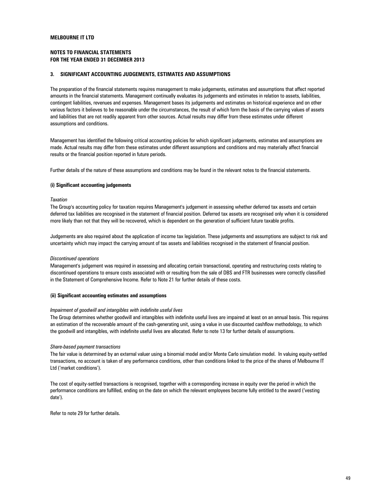# **NOTES TO FINANCIAL STATEMENTS FOR THE YEAR ENDED 31 DECEMBER 2013**

# **3. SIGNIFICANT ACCOUNTING JUDGEMENTS, ESTIMATES AND ASSUMPTIONS**

The preparation of the financial statements requires management to make judgements, estimates and assumptions that affect reported amounts in the financial statements. Management continually evaluates its judgements and estimates in relation to assets, liabilities, contingent liabilities, revenues and expenses. Management bases its judgements and estimates on historical experience and on other various factors it believes to be reasonable under the circumstances, the result of which form the basis of the carrying values of assets and liabilities that are not readily apparent from other sources. Actual results may differ from these estimates under different assumptions and conditions.

Management has identified the following critical accounting policies for which significant judgements, estimates and assumptions are made. Actual results may differ from these estimates under different assumptions and conditions and may materially affect financial results or the financial position reported in future periods.

Further details of the nature of these assumptions and conditions may be found in the relevant notes to the financial statements.

## **(i) Significant accounting judgements**

#### *Taxation*

The Group's accounting policy for taxation requires Management's judgement in assessing whether deferred tax assets and certain deferred tax liabilities are recognised in the statement of financial position. Deferred tax assets are recognised only when it is considered more likely than not that they will be recovered, which is dependent on the generation of sufficient future taxable profits.

Judgements are also required about the application of income tax legislation. These judgements and assumptions are subject to risk and uncertainty which may impact the carrying amount of tax assets and liabilities recognised in the statement of financial position.

# *Discontinued operations*

Management's judgement was required in assessing and allocating certain transactional, operating and restructuring costs relating to discontinued operations to ensure costs associated with or resulting from the sale of DBS and FTR businesses were correctly classified in the Statement of Comprehensive Income. Refer to Note 21 for further details of these costs.

## **(ii) Significant accounting estimates and assumptions**

#### *Impairment of goodwill and intangibles with indefinite useful lives*

The Group determines whether goodwill and intangibles with indefinite useful lives are impaired at least on an annual basis. This requires an estimation of the recoverable amount of the cash-generating unit, using a value in use discounted cashflow methodology, to which the goodwill and intangibles, with indefinite useful lives are allocated. Refer to note 13 for further details of assumptions.

## *Share-based payment transactions*

The fair value is determined by an external valuer using a binomial model and/or Monte Carlo simulation model. In valuing equity-settled transactions, no account is taken of any performance conditions, other than conditions linked to the price of the shares of Melbourne IT Ltd ('market conditions').

The cost of equity-settled transactions is recognised, together with a corresponding increase in equity over the period in which the performance conditions are fulfilled, ending on the date on which the relevant employees become fully entitled to the award ('vesting date').

Refer to note 29 for further details.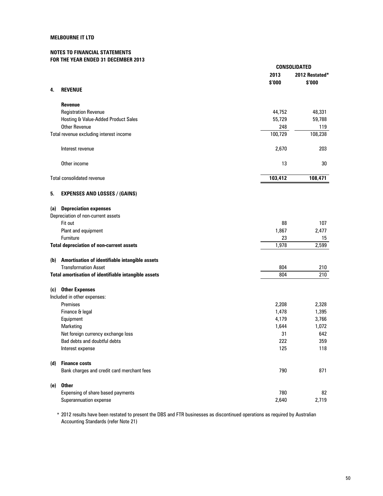# **NOTES TO FINANCIAL STATEMENTS FOR THE YEAR ENDED 31 DECEMBER 2013**

|     |                                                             |                | <b>CONSOLIDATED</b> |
|-----|-------------------------------------------------------------|----------------|---------------------|
|     |                                                             | 2013           | 2012 Restated*      |
|     |                                                             | \$'000         | \$'000              |
| 4.  | <b>REVENUE</b>                                              |                |                     |
|     | <b>Revenue</b>                                              |                |                     |
|     | <b>Registration Revenue</b>                                 | 44,752         | 48,331              |
|     | Hosting & Value-Added Product Sales                         | 55,729         | 59,788              |
|     | <b>Other Revenue</b>                                        | 248            | 119                 |
|     | Total revenue excluding interest income                     | 100,729        | 108,238             |
|     | Interest revenue                                            | 2,670          | 203                 |
|     | Other income                                                | 13             | 30                  |
|     | <b>Total consolidated revenue</b>                           | 103,412        | 108,471             |
| 5.  | <b>EXPENSES AND LOSSES / (GAINS)</b>                        |                |                     |
| (a) | <b>Depreciation expenses</b>                                |                |                     |
|     | Depreciation of non-current assets                          |                |                     |
|     | Fit out                                                     | 88             | 107                 |
|     | Plant and equipment                                         | 1,867          | 2,477               |
|     | Furniture                                                   | 23             | 15                  |
|     | <b>Total depreciation of non-current assets</b>             | 1,978          | 2,599               |
| (b) | Amortisation of identifiable intangible assets              |                |                     |
|     | <b>Transformation Asset</b>                                 | 804            | 210                 |
|     | <b>Total amortisation of identifiable intangible assets</b> | 804            | 210                 |
| (c) | <b>Other Expenses</b>                                       |                |                     |
|     | Included in other expenses:<br><b>Premises</b>              |                |                     |
|     | Finance & legal                                             | 2,208<br>1,478 | 2,328<br>1,395      |
|     | Equipment                                                   | 4,179          | 3,766               |
|     | <b>Marketing</b>                                            | 1,644          | 1,072               |
|     | Net foreign currency exchange loss                          | 31             | 642                 |
|     | Bad debts and doubtful debts                                | 222            | 359                 |
|     | Interest expense                                            | 125            | 118                 |
| (d) | <b>Finance costs</b>                                        |                |                     |
|     | Bank charges and credit card merchant fees                  | 790            | 871                 |
| (e) | <b>Other</b>                                                |                |                     |
|     | Expensing of share based payments                           | 780            | 82                  |
|     | <b>Superannuation expense</b>                               | 2,640          | 2,719               |

\* 2012 results have been restated to present the DBS and FTR businesses as discontinued operations as required by Australian Accounting Standards (refer Note 21)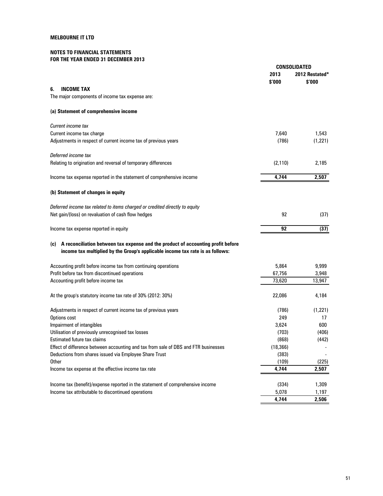# **NOTES TO FINANCIAL STATEMENTS FOR THE YEAR ENDED 31 DECEMBER 2013**

|                                                                                                                                                                           |                | <b>CONSOLIDATED</b>      |
|---------------------------------------------------------------------------------------------------------------------------------------------------------------------------|----------------|--------------------------|
|                                                                                                                                                                           | 2013<br>\$'000 | 2012 Restated*<br>\$'000 |
| <b>INCOME TAX</b><br>6.                                                                                                                                                   |                |                          |
| The major components of income tax expense are:                                                                                                                           |                |                          |
| (a) Statement of comprehensive income                                                                                                                                     |                |                          |
| Current income tax                                                                                                                                                        |                |                          |
| Current income tax charge                                                                                                                                                 | 7,640          | 1,543                    |
| Adjustments in respect of current income tax of previous years                                                                                                            | (786)          | (1, 221)                 |
| Deferred income tax                                                                                                                                                       |                |                          |
| Relating to origination and reversal of temporary differences                                                                                                             | (2, 110)       | 2,185                    |
| Income tax expense reported in the statement of comprehensive income                                                                                                      | 4,744          | 2,507                    |
| (b) Statement of changes in equity                                                                                                                                        |                |                          |
| Deferred income tax related to items charged or credited directly to equity                                                                                               |                |                          |
| Net gain/(loss) on revaluation of cash flow hedges                                                                                                                        | 92             | (37)                     |
| Income tax expense reported in equity                                                                                                                                     | 92             | (37)                     |
| A reconciliation between tax expense and the product of accounting profit before<br>(c)<br>income tax multiplied by the Group's applicable income tax rate is as follows: |                |                          |
| Accounting profit before income tax from continuing operations                                                                                                            | 5,864          | 9,999                    |
| Profit before tax from discontinued operations                                                                                                                            | 67,756         | 3,948                    |
| Accounting profit before income tax                                                                                                                                       | 73,620         | 13,947                   |
| At the group's statutory income tax rate of 30% (2012: 30%)                                                                                                               | 22,086         | 4,184                    |
| Adjustments in respect of current income tax of previous years                                                                                                            | (786)          | (1, 221)                 |
| Options cost                                                                                                                                                              | 249            | 17                       |
| Impairment of intangibles                                                                                                                                                 | 3,624          | 600                      |
| Utilisation of previously unrecognised tax losses                                                                                                                         | (703)          | (406)                    |
| <b>Estimated future tax claims</b>                                                                                                                                        | (868)          | (442)                    |
| Effect of difference between accounting and tax from sale of DBS and FTR businesses                                                                                       | (18, 366)      |                          |
| Deductions from shares issued via Employee Share Trust                                                                                                                    | (383)          |                          |
| <b>Other</b>                                                                                                                                                              | (109)          | (225)                    |
| Income tax expense at the effective income tax rate                                                                                                                       | 4,744          | 2,507                    |
| Income tax (benefit)/expense reported in the statement of comprehensive income                                                                                            | (334)          | 1,309                    |
| Income tax attributable to discontinued operations                                                                                                                        | 5,078          | 1,197                    |
|                                                                                                                                                                           | 4,744          | 2,506                    |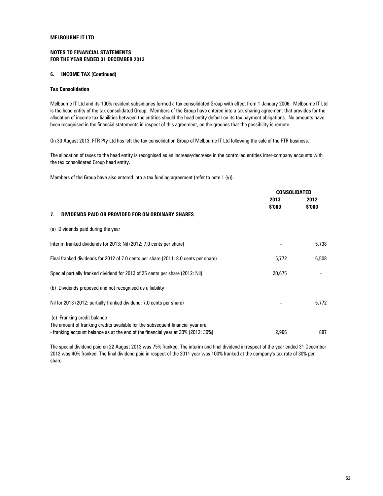# **NOTES TO FINANCIAL STATEMENTS FOR THE YEAR ENDED 31 DECEMBER 2013**

## **6. INCOME TAX (Continued)**

#### **Tax Consolidation**

Melbourne IT Ltd and its 100% resident subsidiaries formed a tax consolidated Group with effect from 1 January 2006. Melbourne IT Ltd is the head entity of the tax consolidated Group. Members of the Group have entered into a tax sharing agreement that provides for the allocation of income tax liabilities between the entities should the head entity default on its tax payment obligations. No amounts have been recognised in the financial statements in respect of this agreement, on the grounds that the possibility is remote.

On 30 August 2013, FTR Pty Ltd has left the tax consolidation Group of Melbourne IT Ltd following the sale of the FTR business.

The allocation of taxes to the head entity is recognised as an increase/decrease in the controlled entities inter-company accounts with the tax consolidated Group head entity.

Members of the Group have also entered into a tax funding agreement (refer to note 1 (y)).

|                                                                                     | <b>CONSOLIDATED</b> |                |
|-------------------------------------------------------------------------------------|---------------------|----------------|
|                                                                                     | 2013<br>\$'000      | 2012<br>\$'000 |
| 7.<br>DIVIDENDS PAID OR PROVIDED FOR ON ORDINARY SHARES                             |                     |                |
| (a) Dividends paid during the year                                                  |                     |                |
| Interim franked dividends for 2013: Nil (2012: 7.0 cents per share)                 |                     | 5,738          |
| Final franked dividends for 2012 of 7.0 cents per share (2011: 8.0 cents per share) | 5,772               | 6,508          |
| Special partially franked dividend for 2013 of 25 cents per share (2012: Nil)       | 20,675              |                |
| (b) Dividends proposed and not recognised as a liability                            |                     |                |
| Nil for 2013 (2012: partially franked dividend: 7.0 cents per share)                |                     | 5,772          |
| (c) Franking credit balance                                                         |                     |                |
| The amount of franking credits available for the subsequent financial year are:     |                     |                |
| - franking account balance as at the end of the financial year at 30% (2012: 30%)   | 2,966               | 897            |

The special dividend paid on 22 August 2013 was 75% franked. The interim and final dividend in respect of the year ended 31 December 2012 was 40% franked. The final dividend paid in respect of the 2011 year was 100% franked at the company's tax rate of 30% per share.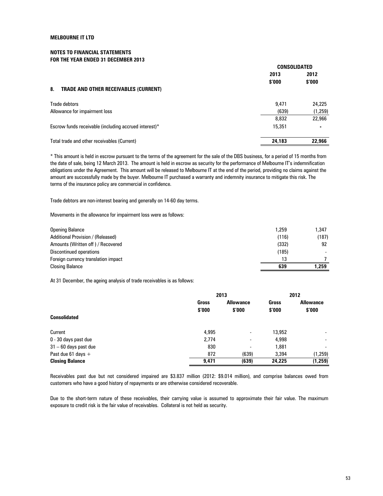# **NOTES TO FINANCIAL STATEMENTS FOR THE YEAR ENDED 31 DECEMBER 2013**

|                                                       | <b>CONSOLIDATED</b> |                |
|-------------------------------------------------------|---------------------|----------------|
|                                                       | 2013                | 2012           |
|                                                       | \$'000              | \$'000         |
| <b>TRADE AND OTHER RECEIVABLES (CURRENT)</b><br>8.    |                     |                |
| Trade debtors                                         | 9,471               | 24,225         |
| Allowance for impairment loss                         | (639)               | (1, 259)       |
|                                                       | 8,832               | 22,966         |
| Escrow funds receivable (including accrued interest)* | 15,351              | $\blacksquare$ |
| Total trade and other receivables (Current)           | 24,183              | 22,966         |

\* This amount is held in escrow pursuant to the terms of the agreement for the sale of the DBS business, for a period of 15 months from the date of sale, being 12 March 2013. The amount is held in escrow as security for the performance of Melbourne IT's indemnification obligations under the Agreement. This amount will be released to Melbourne IT at the end of the period, providing no claims against the amount are successfully made by the buyer. Melbourne IT purchased a warranty and indemnity insurance to mitigate this risk. The terms of the insurance policy are commercial in confidence.

Trade debtors are non-interest bearing and generally on 14-60 day terms.

Movements in the allowance for impairment loss were as follows:

| <b>Opening Balance</b>                   | 1,259 | 1,347 |
|------------------------------------------|-------|-------|
| <b>Additional Provision / (Released)</b> | (116) | (187) |
| Amounts (Written off) / Recovered        | (332) | 92    |
| <b>Discontinued operations</b>           | (185) |       |
| Foreign currency translation impact      | 13    |       |
| <b>Closing Balance</b>                   | 639   | 1,259 |

At 31 December, the ageing analysis of trade receivables is as follows:

|                         | 2013                   |                            | 2012            |                            |
|-------------------------|------------------------|----------------------------|-----------------|----------------------------|
|                         | <b>Gross</b><br>\$'000 | <b>Allowance</b><br>\$'000 | Gross<br>\$'000 | <b>Allowance</b><br>\$'000 |
| <b>Consolidated</b>     |                        |                            |                 |                            |
| Current                 | 4,995                  | $\blacksquare$             | 13,952          | $\blacksquare$             |
| 0 - 30 days past due    | 2,774                  | $\blacksquare$             | 4,998           | $\sim$                     |
| $31 - 60$ days past due | 830                    | $\overline{\phantom{a}}$   | 1,881           | ۰                          |
| Past due $61$ days $+$  | 872                    | (639)                      | 3,394           | (1, 259)                   |
| <b>Closing Balance</b>  | 9,471                  | (639)                      | 24,225          | (1, 259)                   |

Receivables past due but not considered impaired are \$3.837 million (2012: \$9.014 million), and comprise balances owed from customers who have a good history of repayments or are otherwise considered recoverable.

Due to the short-term nature of these receivables, their carrying value is assumed to approximate their fair value. The maximum exposure to credit risk is the fair value of receivables. Collateral is not held as security.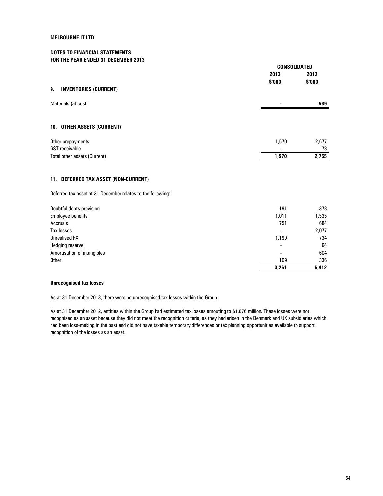# **NOTES TO FINANCIAL STATEMENTS FOR THE YEAR ENDED 31 DECEMBER 2013**

|                                                             | <b>CONSOLIDATED</b> |         |
|-------------------------------------------------------------|---------------------|---------|
|                                                             | 2013                | 2012    |
|                                                             | \$'000              | \$'000  |
| <b>INVENTORIES (CURRENT)</b><br>9.                          |                     |         |
| Materials (at cost)                                         |                     | 539     |
|                                                             |                     |         |
| 10. OTHER ASSETS (CURRENT)                                  |                     |         |
| Other prepayments                                           | 1,570               | 2,677   |
| <b>GST</b> receivable                                       |                     | 78      |
| <b>Total other assets (Current)</b>                         | 1,570               | 2,755   |
|                                                             |                     |         |
| 11. DEFERRED TAX ASSET (NON-CURRENT)                        |                     |         |
| Deferred tax asset at 31 December relates to the following: |                     |         |
| Doubtful debts provision                                    | 191                 | 378     |
| Employee honofita                                           | 1.011               | 1 5 2 5 |

|                                | 3,261                    | 6,412 |
|--------------------------------|--------------------------|-------|
| <b>Other</b>                   | 109                      | 336   |
| Amortisation of intangibles    | $\overline{\phantom{0}}$ | 604   |
| Hedging reserve                | $\overline{\phantom{0}}$ | 64    |
| <b>Unrealised FX</b>           | 1,199                    | 734   |
| Tax losses                     |                          | 2,077 |
| Accruals                       | 751                      | 684   |
| <b>Employee benefits</b>       | 1,011                    | 1,535 |
| <b>Doublin</b> acple provision | .                        | .     |

#### **Unrecognised tax losses**

As at 31 December 2013, there were no unrecognised tax losses within the Group.

As at 31 December 2012, entities within the Group had estimated tax losses amouting to \$1.676 million. These losses were not recognised as an asset because they did not meet the recognition criteria, as they had arisen in the Denmark and UK subsidiaries which had been loss-making in the past and did not have taxable temporary differences or tax planning opportunities available to support recognition of the losses as an asset.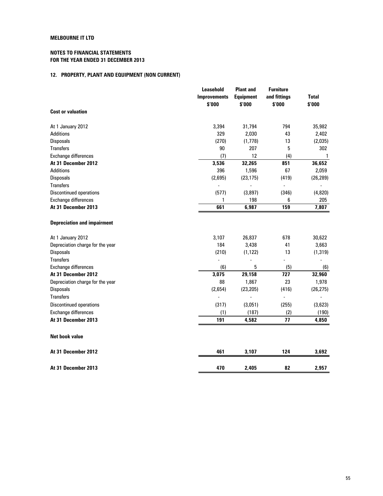# **NOTES TO FINANCIAL STATEMENTS FOR THE YEAR ENDED 31 DECEMBER 2013**

# **12. PROPERTY, PLANT AND EQUIPMENT (NON CURRENT)**

|                                    | <b>Leasehold</b>    | <b>Plant and</b> | <b>Furniture</b> |              |
|------------------------------------|---------------------|------------------|------------------|--------------|
|                                    | <b>Improvements</b> | <b>Equipment</b> | and fittings     | <b>Total</b> |
|                                    | \$'000              | \$'000           | \$'000           | \$'000       |
| <b>Cost or valuation</b>           |                     |                  |                  |              |
| At 1 January 2012                  | 3,394               | 31,794           | 794              | 35,982       |
| <b>Additions</b>                   | 329                 | 2,030            | 43               | 2,402        |
| <b>Disposals</b>                   | (270)               | (1, 778)         | 13               | (2,035)      |
| <b>Transfers</b>                   | 90                  | 207              | 5                | 302          |
| Exchange differences               | (7)                 | 12               | (4)              | 1            |
| At 31 December 2012                | 3,536               | 32,265           | 851              | 36,652       |
| <b>Additions</b>                   | 396                 | 1,596            | 67               | 2,059        |
| <b>Disposals</b>                   | (2,695)             | (23, 175)        | (419)            | (26, 289)    |
| <b>Transfers</b>                   |                     |                  |                  |              |
| <b>Discontinued operations</b>     | (577)               | (3,897)          | (346)            | (4,820)      |
| Exchange differences               |                     | 198              | 6                | 205          |
| At 31 December 2013                | 661                 | 6,987            | 159              | 7,807        |
| <b>Depreciation and impairment</b> |                     |                  |                  |              |
| At 1 January 2012                  | 3,107               | 26,837           | 678              | 30,622       |
| Depreciation charge for the year   | 184                 | 3,438            | 41               | 3,663        |
| <b>Disposals</b>                   | (210)               | (1, 122)         | 13               | (1, 319)     |
| <b>Transfers</b>                   |                     |                  |                  |              |
| Exchange differences               | (6)                 | 5                | (5)              | (6)          |
| At 31 December 2012                | 3,075               | 29,158           | 727              | 32,960       |
| Depreciation charge for the year   | 88                  | 1,867            | 23               | 1,978        |
| <b>Disposals</b>                   | (2,654)             | (23, 205)        | (416)            | (26, 275)    |
| <b>Transfers</b>                   |                     |                  |                  |              |
| <b>Discontinued operations</b>     | (317)               | (3,051)          | (255)            | (3,623)      |
| Exchange differences               | (1)                 | (187)            | (2)              | (190)        |
| At 31 December 2013                | 191                 | 4,582            | 77               | 4,850        |
| <b>Net book value</b>              |                     |                  |                  |              |
| At 31 December 2012                | 461                 | 3,107            | 124              | 3,692        |
| At 31 December 2013                | 470                 | 2,405            | 82               | 2,957        |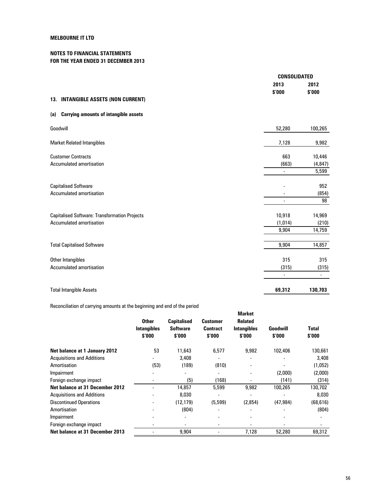# **NOTES TO FINANCIAL STATEMENTS FOR THE YEAR ENDED 31 DECEMBER 2013**

|                                                      | <b>CONSOLIDATED</b> |                |
|------------------------------------------------------|---------------------|----------------|
|                                                      | 2013                | 2012           |
|                                                      | \$'000              | \$'000         |
| 13. INTANGIBLE ASSETS (NON CURRENT)                  |                     |                |
| <b>Carrying amounts of intangible assets</b><br>(a)  |                     |                |
| Goodwill                                             | 52,280              | 100,265        |
| <b>Market Related Intangibles</b>                    | 7,128               | 9,982          |
| <b>Customer Contracts</b>                            | 663                 | 10,446         |
| Accumulated amortisation                             | (663)               | (4, 847)       |
|                                                      | $\blacksquare$      | 5,599          |
| <b>Capitalised Software</b>                          |                     | 952            |
| Accumulated amortisation                             |                     | (854)          |
|                                                      | $\sim$              | 98             |
| <b>Capitalised Software: Transformation Projects</b> | 10,918              | 14,969         |
| Accumulated amortisation                             | (1,014)             | (210)          |
|                                                      | 9,904               | 14,759         |
| <b>Total Capitalised Software</b>                    | 9,904               | 14,857         |
| Other Intangibles                                    | 315                 | 315            |
| Accumulated amortisation                             | (315)               | (315)          |
|                                                      | $\blacksquare$      | $\blacksquare$ |
| <b>Total Intangible Assets</b>                       | 69,312              | 130,703        |

Reconciliation of carrying amounts at the beginning and end of the period

|                                   | <b>Other</b><br><b>Intangibles</b><br>\$'000 | <b>Capitalised</b><br><b>Software</b><br>\$'000 | <b>Customer</b><br><b>Contract</b><br>\$'000 | <b>Market</b><br><b>Related</b><br><b>Intangibles</b><br>\$'000 | Goodwill<br>\$'000 | <b>Total</b><br>\$'000 |
|-----------------------------------|----------------------------------------------|-------------------------------------------------|----------------------------------------------|-----------------------------------------------------------------|--------------------|------------------------|
| Net balance at 1 January 2012     | 53                                           | 11,643                                          | 6,577                                        | 9,982                                                           | 102,406            | 130,661                |
| <b>Acquisitions and Additions</b> |                                              | 3,408                                           |                                              |                                                                 |                    | 3,408                  |
| Amortisation                      | (53)                                         | (189)                                           | (810)                                        |                                                                 |                    | (1,052)                |
| Impairment                        |                                              |                                                 |                                              |                                                                 | (2,000)            | (2,000)                |
| Foreign exchange impact           |                                              | (5)                                             | (168)                                        |                                                                 | (141)              | (314)                  |
| Net balance at 31 December 2012   |                                              | 14,857                                          | 5,599                                        | 9,982                                                           | 100,265            | 130,702                |
| <b>Acquisitions and Additions</b> |                                              | 8,030                                           |                                              |                                                                 |                    | 8,030                  |
| <b>Discontinued Operations</b>    |                                              | (12, 179)                                       | (5, 599)                                     | (2,854)                                                         | (47, 984)          | (68, 616)              |
| Amortisation                      |                                              | (804)                                           |                                              |                                                                 |                    | (804)                  |
| Impairment                        |                                              | ٠                                               |                                              |                                                                 |                    |                        |
| Foreign exchange impact           |                                              |                                                 |                                              |                                                                 |                    |                        |
| Net balance at 31 December 2013   |                                              | 9,904                                           |                                              | 7,128                                                           | 52,280             | 69,312                 |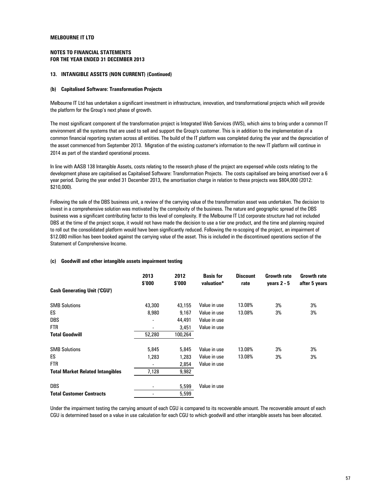# **NOTES TO FINANCIAL STATEMENTS FOR THE YEAR ENDED 31 DECEMBER 2013**

#### **13. INTANGIBLE ASSETS (NON CURRENT) (Continued)**

#### **(b) Capitalised Software: Transformation Projects**

Melbourne IT Ltd has undertaken a significant investment in infrastructure, innovation, and transformational projects which will provide the platform for the Group's next phase of growth.

The most significant component of the transformation project is Integrated Web Services (IWS), which aims to bring under a common IT environment all the systems that are used to sell and support the Group's customer. This is in addition to the implementation of a common financial reporting system across all entities. The build of the IT platform was completed during the year and the depreciation of the asset commenced from September 2013. Migration of the existing customer's information to the new IT platform will continue in 2014 as part of the standard operational process.

In line with AASB 138 Intangible Assets, costs relating to the research phase of the project are expensed while costs relating to the development phase are capitalised as Capitalised Software: Transformation Projects. The costs capitalised are being amortised over a 6 year period. During the year ended 31 December 2013, the amortisation charge in relation to these projects was \$804,000 (2012: \$210,000).

Following the sale of the DBS business unit, a review of the carrying value of the transformation asset was undertaken. The decision to invest in a comprehensive solution was motivated by the complexity of the business. The nature and geographic spread of the DBS business was a significant contributing factor to this level of complexity. If the Melbourne IT Ltd corporate structure had not included DBS at the time of the project scope, it would not have made the decision to use a tier one product, and the time and planning required to roll out the consolidated platform would have been significantly reduced. Following the re-scoping of the project, an impairment of \$12.080 million has been booked against the carrying value of the asset. This is included in the discontinued operations section of the Statement of Comprehensive Income.

#### **(c) Goodwill and other intangible assets impairment testing**

|                                         | 2013<br>\$'000 | 2012<br>\$'000 | <b>Basis for</b><br>valuation* | <b>Discount</b><br>rate | <b>Growth rate</b><br>years $2 - 5$ | <b>Growth rate</b><br>after 5 years |
|-----------------------------------------|----------------|----------------|--------------------------------|-------------------------|-------------------------------------|-------------------------------------|
| <b>Cash Generating Unit ('CGU')</b>     |                |                |                                |                         |                                     |                                     |
| <b>SMB Solutions</b>                    | 43,300         | 43,155         | Value in use                   | 13.08%                  | 3%                                  | 3%                                  |
| ES                                      | 8,980          | 9,167          | Value in use                   | 13.08%                  | 3%                                  | 3%                                  |
| <b>DBS</b>                              |                | 44,491         | Value in use                   |                         |                                     |                                     |
| <b>FTR</b>                              |                | 3,451          | Value in use                   |                         |                                     |                                     |
| <b>Total Goodwill</b>                   | 52,280         | 100,264        |                                |                         |                                     |                                     |
| <b>SMB Solutions</b>                    | 5,845          | 5,845          | Value in use                   | 13.08%                  | 3%                                  | 3%                                  |
| ES                                      | 1,283          | 1,283          | Value in use                   | 13.08%                  | 3%                                  | 3%                                  |
| <b>FTR</b>                              |                | 2,854          | Value in use                   |                         |                                     |                                     |
| <b>Total Market Related Intangibles</b> | 7,128          | 9,982          |                                |                         |                                     |                                     |
| <b>DBS</b>                              |                | 5,599          | Value in use                   |                         |                                     |                                     |
| <b>Total Customer Contracts</b>         |                | 5,599          |                                |                         |                                     |                                     |

Under the impairment testing the carrying amount of each CGU is compared to its recoverable amount. The recoverable amount of each CGU is determined based on a value in use calculation for each CGU to which goodwill and other intangible assets has been allocated.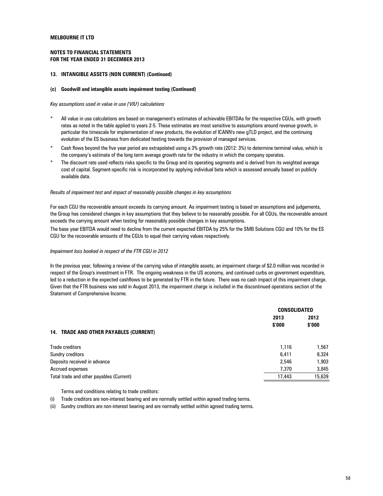# **NOTES TO FINANCIAL STATEMENTS FOR THE YEAR ENDED 31 DECEMBER 2013**

# **13. INTANGIBLE ASSETS (NON CURRENT) (Continued)**

# **(c) Goodwill and intangible assets impairment testing (Continued)**

## *Key assumptions used in value in use ('VIU') calculations*

- \* All value in use calculations are based on management's estimates of achievable EBITDAs for the respective CGUs, with growth rates as noted in the table applied to years 2-5. These estimates are most sensitive to assumptions around revenue growth, in particular the timescale for implementation of new products, the evolution of ICANN's new gTLD project, and the continuing evolution of the ES business from dedicated hosting towards the provision of managed services.
- \* Cash flows beyond the five year period are extrapolated using a 3% growth rate (2012: 3%) to determine terminal value, which is the company's estimate of the long term average growth rate for the industry in which the company operates.
- \* The discount rate used reflects risks specific to the Group and its operating segments and is derived from its weighted average cost of capital. Segment-specific risk is incorporated by applying individual beta which is assessed annually based on publicly available data.

# *Results of impairment test and impact of reasonably possible changes in key assumptions*

For each CGU the recoverable amount exceeds its carrying amount. As impairment testing is based on assumptions and judgements, the Group has considered changes in key assumptions that they believe to be reasonably possible. For all CGUs, the recoverable amount exceeds the carrying amount when testing for reasonably possible changes in key assumptions.

The base year EBITDA would need to decline from the current expected EBITDA by 25% for the SMB Solutions CGU and 10% for the ES CGU for the recoverable amounts of the CGUs to equal their carrying values respectively.

## *Impairment loss booked in respect of the FTR CGU in 2012*

In the previous year, following a review of the carrying value of intangible assets, an impairment charge of \$2.0 million was recorded in respect of the Group's investment in FTR. The ongoing weakness in the US economy, and continued curbs on government expenditure, led to a reduction in the expected cashflows to be generated by FTR in the future. There was no cash impact of this impairment charge. Given that the FTR business was sold in August 2013, the impairment charge is included in the discontinued operations section of the Statement of Comprehensive Income.

|                                          | <b>CONSOLIDATED</b> |                |
|------------------------------------------|---------------------|----------------|
|                                          | 2013<br>\$'000      | 2012<br>\$'000 |
| 14. TRADE AND OTHER PAYABLES (CURRENT)   |                     |                |
| Trade creditors                          | 1,116               | 1,567          |
| <b>Sundry creditors</b>                  | 6,411               | 8,324          |
| Deposits received in advance             | 2,546               | 1,903          |
| Accrued expenses                         | 7,370               | 3,845          |
| Total trade and other payables (Current) | 17,443              | 15,639         |

Terms and conditions relating to trade creditors:

(i) Trade creditors are non-interest bearing and are normally settled within agreed trading terms.

(ii) Sundry creditors are non-interest bearing and are normally settled within agreed trading terms.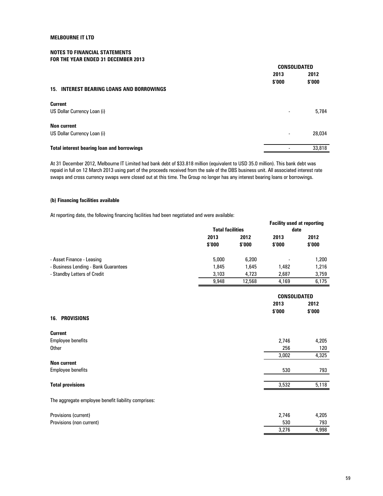# **NOTES TO FINANCIAL STATEMENTS FOR THE YEAR ENDED 31 DECEMBER 2013**

|                                                   | <b>CONSOLIDATED</b>      |        |
|---------------------------------------------------|--------------------------|--------|
|                                                   | 2013                     | 2012   |
|                                                   | \$'000                   | \$'000 |
| <b>15. INTEREST BEARING LOANS AND BORROWINGS</b>  |                          |        |
| <b>Current</b>                                    |                          |        |
| US Dollar Currency Loan (i)                       |                          | 5,784  |
| <b>Non current</b>                                |                          |        |
| US Dollar Currency Loan (i)                       | $\overline{\phantom{0}}$ | 28,034 |
| <b>Total interest bearing loan and borrowings</b> |                          | 33,818 |

At 31 December 2012, Melbourne IT Limited had bank debt of \$33.818 million (equivalent to USD 35.0 million). This bank debt was repaid in full on 12 March 2013 using part of the proceeds received from the sale of the DBS business unit. All associated interest rate swaps and cross currency swaps were closed out at this time. The Group no longer has any interest bearing loans or borrowings.

# **(b) Financing facilities available**

At reporting date, the following financing facilities had been negotiated and were available:

|                                                     | <b>Total facilities</b> |                | <b>Facility used at reporting</b><br>date |                |
|-----------------------------------------------------|-------------------------|----------------|-------------------------------------------|----------------|
|                                                     | 2013<br>\$'000          | 2012<br>\$'000 | 2013<br>\$'000                            | 2012<br>\$'000 |
| - Asset Finance - Leasing                           | 5,000                   | 6,200          |                                           | 1,200          |
| - Business Lending - Bank Guarantees                | 1,845                   | 1,645          | 1,482                                     | 1,216          |
| - Standby Letters of Credit                         | 3,103                   | 4,723          | 2,687                                     | 3,759          |
|                                                     | 9,948                   | 12,568         | 4,169                                     | 6,175          |
|                                                     |                         |                | <b>CONSOLIDATED</b>                       |                |
|                                                     |                         |                | 2013                                      | 2012           |
| 16. PROVISIONS                                      |                         |                | \$'000                                    | \$'000         |
| <b>Current</b>                                      |                         |                |                                           |                |
| <b>Employee benefits</b>                            |                         |                | 2,746                                     | 4,205          |
| <b>Other</b>                                        |                         |                | 256                                       | 120            |
|                                                     |                         |                | 3,002                                     | 4,325          |
| <b>Non current</b>                                  |                         |                |                                           |                |
| <b>Employee benefits</b>                            |                         |                | 530                                       | 793            |
| <b>Total provisions</b>                             |                         |                | 3,532                                     | 5,118          |
| The aggregate employee benefit liability comprises: |                         |                |                                           |                |
|                                                     |                         |                |                                           |                |
| Provisions (current)                                |                         |                | 2,746                                     | 4,205          |
| Provisions (non current)                            |                         |                | 530                                       | 793            |
|                                                     |                         |                | 3,276                                     | 4,998          |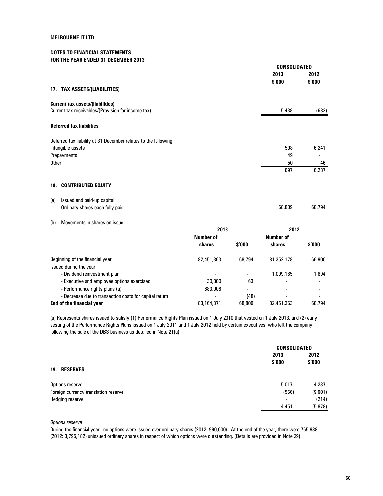# **NOTES TO FINANCIAL STATEMENTS FOR THE YEAR ENDED 31 DECEMBER 2013**

|                                                                                               |                  |        | <b>CONSOLIDATED</b> |        |
|-----------------------------------------------------------------------------------------------|------------------|--------|---------------------|--------|
|                                                                                               |                  |        | 2013                | 2012   |
| 17. TAX ASSETS/(LIABILITIES)                                                                  |                  |        | \$'000              | \$'000 |
|                                                                                               |                  |        |                     |        |
| <b>Current tax assets/(liabilities)</b><br>Current tax receivables/(Provision for income tax) |                  |        | 5,438               | (682)  |
|                                                                                               |                  |        |                     |        |
| <b>Deferred tax liabilities</b>                                                               |                  |        |                     |        |
| Deferred tax liability at 31 December relates to the following:                               |                  |        |                     |        |
| Intangible assets                                                                             |                  |        | 598                 | 6,241  |
| Prepayments                                                                                   |                  |        | 49                  |        |
| <b>Other</b>                                                                                  |                  |        | 50                  | 46     |
|                                                                                               |                  |        | 697                 | 6,287  |
| <b>CONTRIBUTED EQUITY</b><br>18.                                                              |                  |        |                     |        |
| Issued and paid-up capital<br>(a)                                                             |                  |        |                     |        |
| Ordinary shares each fully paid                                                               |                  |        | 68,809              | 68,794 |
| Movements in shares on issue<br>(b)                                                           |                  |        |                     |        |
|                                                                                               | 2013             |        | 2012                |        |
|                                                                                               | <b>Number of</b> |        | <b>Number of</b>    |        |
|                                                                                               | shares           | \$'000 | shares              | \$'000 |
| Beginning of the financial year                                                               | 82,451,363       | 68,794 | 81,352,178          | 66,900 |
| Issued during the year:                                                                       |                  |        |                     |        |
| - Dividend reinvestment plan                                                                  |                  |        | 1,099,185           | 1,894  |
| - Executive and employee options exercised                                                    | 30,000           | 63     |                     |        |
| - Performance rights plans (a)                                                                | 683,008          |        |                     |        |
| - Decrease due to transaction costs for capital return                                        |                  | (48)   |                     |        |
| End of the financial year                                                                     | 83,164,371       | 68,809 | 82,451,363          | 68,794 |

(a) Represents shares issued to satisfy (1) Performance Rights Plan issued on 1 July 2010 that vested on 1 July 2013, and (2) early vesting of the Performance Rights Plans issued on 1 July 2011 and 1 July 2012 held by certain executives, who left the company following the sale of the DBS business as detailed in Note 21(a).

|                                      | <b>CONSOLIDATED</b> |                |
|--------------------------------------|---------------------|----------------|
|                                      | 2013<br>\$'000      | 2012<br>\$'000 |
| 19. RESERVES                         |                     |                |
| Options reserve                      | 5,017               | 4,237          |
| Foreign currency translation reserve | (566)               | (9,901)        |
| Hedging reserve                      | ۰                   | (214)          |
|                                      | 4,451               | (5, 878)       |

*Options reserve*

During the financial year, no options were issued over ordinary shares (2012: 990,000). At the end of the year, there were 765,938 (2012: 3,795,182) unissued ordinary shares in respect of which options were outstanding. (Details are provided in Note 29).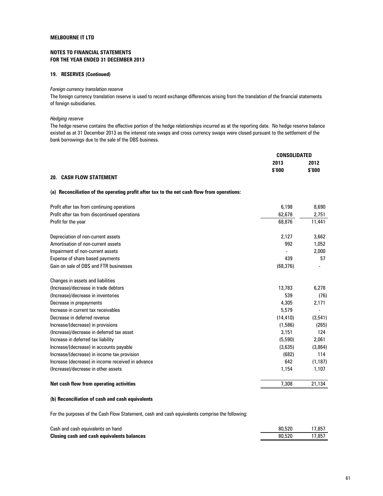# **NOTES TO FINANCIAL STATEMENTS FOR THE YEAR ENDED 31 DECEMBER 2013**

#### **19. RESERVES (Continued)**

# *Foreign currency translation reserve*

The foreign currency translation reserve is used to record exchange differences arising from the translation of the financial statements of foreign subsidiaries.

#### *Hedging reserve*

The hedge reserve contains the effective portion of the hedge relationships incurred as at the reporting date. No hedge reserve balance existed as at 31 December 2013 as the interest rate swaps and cross currency swaps were closed pursuant to the settlement of the bank borrowings due to the sale of the DBS business.

|        | <b>CONSOLIDATED</b> |  |
|--------|---------------------|--|
| 2013   | 2012                |  |
| \$'000 | \$'000              |  |
|        |                     |  |

# **20. CASH FLOW STATEMENT**

# **(a) Reconciliation of the operating profit after tax to the net cash flow from operations:**

| 7,308     | 21,134          |
|-----------|-----------------|
| 1,154     | 1,107           |
| 642       | (1, 187)        |
| (682)     | 114             |
| (3,635)   | (3,864)         |
| (5, 590)  | 2,061           |
| 3,151     | 124             |
| (1, 586)  | (265)           |
| (14, 410) | (3, 541)        |
| 5,579     |                 |
| 4,305     | 2,171           |
| 539       | (76)            |
| 13,783    | 6,278           |
|           |                 |
| (68, 376) |                 |
| 439       | 57              |
|           | 2,000           |
| 992       | 1,052           |
| 2,127     | 3,662           |
| 68,876    | 11,441          |
|           | 2,751           |
|           | 8,690           |
|           | 6,198<br>62,678 |

# **(b) Reconciliation of cash and cash equivalents**

For the purposes of the Cash Flow Statement, cash and cash equivalents comprise the following:

| Cash and cash equivalents on hand                 | 80,520 | 17,857 |
|---------------------------------------------------|--------|--------|
| <b>Closing cash and cash equivalents balances</b> | 80.520 | 17,857 |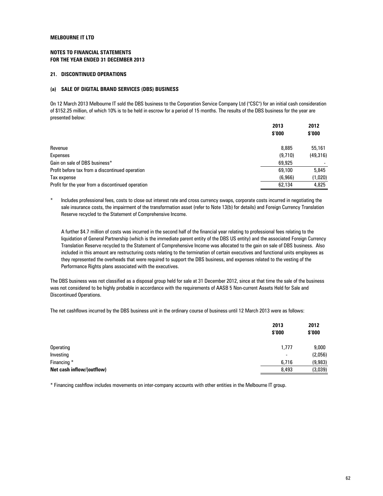# **NOTES TO FINANCIAL STATEMENTS FOR THE YEAR ENDED 31 DECEMBER 2013**

# **21. DISCONTINUED OPERATIONS**

# **(a) SALE OF DIGITAL BRAND SERVICES (DBS) BUSINESS**

On 12 March 2013 Melbourne IT sold the DBS business to the Corporation Service Company Ltd ("CSC") for an initial cash consideration of \$152.25 million, of which 10% is to be held in escrow for a period of 15 months. The results of the DBS business for the year are presented below:

|                                                   | 2013<br>\$'000 | 2012      |
|---------------------------------------------------|----------------|-----------|
|                                                   |                | \$'000    |
| Revenue                                           | 8,885          | 55,161    |
| <b>Expenses</b>                                   | (9,710)        | (49, 316) |
| Gain on sale of DBS business*                     | 69,925         |           |
| Profit before tax from a discontinued operation   | 69,100         | 5,845     |
| Tax expense                                       | (6, 966)       | (1,020)   |
| Profit for the year from a discontinued operation | 62,134         | 4,825     |

\* Includes professional fees, costs to close out interest rate and cross currency swaps, corporate costs incurred in negotiating the sale insurance costs, the impairment of the transformation asset (refer to Note 13(b) for details) and Foreign Currency Translation Reserve recycled to the Statement of Comprehensive Income.

A further \$4.7 million of costs was incurred in the second half of the financial year relating to professional fees relating to the liquidation of General Partnership (which is the immediate parent entity of the DBS US entity) and the associated Foreign Currency Translation Reserve recycled to the Statement of Comprehensive Income was allocated to the gain on sale of DBS business. Also included in this amount are restructuring costs relating to the termination of certain executives and functional units employees as they represented the overheads that were required to support the DBS business, and expenses related to the vesting of the Performance Rights plans associated with the executives.

The DBS business was not classified as a disposal group held for sale at 31 December 2012, since at that time the sale of the business was not considered to be highly probable in accordance with the requirements of AASB 5 Non-current Assets Held for Sale and Discontinued Operations.

The net cashflows incurred by the DBS business unit in the ordinary course of business until 12 March 2013 were as follows:

|                           | 2013<br>\$'000           | 2012<br>\$'000 |
|---------------------------|--------------------------|----------------|
| <b>Operating</b>          | 1,777                    | 9,000          |
| Investing                 | $\overline{\phantom{0}}$ | (2,056)        |
| Financing $*$             | 6,716                    | (9,983)        |
| Net cash inflow/(outflow) | 8,493                    | (3,039)        |

\* Financing cashflow includes movements on inter-company accounts with other entities in the Melbourne IT group.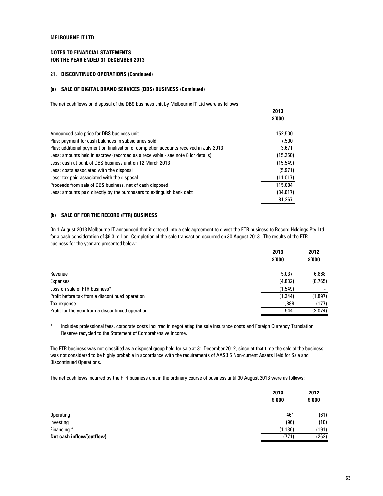# **NOTES TO FINANCIAL STATEMENTS FOR THE YEAR ENDED 31 DECEMBER 2013**

# **21. DISCONTINUED OPERATIONS (Continued)**

# **(a) SALE OF DIGITAL BRAND SERVICES (DBS) BUSINESS (Continued)**

The net cashflows on disposal of the DBS business unit by Melbourne IT Ltd were as follows:

|                                                                                       | 2013      |
|---------------------------------------------------------------------------------------|-----------|
|                                                                                       | \$'000    |
| Announced sale price for DBS business unit                                            | 152,500   |
| Plus: payment for cash balances in subsidiaries sold                                  | 7,500     |
| Plus: additional payment on finalisation of completion accounts received in July 2013 | 3,671     |
| Less: amounts held in escrow (recorded as a receivable - see note 8 for details)      | (15, 250) |
| Less: cash at bank of DBS business unit on 12 March 2013                              | (15, 549) |
| Less: costs associated with the disposal                                              | (5, 971)  |
| Less: tax paid associated with the disposal                                           | (11, 017) |
| Proceeds from sale of DBS business, net of cash disposed                              | 115,884   |
| Less: amounts paid directly by the purchasers to extinguish bank debt                 | (34, 617) |
|                                                                                       | 81,267    |

# **(b) SALE OF FOR THE RECORD (FTR) BUSINESS**

On 1 August 2013 Melbourne IT announced that it entered into a sale agreement to divest the FTR business to Record Holdings Pty Ltd for a cash consideration of \$6.3 million. Completion of the sale transaction occurred on 30 August 2013. The results of the FTR business for the year are presented below:

|                                                   | 2013<br>\$'000 | 2012<br>\$'000 |
|---------------------------------------------------|----------------|----------------|
|                                                   |                |                |
| Revenue                                           | 5,037          | 6,868          |
| <b>Expenses</b>                                   | (4,832)        | (8, 765)       |
| Loss on sale of FTR business*                     | (1, 549)       |                |
| Profit before tax from a discontinued operation   | (1, 344)       | (1, 897)       |
| Tax expense                                       | 1,888          | (177)          |
| Profit for the year from a discontinued operation | 544            | (2,074)        |

\* Includes professional fees, corporate costs incurred in negotiating the sale insurance costs and Foreign Currency Translation Reserve recycled to the Statement of Comprehensive Income.

The FTR business was not classified as a disposal group held for sale at 31 December 2012, since at that time the sale of the business was not considered to be highly probable in accordance with the requirements of AASB 5 Non-current Assets Held for Sale and Discontinued Operations.

The net cashflows incurred by the FTR business unit in the ordinary course of business until 30 August 2013 were as follows:

|                           | 2013<br>\$'000 | 2012<br>\$'000 |
|---------------------------|----------------|----------------|
| <b>Operating</b>          | 461            | (61)           |
| Investing                 | (96)           | (10)           |
| Financing *               | (1, 136)       | (191)          |
| Net cash inflow/(outflow) | (771)          | (262)          |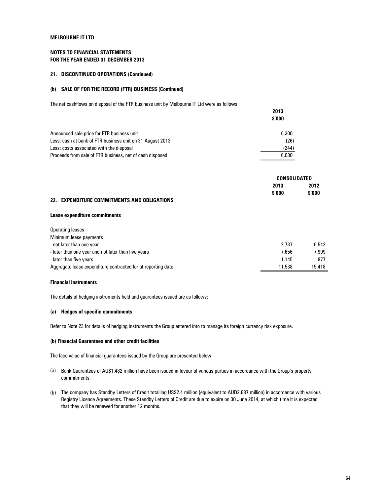# **NOTES TO FINANCIAL STATEMENTS FOR THE YEAR ENDED 31 DECEMBER 2013**

# **21. DISCONTINUED OPERATIONS (Continued)**

# **(b) SALE OF FOR THE RECORD (FTR) BUSINESS (Continued)**

The net cashflows on disposal of the FTR business unit by Melbourne IT Ltd were as follows:

|                                                           | \$'000 |
|-----------------------------------------------------------|--------|
| Announced sale price for FTR business unit                | 6,300  |
| Less: cash at bank of FTR business unit on 31 August 2013 | (26)   |
| Less: costs associated with the disposal                  | (244)  |
| Proceeds from sale of FTR business, net of cash disposed  | 6,030  |

|     |       | <b>CONSOLIDATED</b> |        |
|-----|-------|---------------------|--------|
|     |       | 2013                | 2012   |
|     |       | \$'000              | \$'000 |
| ___ | _____ |                     |        |

**2013**

# **22. EXPENDITURE COMMITMENTS AND OBLIGATIONS**

#### **Lease expenditure commitments**

| <b>Operating leases</b> |  |
|-------------------------|--|
|                         |  |

| Minimum lease payments                                       |        |        |
|--------------------------------------------------------------|--------|--------|
| - not later than one year                                    | 2,737  | 6,542  |
| - later than one year and not later than five years          | 7,656  | 7,999  |
| - later than five years                                      | 1.145  | 877    |
| Aggregate lease expenditure contracted for at reporting date | 11,538 | 15,418 |

## **Financial instruments**

The details of hedging instruments held and guarantees issued are as follows:

# **(a) Hedges of specific commitments**

Refer to Note 23 for details of hedging instruments the Group entered into to manage its foreign currency risk exposure.

# **(b) Financial Guarantees and other credit facilities**

The face value of financial guarantees issued by the Group are presented below.

- (a) Bank Guarantees of AU\$1.482 million have been issued in favour of various parties in accordance with the Group's property commitments.
- (b) The company has Standby Letters of Credit totalling US\$2.4 million (equivalent to AUD2.687 million) in accordance with various Registry Licence Agreements. These Standby Letters of Credit are due to expire on 30 June 2014, at which time it is expected that they will be renewed for another 12 months.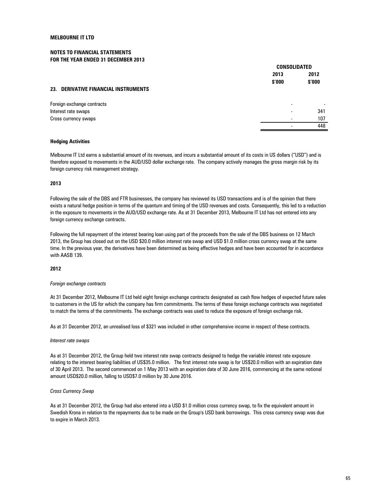# **NOTES TO FINANCIAL STATEMENTS FOR THE YEAR ENDED 31 DECEMBER 2013**

|                                      |        | <b>CONSOLIDATED</b> |
|--------------------------------------|--------|---------------------|
|                                      | 2013   | 2012                |
|                                      | \$'000 | \$'000              |
| 23. DERIVATIVE FINANCIAL INSTRUMENTS |        |                     |
| Foreign exchange contracts           | -      |                     |
| Interest rate swaps                  | -      | 341                 |
| Cross currency swaps                 |        | 107                 |
|                                      |        | 448                 |

# **Hedging Activities**

Melbourne IT Ltd earns a substantial amount of its revenues, and incurs a substantial amount of its costs in US dollars ("USD") and is therefore exposed to movements in the AUD/USD dollar exchange rate. The company actively manages the gross margin risk by its foreign currency risk management strategy.

#### **2013**

Following the sale of the DBS and FTR businesses, the company has reviewed its USD transactions and is of the opinion that there exists a natural hedge position in terms of the quantum and timing of the USD revenues and costs. Consequently, this led to a reduction in the exposure to movements in the AUD/USD exchange rate. As at 31 December 2013, Melbourne IT Ltd has not entered into any foreign currency exchange contracts.

Following the full repayment of the interest bearing loan using part of the proceeds from the sale of the DBS business on 12 March 2013, the Group has closed out on the USD \$20.0 million interest rate swap and USD \$1.0 million cross currency swap at the same time. In the previous year, the derivatives have been determined as being effective hedges and have been accounted for in accordance with AASB 139.

#### **2012**

#### *Foreign exchange contracts*

At 31 December 2012, Melbourne IT Ltd held eight foreign exchange contracts designated as cash flow hedges of expected future sales to customers in the US for which the company has firm commitments. The terms of these foreign exchange contracts was negotiated to match the terms of the commitments. The exchange contracts was used to reduce the exposure of foreign exchange risk.

As at 31 December 2012, an unrealised loss of \$321 was included in other comprehensive income in respect of these contracts.

#### *Interest rate swaps*

As at 31 December 2012, the Group held two interest rate swap contracts designed to hedge the variable interest rate exposure relating to the interest bearing liabilities of US\$35.0 million. The first interest rate swap is for US\$20.0 million with an expiration date of 30 April 2013. The second commenced on 1 May 2013 with an expiration date of 30 June 2016, commencing at the same notional amount USD\$20.0 million, falling to USD\$7.0 million by 30 June 2016.

#### *Cross Currency Swap*

As at 31 December 2012, the Group had also entered into a USD \$1.0 million cross currency swap, to fix the equivalent amount in Swedish Krona in relation to the repayments due to be made on the Group's USD bank borrowings. This cross currency swap was due to expire in March 2013.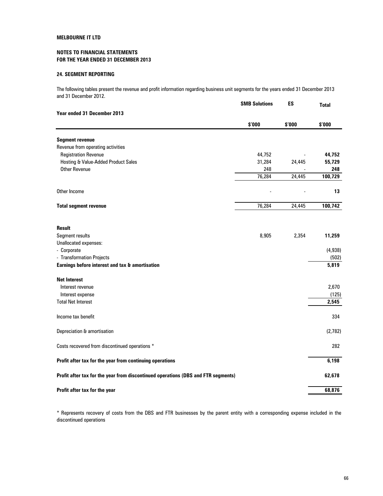# **NOTES TO FINANCIAL STATEMENTS FOR THE YEAR ENDED 31 DECEMBER 2013**

#### **24. SEGMENT REPORTING**

The following tables present the revenue and profit information regarding business unit segments for the years ended 31 December 2013 and 31 December 2012.

|                                                                                   | <b>SMB Solutions</b> | ES     | <b>Total</b> |
|-----------------------------------------------------------------------------------|----------------------|--------|--------------|
| Year ended 31 December 2013                                                       |                      |        |              |
|                                                                                   | \$'000               | \$'000 | \$'000       |
| <b>Segment revenue</b>                                                            |                      |        |              |
| Revenue from operating activities                                                 |                      |        |              |
| <b>Registration Revenue</b>                                                       | 44,752               |        | 44,752       |
| Hosting & Value-Added Product Sales                                               | 31,284               | 24,445 | 55,729       |
| <b>Other Revenue</b>                                                              | 248                  |        | 248          |
|                                                                                   | 76,284               | 24,445 | 100,729      |
| Other Income                                                                      |                      |        | 13           |
| <b>Total segment revenue</b>                                                      | 76,284               | 24,445 | 100,742      |
| <b>Result</b>                                                                     |                      |        |              |
| Segment results                                                                   | 8,905                | 2,354  | 11,259       |
| Unallocated expenses:                                                             |                      |        |              |
| - Corporate                                                                       |                      |        | (4,938)      |
| - Transformation Projects                                                         |                      |        | (502)        |
| Earnings before interest and tax & amortisation                                   |                      |        | 5,819        |
| <b>Net Interest</b>                                                               |                      |        |              |
| Interest revenue                                                                  |                      |        | 2,670        |
| Interest expense                                                                  |                      |        | (125)        |
| <b>Total Net Interest</b>                                                         |                      |        | 2,545        |
| Income tax benefit                                                                |                      |        | 334          |
| Depreciation & amortisation                                                       |                      |        | (2,782)      |
| Costs recovered from discontinued operations *                                    |                      |        | 282          |
| Profit after tax for the year from continuing operations                          |                      |        | 6,198        |
| Profit after tax for the year from discontinued operations (DBS and FTR segments) |                      |        | 62,678       |
| Profit after tax for the year                                                     |                      |        | 68,876       |

\* Represents recovery of costs from the DBS and FTR businesses by the parent entity with a corresponding expense included in the discontinued operations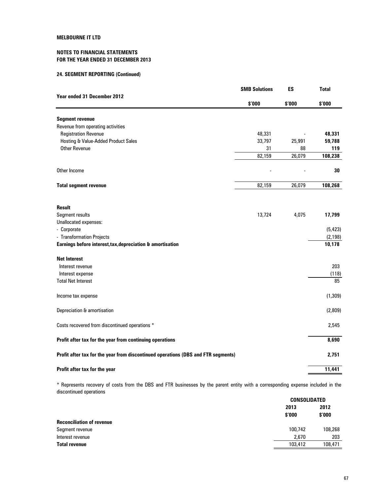# **NOTES TO FINANCIAL STATEMENTS FOR THE YEAR ENDED 31 DECEMBER 2013**

# **24. SEGMENT REPORTING (Continued)**

|                                                                                   | <b>SMB Solutions</b> | ES     | <b>Total</b> |
|-----------------------------------------------------------------------------------|----------------------|--------|--------------|
| Year ended 31 December 2012                                                       | \$'000               | \$'000 | \$'000       |
| <b>Segment revenue</b>                                                            |                      |        |              |
| Revenue from operating activities                                                 |                      |        |              |
| <b>Registration Revenue</b>                                                       | 48,331               |        | 48,331       |
| Hosting & Value-Added Product Sales                                               | 33,797               | 25,991 | 59,788       |
| <b>Other Revenue</b>                                                              | 31                   | 88     | 119          |
|                                                                                   | 82,159               | 26,079 | 108,238      |
| Other Income                                                                      |                      |        | 30           |
| <b>Total segment revenue</b>                                                      | 82,159               | 26,079 | 108,268      |
| <b>Result</b>                                                                     |                      |        |              |
| Segment results                                                                   | 13,724               | 4,075  | 17,799       |
| Unallocated expenses:                                                             |                      |        |              |
| - Corporate                                                                       |                      |        | (5, 423)     |
| - Transformation Projects                                                         |                      |        | (2, 198)     |
| Earnings before interest, tax, depreciation & amortisation                        |                      |        | 10,178       |
| <b>Net Interest</b>                                                               |                      |        |              |
| Interest revenue                                                                  |                      |        | 203          |
| Interest expense                                                                  |                      |        | (118)        |
| <b>Total Net Interest</b>                                                         |                      |        | 85           |
| Income tax expense                                                                |                      |        | (1, 309)     |
| Depreciation & amortisation                                                       |                      |        | (2,809)      |
| Costs recovered from discontinued operations *                                    |                      |        | 2,545        |
| Profit after tax for the year from continuing operations                          |                      |        | 8,690        |
| Profit after tax for the year from discontinued operations (DBS and FTR segments) |                      |        | 2,751        |
| Profit after tax for the year                                                     |                      |        | 11,441       |

\* Represents recovery of costs from the DBS and FTR businesses by the parent entity with a corresponding expense included in the discontinued operations

|                                  | <b>CONSOLIDATED</b> |                |
|----------------------------------|---------------------|----------------|
|                                  | 2013<br>\$'000      | 2012<br>\$'000 |
| <b>Reconciliation of revenue</b> |                     |                |
| Segment revenue                  | 100,742             | 108,268        |
| Interest revenue                 | 2,670               | 203            |
| <b>Total revenue</b>             | 103,412             | 108,471        |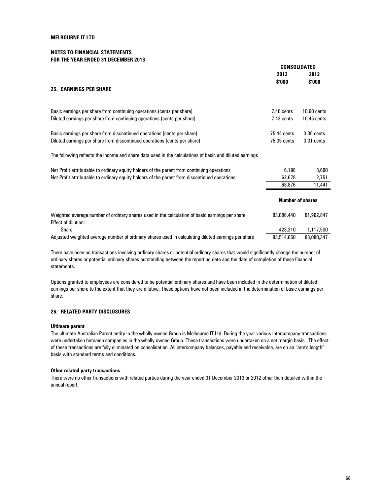# **NOTES TO FINANCIAL STATEMENTS FOR THE YEAR ENDED 31 DECEMBER 2013**

|                                                                                                                              | <b>CONSOLIDATED</b>     |             |
|------------------------------------------------------------------------------------------------------------------------------|-------------------------|-------------|
|                                                                                                                              | 2013                    | 2012        |
|                                                                                                                              | \$'000                  | \$'000      |
| <b>25. EARNINGS PER SHARE</b>                                                                                                |                         |             |
|                                                                                                                              |                         |             |
| Basic earnings per share from continuing operations (cents per share)                                                        | 7.46 cents              | 10.60 cents |
| Diluted earnings per share from continuing operations (cents per share)                                                      | 7.42 cents              | 10.46 cents |
| Basic earnings per share from discontinued operations (cents per share)                                                      | 75.44 cents             | 3.36 cents  |
| Diluted earnings per share from discontinued operations (cents per share)                                                    | 75.05 cents             | 3.31 cents  |
| The following reflects the income and share data used in the calculations of basic and diluted earnings                      |                         |             |
| Net Profit attributable to ordinary equity holders of the parent from continuing operations                                  | 6,198                   | 8,690       |
| Net Profit attributable to ordinary equity holders of the parent from discontinued operations                                | 62,678                  | 2,751       |
|                                                                                                                              | 68,876                  | 11,441      |
|                                                                                                                              |                         |             |
|                                                                                                                              | <b>Number of shares</b> |             |
| Weighted average number of ordinary shares used in the calculation of basic earnings per share<br><b>Effect of dilution:</b> | 83,086,440              | 81,962,847  |
| <b>Share</b>                                                                                                                 | 428,210                 | 1,117,500   |
| Adjusted weighted average number of ordinary shares used in calculating diluted earnings per share                           | 83,514,650              | 83,080,347  |

There have been no transactions involving ordinary shares or potential ordinary shares that would significantly change the number of ordinary shares or potential ordinary shares outstanding between the reporting date and the date of completion of these financial statements.

Options granted to employees are considered to be potential ordinary shares and have been included in the determination of diluted earnings per share to the extent that they are dilutive. These options have not been included in the determination of basic earnings per share.

# **26. RELATED PARTY DISCLOSURES**

# **Ultimate parent**

The ultimate Australian Parent entity in the wholly owned Group is Melbourne IT Ltd. During the year various intercompany transactions were undertaken between companies in the wholly owned Group. These transactions were undertaken on a net margin basis. The effect of these transactions are fully eliminated on consolidation. All intercompany balances, payable and receivable, are on an "arm's length" basis with standard terms and conditions.

## **Other related party transactions**

There were no other transactions with related parties during the year ended 31 December 2013 or 2012 other than detailed within the annual report.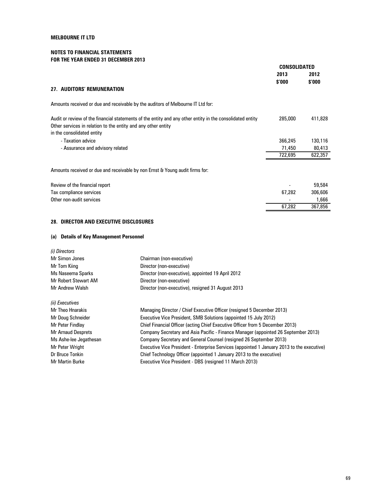# **NOTES TO FINANCIAL STATEMENTS FOR THE YEAR ENDED 31 DECEMBER 2013**

|                                                                                                           | <b>CONSOLIDATED</b> |                |
|-----------------------------------------------------------------------------------------------------------|---------------------|----------------|
|                                                                                                           | 2013<br>\$'000      | 2012<br>\$'000 |
| 27. AUDITORS' REMUNERATION                                                                                |                     |                |
| Amounts received or due and receivable by the auditors of Melbourne IT Ltd for:                           |                     |                |
| Audit or review of the financial statements of the entity and any other entity in the consolidated entity | 285,000             | 411,828        |
| Other services in relation to the entity and any other entity                                             |                     |                |
| in the consolidated entity                                                                                |                     |                |
| - Taxation advice                                                                                         | 366,245             | 130,116        |
| - Assurance and advisory related                                                                          | 71,450              | 80,413         |
|                                                                                                           | 722,695             | 622,357        |
| Amounts received or due and receivable by non Ernst & Young audit firms for:                              |                     |                |
| Review of the financial report                                                                            |                     | 59,584         |
| Tax compliance services                                                                                   | 67,282              | 306,606        |
| Other non-audit services                                                                                  |                     | 1,666          |
|                                                                                                           | 67,282              | 367,856        |
| <b>DIRECTOR AND EXECUTIVE DISCLOSURES</b><br>28.                                                          |                     |                |

# **(a) Details of Key Management Personnel**

| (i) Directors          |                                                                                            |
|------------------------|--------------------------------------------------------------------------------------------|
| Mr Simon Jones         | Chairman (non-executive)                                                                   |
| Mr Tom Kiing           | Director (non-executive)                                                                   |
| Ms Naseema Sparks      | Director (non-executive), appointed 19 April 2012                                          |
| Mr Robert Stewart AM   | Director (non-executive)                                                                   |
| Mr Andrew Walsh        | Director (non-executive), resigned 31 August 2013                                          |
| (ii) Executives        |                                                                                            |
| Mr Theo Hnarakis       | Managing Director / Chief Executive Officer (resigned 5 December 2013)                     |
| Mr Doug Schneider      | Executive Vice President, SMB Solutions (appointed 15 July 2012)                           |
| Mr Peter Findlay       | Chief Financial Officer (acting Chief Executive Officer from 5 December 2013)              |
| Mr Arnaud Desprets     | Company Secretary and Asia Pacific - Finance Manager (appointed 26 September 2013)         |
| Ms Ashe-lee Jegathesan | Company Secretary and General Counsel (resigned 26 September 2013)                         |
| Mr Peter Wright        | Executive Vice President - Enterprise Services (appointed 1 January 2013 to the executive) |
| Dr Bruce Tonkin        | Chief Technology Officer (appointed 1 January 2013 to the executive)                       |
| Mr Martin Burke        | Executive Vice President - DBS (resigned 11 March 2013)                                    |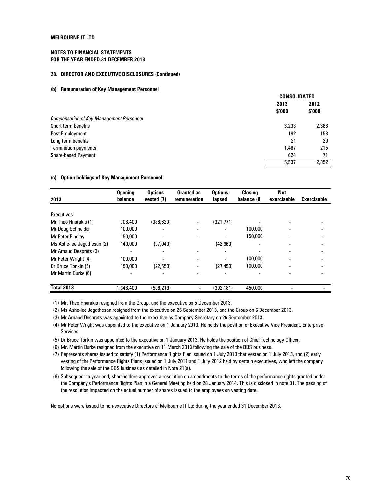# **NOTES TO FINANCIAL STATEMENTS FOR THE YEAR ENDED 31 DECEMBER 2013**

#### **28. DIRECTOR AND EXECUTIVE DISCLOSURES (Continued)**

#### **(b) Remuneration of Key Management Personnel**

|                                                 | <b>CONSOLIDATED</b> |        |
|-------------------------------------------------|---------------------|--------|
|                                                 | 2013                | 2012   |
|                                                 | \$'000              | \$'000 |
| <b>Compensation of Key Management Personnel</b> |                     |        |
| Short term benefits                             | 3,233               | 2,388  |
| Post Employment                                 | 192                 | 158    |
| Long term benefits                              | 21                  | 20     |
| <b>Termination payments</b>                     | 1,467               | 215    |
| <b>Share-based Payment</b>                      | 624                 | 71     |
|                                                 | 5,537               | 2,852  |

#### **(c) Option holdings of Key Management Personnel**

| 2013                       | <b>Opening</b><br>balance | <b>Options</b><br>vested $(7)$ | <b>Granted as</b><br>remuneration | <b>Options</b><br>lapsed | <b>Closing</b><br>balance (8) | <b>Not</b><br>exercisable | <b>Exercisable</b> |
|----------------------------|---------------------------|--------------------------------|-----------------------------------|--------------------------|-------------------------------|---------------------------|--------------------|
|                            |                           |                                |                                   |                          |                               |                           |                    |
| <b>Executives</b>          |                           |                                |                                   |                          |                               |                           |                    |
| Mr Theo Hnarakis (1)       | 708,400                   | (386, 629)                     |                                   | (321, 771)               |                               |                           |                    |
| Mr Doug Schneider          | 100,000                   | ۰                              |                                   |                          | 100,000                       |                           |                    |
| Mr Peter Findlay           | 150,000                   |                                |                                   |                          | 150,000                       |                           |                    |
| Ms Ashe-lee Jegathesan (2) | 140,000                   | (97,040)                       |                                   | (42, 960)                |                               |                           |                    |
| Mr Arnaud Desprets (3)     |                           |                                |                                   |                          |                               |                           |                    |
| Mr Peter Wright (4)        | 100,000                   |                                |                                   |                          | 100,000                       |                           |                    |
| Dr Bruce Tonkin (5)        | 150,000                   | (22, 550)                      |                                   | (27, 450)                | 100,000                       |                           |                    |
| Mr Martin Burke (6)        |                           |                                |                                   |                          |                               |                           |                    |
| <b>Total 2013</b>          | 1,348,400                 | (506,219)                      |                                   | (392, 181)               | 450,000                       |                           |                    |

(1) Mr. Theo Hnarakis resigned from the Group, and the executive on 5 December 2013.

(2) Ms Ashe-lee Jegathesan resigned from the executive on 26 September 2013, and the Group on 6 December 2013.

(3) Mr Arnaud Desprets was appointed to the executive as Company Secretary on 26 September 2013.

(4) Mr Peter Wright was appointed to the executive on 1 January 2013. He holds the position of Executive Vice President, Enterprise Services.

(5) Dr Bruce Tonkin was appointed to the executive on 1 January 2013. He holds the position of Chief Technology Officer.

(6) Mr. Martin Burke resigned from the executive on 11 March 2013 following the sale of the DBS business.

(7) Represents shares issued to satisfy (1) Performance Rights Plan issued on 1 July 2010 that vested on 1 July 2013, and (2) early vesting of the Performance Rights Plans issued on 1 July 2011 and 1 July 2012 held by certain executives, who left the company following the sale of the DBS business as detailed in Note 21(a).

(8) Subsequent to year end, shareholders approved a resolution on amendments to the terms of the performance rights granted under the Company's Performance Rights Plan in a General Meeting held on 28 January 2014. This is disclosed in note 31. The passing of the resolution impacted on the actual number of shares issued to the employees on vesting date.

No options were issued to non-executive Directors of Melbourne IT Ltd during the year ended 31 December 2013.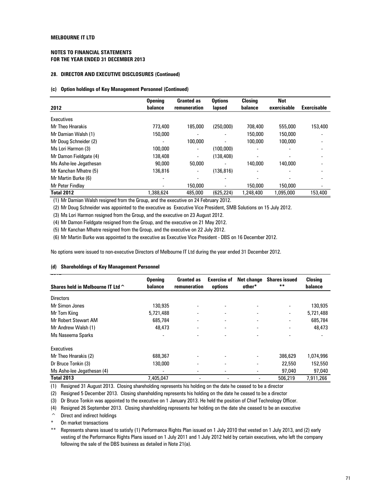# **NOTES TO FINANCIAL STATEMENTS FOR THE YEAR ENDED 31 DECEMBER 2013**

# **28. DIRECTOR AND EXECUTIVE DISCLOSURES (Continued)**

#### **(c) Option holdings of Key Management Personnel (Continued)**

| 2012                    | <b>Opening</b><br>balance | <b>Granted as</b><br>remuneration | <b>Options</b><br>lapsed | <b>Closing</b><br>balance | <b>Not</b><br>exercisable | <b>Exercisable</b> |
|-------------------------|---------------------------|-----------------------------------|--------------------------|---------------------------|---------------------------|--------------------|
|                         |                           |                                   |                          |                           |                           |                    |
| <b>Executives</b>       |                           |                                   |                          |                           |                           |                    |
| <b>Mr Theo Hnarakis</b> | 773,400                   | 185,000                           | (250,000)                | 708,400                   | 555,000                   | 153,400            |
| Mr Damian Walsh (1)     | 150,000                   |                                   |                          | 150,000                   | 150,000                   |                    |
| Mr Doug Schneider (2)   | $\overline{\phantom{0}}$  | 100,000                           |                          | 100,000                   | 100,000                   |                    |
| Ms Lori Harmon (3)      | 100,000                   | $\overline{\phantom{a}}$          | (100,000)                |                           |                           |                    |
| Mr Damon Fieldgate (4)  | 138,408                   | $\overline{\phantom{a}}$          | (138, 408)               |                           |                           |                    |
| Ms Ashe-lee Jegathesan  | 90,000                    | 50,000                            |                          | 140,000                   | 140,000                   |                    |
| Mr Kanchan Mhatre (5)   | 136,816                   | ٠                                 | (136, 816)               |                           |                           |                    |
| Mr Martin Burke (6)     |                           |                                   |                          |                           |                           |                    |
| Mr Peter Findlay        |                           | 150,000                           |                          | 150,000                   | 150,000                   |                    |
| <b>Total 2012</b>       | 1,388,624                 | 485,000                           | (625, 224)               | 1,248,400                 | 1,095,000                 | 153,400            |

(1) Mr Damian Walsh resigned from the Group, and the executive on 24 February 2012.

(2) Mr Doug Schneider was appointed to the executive as Executive Vice President, SMB Solutions on 15 July 2012.

(3) Ms Lori Harmon resigned from the Group, and the executive on 23 August 2012.

(4) Mr Damon Fieldgate resigned from the Group, and the executive on 21 May 2012.

(5) Mr Kanchan Mhatre resigned from the Group, and the executive on 22 July 2012.

(6) Mr Martin Burke was appointed to the executive as Executive Vice President - DBS on 16 December 2012.

No options were issued to non-executive Directors of Melbourne IT Ltd during the year ended 31 December 2012.

## **(d) Shareholdings of Key Management Personnel**

| Shares held in Melbourne IT Ltd ^ | <b>Opening</b><br>balance | <b>Granted as</b><br>remuneration | <b>Exercise of</b><br>options | <b>Net change</b><br>other* | <b>Shares issued</b><br>** | <b>Closing</b><br>balance |
|-----------------------------------|---------------------------|-----------------------------------|-------------------------------|-----------------------------|----------------------------|---------------------------|
| <b>Directors</b>                  |                           |                                   |                               |                             |                            |                           |
| Mr Simon Jones                    | 130,935                   | ٠                                 |                               | ٠                           | ٠                          | 130,935                   |
| Mr Tom Kiing                      | 5,721,488                 | ٠                                 | ۰                             | $\sim$                      | ۰                          | 5,721,488                 |
| <b>Mr Robert Stewart AM</b>       | 685,784                   | $\blacksquare$                    |                               | ٠                           |                            | 685,784                   |
| Mr Andrew Walsh (1)               | 48,473                    | ٠                                 |                               | ۰                           | ۰                          | 48,473                    |
| Ms Naseema Sparks                 | ٠                         | $\overline{\phantom{0}}$          |                               | ٠                           |                            |                           |
| <b>Executives</b>                 |                           |                                   |                               |                             |                            |                           |
| Mr Theo Hnarakis (2)              | 688,367                   | $\blacksquare$                    |                               | $\blacksquare$              | 386,629                    | 1,074,996                 |
| Dr Bruce Tonkin (3)               | 130,000                   | ٠                                 |                               | $\blacksquare$              | 22,550                     | 152,550                   |
| Ms Ashe-lee Jegathesan (4)        | ٠                         | $\blacksquare$                    |                               | $\blacksquare$              | 97,040                     | 97,040                    |
| <b>Total 2013</b>                 | 7,405,047                 |                                   |                               |                             | 506,219                    | 7,911,266                 |

(1) Resigned 31 August 2013. Closing shareholding represents his holding on the date he ceased to be a director

(2) Resigned 5 December 2013. Closing shareholding represents his holding on the date he ceased to be a director

(3) Dr Bruce Tonkin was appointed to the executive on 1 January 2013. He held the position of Chief Technology Officer.

(4) Resigned 26 September 2013. Closing shareholding represents her holding on the date she ceased to be an executive

 $\hat{ }$  Direct and indirect holdings

\* On market transactions

\*\* Represents shares issued to satisfy (1) Performance Rights Plan issued on 1 July 2010 that vested on 1 July 2013, and (2) early vesting of the Performance Rights Plans issued on 1 July 2011 and 1 July 2012 held by certain executives, who left the company following the sale of the DBS business as detailed in Note 21(a).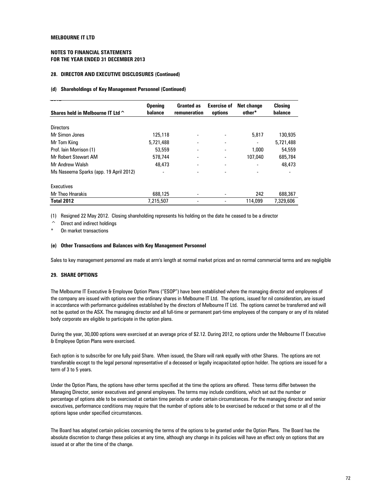### **NOTES TO FINANCIAL STATEMENTS FOR THE YEAR ENDED 31 DECEMBER 2013**

### **28. DIRECTOR AND EXECUTIVE DISCLOSURES (Continued)**

### **(d) Shareholdings of Key Management Personnel (Continued)**

| Shares held in Melbourne IT Ltd ^      | <b>Opening</b><br>balance | <b>Granted as</b><br>remuneration | <b>Exercise of</b><br>options | <b>Net change</b><br>other* | <b>Closing</b><br>balance |
|----------------------------------------|---------------------------|-----------------------------------|-------------------------------|-----------------------------|---------------------------|
|                                        |                           |                                   |                               |                             |                           |
| <b>Directors</b>                       |                           |                                   |                               |                             |                           |
| Mr Simon Jones                         | 125,118                   |                                   | ۰                             | 5,817                       | 130,935                   |
| Mr Tom Kiing                           | 5,721,488                 | -                                 | ۰                             |                             | 5,721,488                 |
| Prof. Iain Morrison (1)                | 53,559                    | -                                 | ٠                             | 1,000                       | 54,559                    |
| Mr Robert Stewart AM                   | 578,744                   |                                   | ٠                             | 107,040                     | 685,784                   |
| Mr Andrew Walsh                        | 48,473                    |                                   | ۰                             |                             | 48,473                    |
| Ms Naseema Sparks (app. 19 April 2012) |                           |                                   | ٠                             |                             |                           |
| Executives                             |                           |                                   |                               |                             |                           |
| <b>Mr Theo Hnarakis</b>                | 688,125                   |                                   |                               | 242                         | 688,367                   |
| <b>Total 2012</b>                      | 7,215,507                 | -                                 |                               | 114,099                     | 7,329,606                 |

(1) Resigned 22 May 2012. Closing shareholding represents his holding on the date he ceased to be a director

Direct and indirect holdings

On market transactions

#### **(e) Other Transactions and Balances with Key Management Personnel**

Sales to key management personnel are made at arm's length at normal market prices and on normal commercial terms and are negligible.

### **29. SHARE OPTIONS**

The Melbourne IT Executive & Employee Option Plans ("ESOP") have been established where the managing director and employees of the company are issued with options over the ordinary shares in Melbourne IT Ltd. The options, issued for nil consideration, are issued in accordance with performance guidelines established by the directors of Melbourne IT Ltd. The options cannot be transferred and will not be quoted on the ASX. The managing director and all full-time or permanent part-time employees of the company or any of its related body corporate are eligible to participate in the option plans.

During the year, 30,000 options were exercised at an average price of \$2.12. During 2012, no options under the Melbourne IT Executive & Employee Option Plans were exercised.

Each option is to subscribe for one fully paid Share. When issued, the Share will rank equally with other Shares. The options are not transferable except to the legal personal representative of a deceased or legally incapacitated option holder. The options are issued for a term of 3 to 5 years.

Under the Option Plans, the options have other terms specified at the time the options are offered. These terms differ between the Managing Director, senior executives and general employees. The terms may include conditions, which set out the number or percentage of options able to be exercised at certain time periods or under certain circumstances. For the managing director and senior executives, performance conditions may require that the number of options able to be exercised be reduced or that some or all of the options lapse under specified circumstances.

The Board has adopted certain policies concerning the terms of the options to be granted under the Option Plans. The Board has the absolute discretion to change these policies at any time, although any change in its policies will have an effect only on options that are issued at or after the time of the change.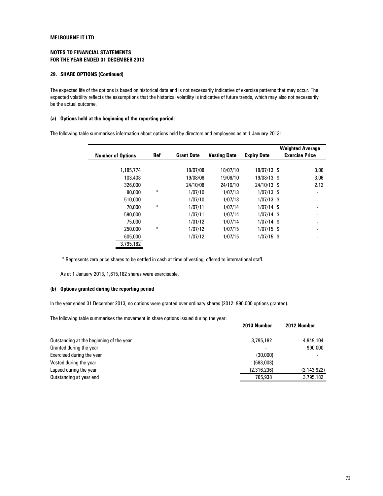### **NOTES TO FINANCIAL STATEMENTS FOR THE YEAR ENDED 31 DECEMBER 2013**

#### **29. SHARE OPTIONS (Continued)**

The expected life of the options is based on historical data and is not necessarily indicative of exercise patterns that may occur. The expected volatility reflects the assumptions that the historical volatility is indicative of future trends, which may also not necessarily be the actual outcome.

#### **(a) Options held at the beginning of the reporting period:**

The following table summarises information about options held by directors and employees as at 1 January 2013:

| <b>Number of Options</b> | <b>Ref</b> | <b>Grant Date</b> | <b>Vesting Date</b> | <b>Expiry Date</b> | <b>Weighted Average</b><br><b>Exercise Price</b> |
|--------------------------|------------|-------------------|---------------------|--------------------|--------------------------------------------------|
|                          |            |                   |                     |                    |                                                  |
| 1,185,774                |            | 18/07/08          | 18/07/10            | 18/07/13 \$        | 3.06                                             |
| 103,408                  |            | 19/08/08          | 19/08/10            | 19/08/13 \$        | 3.06                                             |
| 326,000                  |            | 24/10/08          | 24/10/10            | $24/10/13$ \$      | 2.12                                             |
| 80,000                   | $\ast$     | 1/07/10           | 1/07/13             | $1/07/13$ \$       | ٠                                                |
| 510,000                  |            | 1/07/10           | 1/07/13             | $1/07/13$ \$       | ۰                                                |
| 70,000                   | $\ast$     | 1/07/11           | 1/07/14             | $1/07/14$ \$       |                                                  |
| 590,000                  |            | 1/07/11           | 1/07/14             | $1/07/14$ \$       |                                                  |
| 75,000                   |            | 1/01/12           | 1/07/14             | $1/07/14$ \$       | ۰                                                |
| 250,000                  | $\ast$     | 1/07/12           | 1/07/15             | $1/07/15$ \$       |                                                  |
| 605,000                  |            | 1/07/12           | 1/07/15             | $1/07/15$ \$       |                                                  |
| 3,795,182                |            |                   |                     |                    |                                                  |
|                          |            |                   |                     |                    |                                                  |

\* Represents zero price shares to be settled in cash at time of vesting, offered to international staff.

As at 1 January 2013, 1,615,182 shares were exercisable.

### **(b) Options granted during the reporting period**

In the year ended 31 December 2013, no options were granted over ordinary shares (2012: 990,000 options granted).

The following table summarises the movement in share options issued during the year:

|                                          | 2013 Number | 2012 Number   |
|------------------------------------------|-------------|---------------|
| Outstanding at the beginning of the year | 3,795,182   | 4,949,104     |
| Granted during the year                  | ٠           | 990,000       |
| Exercised during the year                | (30,000)    | ۰             |
| Vested during the year                   | (683,008)   |               |
| Lapsed during the year                   | (2,316,236) | (2, 143, 922) |
| Outstanding at year end                  | 765,938     | 3,795,182     |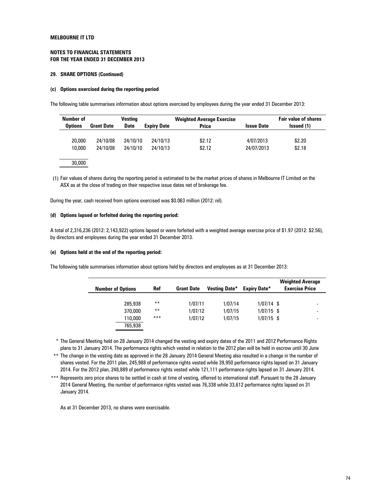### **NOTES TO FINANCIAL STATEMENTS FOR THE YEAR ENDED 31 DECEMBER 2013**

#### **29. SHARE OPTIONS (Continued)**

#### **(c) Options exercised during the reporting period**

The following table summarises information about options exercised by employees during the year ended 31 December 2013:

| <b>Number of</b> |                   | <b>Vesting</b> |                    | <b>Weighted Average Exercise</b> |                   | <b>Fair value of shares</b> |
|------------------|-------------------|----------------|--------------------|----------------------------------|-------------------|-----------------------------|
| <b>Options</b>   | <b>Grant Date</b> | <b>Date</b>    | <b>Expiry Date</b> | <b>Price</b>                     | <b>Issue Date</b> | <b>Issued</b> (1)           |
|                  |                   |                |                    |                                  |                   |                             |
| 20,000           | 24/10/08          | 24/10/10       | 24/10/13           | \$2.12                           | 4/07/2013         | \$2.20                      |
| 10,000           | 24/10/08          | 24/10/10       | 24/10/13           | \$2.12                           | 24/07/2013        | \$2.18                      |
|                  |                   |                |                    |                                  |                   |                             |
| 30,000           |                   |                |                    |                                  |                   |                             |

(1) Fair values of shares during the reporting period is estimated to be the market prices of shares in Melbourne IT Limited on the ASX as at the close of trading on their respective issue dates net of brokerage fee.

During the year, cash received from options exercised was \$0.063 million (2012: nil).

### **(d) Options lapsed or forfeited during the reporting period:**

A total of 2,316,236 (2012: 2,143,922) options lapsed or were forfeited with a weighted average exercise price of \$1.97 (2012: \$2.56), by directors and employees during the year ended 31 December 2013.

### **(e) Options held at the end of the reporting period:**

The following table summarises information about options held by directors and employees as at 31 December 2013:

| <b>Number of Options</b> | Ref   | <b>Grant Date</b> | <b>Vesting Date*</b> | <b>Expiry Date*</b> | <b>Weighted Average</b><br><b>Exercise Price</b> |
|--------------------------|-------|-------------------|----------------------|---------------------|--------------------------------------------------|
|                          |       |                   |                      |                     |                                                  |
| 285,938                  | $***$ | 1/07/11           | 1/07/14              | $1/07/14$ \$        | $\overline{\phantom{0}}$                         |
| 370,000                  | $***$ | 1/07/12           | 1/07/15              | $1/07/15$ \$        |                                                  |
| 110,000                  | $***$ | 1/07/12           | 1/07/15              | $1/07/15$ \$        | $\overline{\phantom{0}}$                         |
| 765,938                  |       |                   |                      |                     |                                                  |

\* The General Meeting held on 28 January 2014 changed the vesting and expiry dates of the 2011 and 2012 Performance Rights plans to 31 January 2014. The performance rights which vested in relation to the 2012 plan will be held in escrow until 30 June

\*\* The change in the vesting date as approved in the 28 January 2014 General Meeting also resulted in a change in the number of shares vested. For the 2011 plan, 245,988 of performance rights vested while 39,950 performance rights lapsed on 31 January 2014. For the 2012 plan, 248,889 of performance rights vested while 121,111 performance rights lapsed on 31 January 2014.

\*\*\* Represents zero price shares to be settled in cash at time of vesting, offerred to international staff. Pursuant to the 28 January 2014 General Meeting, the number of performance rights vested was 76,338 while 33,612 performance rights lapsed on 31 January 2014.

As at 31 December 2013, no shares were exercisable.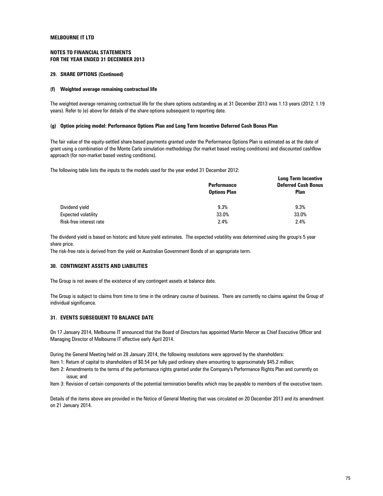### **NOTES TO FINANCIAL STATEMENTS FOR THE YEAR ENDED 31 DECEMBER 2013**

### **29. SHARE OPTIONS (Continued)**

### **(f) Weighted average remaining contractual life**

The weighted average remaining contractual life for the share options outstanding as at 31 December 2013 was 1.13 years (2012: 1.19 years). Refer to (e) above for details of the share options subsequent to reporting date.

### **(g) Option pricing model: Performance Options Plan and Long Term Incentive Deferred Cash Bonus Plan**

The fair value of the equity-settled share based payments granted under the Performance Options Plan is estimated as at the date of grant using a combination of the Monte Carlo simulation methodology (for market based vesting conditions) and discounted cashflow approach (for non-market based vesting conditions).

The following table lists the inputs to the models used for the year ended 31 December 2012:

|                            |                     | <b>Long Term Incentive</b> |  |  |
|----------------------------|---------------------|----------------------------|--|--|
|                            | <b>Performance</b>  | <b>Deferred Cash Bonus</b> |  |  |
|                            | <b>Options Plan</b> | <b>Plan</b>                |  |  |
| Dividend yield             | 9.3%                | 9.3%                       |  |  |
| <b>Expected volatility</b> | 33.0%               | 33.0%                      |  |  |
| Risk-free interest rate    | 2.4%                | 2.4%                       |  |  |

The dividend yield is based on historic and future yield estimates. The expected volatility was determined using the group's 5 year share price.

The risk-free rate is derived from the yield on Australian Government Bonds of an appropriate term.

### **30. CONTINGENT ASSETS AND LIABILITIES**

The Group is not aware of the existence of any contingent assets at balance date.

The Group is subject to claims from time to time in the ordinary course of business. There are currently no claims against the Group of individual significance.

### **31. EVENTS SUBSEQUENT TO BALANCE DATE**

On 17 January 2014, Melbourne IT announced that the Board of Directors has appointed Martin Mercer as Chief Executive Officer and Managing Director of Melbourne IT effective early April 2014.

During the General Meeting held on 28 January 2014, the following resolutions were approved by the shareholders:

Item 1: Return of capital to shareholders of \$0.54 per fully paid ordinary share amounting to approximately \$45.2 million;

Item 2: Amendments to the terms of the performance rights granted under the Company's Performance Rights Plan and currently on issue; and

Item 3: Revision of certain components of the potential termination benefits which may be payable to members of the executive team.

Details of the items above are provided in the Notice of General Meeting that was circulated on 20 December 2013 and its amendment on 21 January 2014.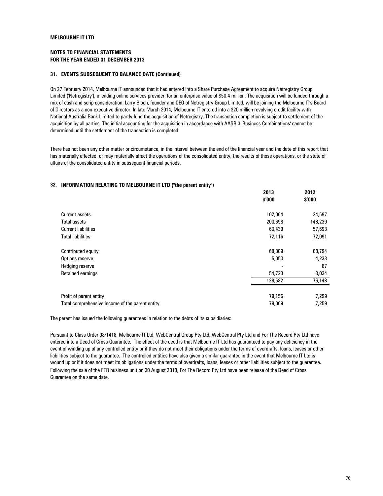### **NOTES TO FINANCIAL STATEMENTS FOR THE YEAR ENDED 31 DECEMBER 2013**

### **31. EVENTS SUBSEQUENT TO BALANCE DATE (Continued)**

On 27 February 2014, Melbourne IT announced that it had entered into a Share Purchase Agreement to acquire Netregistry Group Limited ('Netregistry'), a leading online services provider, for an enterprise value of \$50.4 million. The acquisition will be funded through a mix of cash and scrip consideration. Larry Bloch, founder and CEO of Netregistry Group Limited, will be joining the Melbourne IT's Board of Directors as a non-executive director. In late March 2014, Melbourne IT entered into a \$20 million revolving credit facility with National Australia Bank Limited to partly fund the acquisition of Netregistry. The transaction completion is subject to settlement of the acquisition by all parties. The initial accounting for the acquisition in accordance with AASB 3 'Business Combinations' cannot be determined until the settlement of the transaction is completed.

There has not been any other matter or circumstance, in the interval between the end of the financial year and the date of this report that has materially affected, or may materially affect the operations of the consolidated entity, the results of those operations, or the state of affairs of the consolidated entity in subsequent financial periods.

|                                                 | 2013<br>\$'000 | 2012<br>\$'000 |
|-------------------------------------------------|----------------|----------------|
| <b>Current assets</b>                           | 102,064        | 24,597         |
| <b>Total assets</b>                             | 200,698        | 148,239        |
| <b>Current liabilities</b>                      | 60,439         | 57,693         |
| <b>Total liabilities</b>                        | 72,116         | 72,091         |
| Contributed equity                              | 68,809         | 68,794         |
| Options reserve                                 | 5,050          | 4,233          |
| Hedging reserve                                 |                | 87             |
| <b>Retained earnings</b>                        | 54,723         | 3,034          |
|                                                 | 128,582        | 76,148         |
| Profit of parent entity                         | 79,156         | 7,299          |
| Total comprehensive income of the parent entity | 79,069         | 7,259          |

### **32. INFORMATION RELATING TO MELBOURNE IT LTD ("the parent entity")**

The parent has issued the following guarantees in relation to the debts of its subsidiaries:

Pursuant to Class Order 98/1418, Melbourne IT Ltd, WebCentral Group Pty Ltd, WebCentral Pty Ltd and For The Record Pty Ltd have entered into a Deed of Cross Guarantee. The effect of the deed is that Melbourne IT Ltd has guaranteed to pay any deficiency in the event of winding up of any controlled entity or if they do not meet their obligations under the terms of overdrafts, loans, leases or other liabilities subject to the guarantee. The controlled entities have also given a similar guarantee in the event that Melbourne IT Ltd is wound up or if it does not meet its obligations under the terms of overdrafts, loans, leases or other liabilities subject to the guarantee. Following the sale of the FTR business unit on 30 August 2013, For The Record Pty Ltd have been release of the Deed of Cross Guarantee on the same date.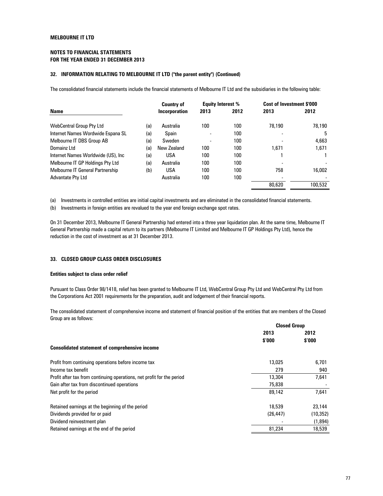### **NOTES TO FINANCIAL STATEMENTS FOR THE YEAR ENDED 31 DECEMBER 2013**

### **32. INFORMATION RELATING TO MELBOURNE IT LTD ("the parent entity") (Continued)**

The consolidated financial statements include the financial statements of Melbourne IT Ltd and the subsidiaries in the following table:

|                                         |     | <b>Country of</b>    |      | <b>Equity Interest %</b> | Cost of Investment \$'000 |         |
|-----------------------------------------|-----|----------------------|------|--------------------------|---------------------------|---------|
| <b>Name</b>                             |     | <b>Incorporation</b> | 2013 | 2012                     | 2013                      | 2012    |
| <b>WebCentral Group Pty Ltd</b>         | (a) | Australia            | 100  | 100                      | 78,190                    | 78,190  |
| Internet Names Wordwide Espana SL       | (a) | Spain                |      | 100                      |                           | 5       |
| Melbourne IT DBS Group AB               | (a) | Sweden               |      | 100                      |                           | 4,663   |
| Domainz Ltd                             | (a) | New Zealand          | 100  | 100                      | 1,671                     | 1,671   |
| Internet Names Worldwide (US), Inc.     | (a) | <b>USA</b>           | 100  | 100                      |                           |         |
| Melbourne IT GP Holdings Pty Ltd        | (a) | Australia            | 100  | 100                      |                           |         |
| <b>Melbourne IT General Partnership</b> | (b) | <b>USA</b>           | 100  | 100                      | 758                       | 16,002  |
| <b>Advantate Pty Ltd</b>                |     | Australia            | 100  | 100                      |                           |         |
|                                         |     |                      |      |                          | 80,620                    | 100,532 |

(a) Investments in controlled entities are initial capital investments and are eliminated in the consolidated financial statements.

(b) Investments in foreign entities are revalued to the year end foreign exchange spot rates.

On 31 December 2013, Melbourne IT General Partnership had entered into a three year liquidation plan. At the same time, Melbourne IT General Partnership made a capital return to its partners (Melbourne IT Limited and Melbourne IT GP Holdings Pty Ltd), hence the reduction in the cost of investment as at 31 December 2013.

### **33. CLOSED GROUP CLASS ORDER DISCLOSURES**

### **Entities subject to class order relief**

Pursuant to Class Order 98/1418, relief has been granted to Melbourne IT Ltd, WebCentral Group Pty Ltd and WebCentral Pty Ltd from the Corporations Act 2001 requirements for the preparation, audit and lodgement of their financial reports.

The consolidated statement of comprehensive income and statement of financial position of the entities that are members of the Closed Group are as follows:

|                                                                        | <b>Closed Group</b> |           |
|------------------------------------------------------------------------|---------------------|-----------|
|                                                                        | 2013                | 2012      |
|                                                                        | \$'000              | \$'000    |
| <b>Consolidated statement of comprehensive income</b>                  |                     |           |
| Profit from continuing operations before income tax                    | 13,025              | 6,701     |
| Income tax benefit                                                     | 279                 | 940       |
| Profit after tax from continuing operations, net profit for the period | 13,304              | 7,641     |
| Gain after tax from discontinued operations                            | 75,838              |           |
| Net profit for the period                                              | 89,142              | 7,641     |
| Retained earnings at the beginning of the period                       | 18,539              | 23,144    |
| Dividends provided for or paid                                         | (26, 447)           | (10, 352) |
| Dividend reinvestment plan                                             |                     | (1,894)   |
| Retained earnings at the end of the period                             | 81,234              | 18,539    |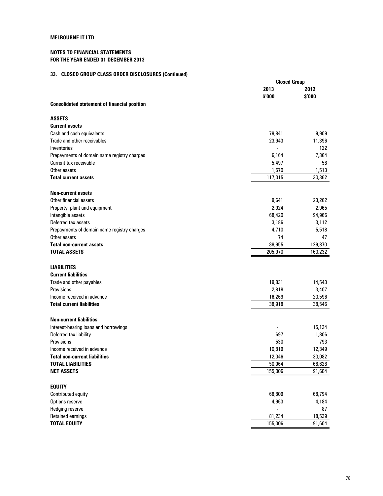# **NOTES TO FINANCIAL STATEMENTS FOR THE YEAR ENDED 31 DECEMBER 2013**

# **33. CLOSED GROUP CLASS ORDER DISCLOSURES (Continued)**

|                                                     | <b>Closed Group</b> |         |
|-----------------------------------------------------|---------------------|---------|
|                                                     | 2013                | 2012    |
|                                                     | \$'000              | \$'000  |
| <b>Consolidated statement of financial position</b> |                     |         |
| <b>ASSETS</b>                                       |                     |         |
| <b>Current assets</b>                               |                     |         |
| Cash and cash equivalents                           | 79,841              | 9,909   |
| Trade and other receivables                         | 23,943              | 11,396  |
| Inventories                                         |                     | 122     |
| Prepayments of domain name registry charges         | 6,164               | 7,364   |
| <b>Current tax receivable</b>                       | 5,497               | 58      |
| Other assets                                        | 1,570               | 1,513   |
| <b>Total current assets</b>                         | 117,015             | 30,362  |
| <b>Non-current assets</b>                           |                     |         |
| Other financial assets                              | 9,641               | 23,262  |
| Property, plant and equipment                       | 2,924               | 2,965   |
| Intangible assets                                   | 68,420              | 94,966  |
| Deferred tax assets                                 | 3,186               | 3,112   |
| Prepayments of domain name registry charges         | 4,710               | 5,518   |
| Other assets                                        | 74                  | 47      |
| <b>Total non-current assets</b>                     | 88,955              | 129,870 |
| <b>TOTAL ASSETS</b>                                 | 205,970             | 160,232 |
|                                                     |                     |         |
| <b>LIABILITIES</b>                                  |                     |         |
| <b>Current liabilities</b>                          |                     |         |
| Trade and other payables                            | 19,831              | 14,543  |
| Provisions                                          | 2,818               | 3,407   |
| Income received in advance                          | 16,269              | 20,596  |
| <b>Total current liabilities</b>                    | 38,918              | 38,546  |
| <b>Non-current liabilities</b>                      |                     |         |
| Interest-bearing loans and borrowings               |                     | 15,134  |
| Deferred tax liability                              | 697                 | 1,806   |
| <b>Provisions</b>                                   | 530                 | 793     |
| Income received in advance                          | 10,819              | 12,349  |
| <b>Total non-current liabilities</b>                | 12,046              | 30,082  |
| <b>TOTAL LIABILITIES</b>                            | 50,964              | 68,628  |
| <b>NET ASSETS</b>                                   | 155,006             | 91,604  |
| <b>EQUITY</b>                                       |                     |         |
| Contributed equity                                  | 68,809              | 68,794  |
| Options reserve                                     | 4,963               | 4,184   |
| Hedging reserve                                     |                     | 87      |
| <b>Retained earnings</b>                            | 81,234              | 18,539  |
| <b>TOTAL EQUITY</b>                                 | 155,006             | 91,604  |